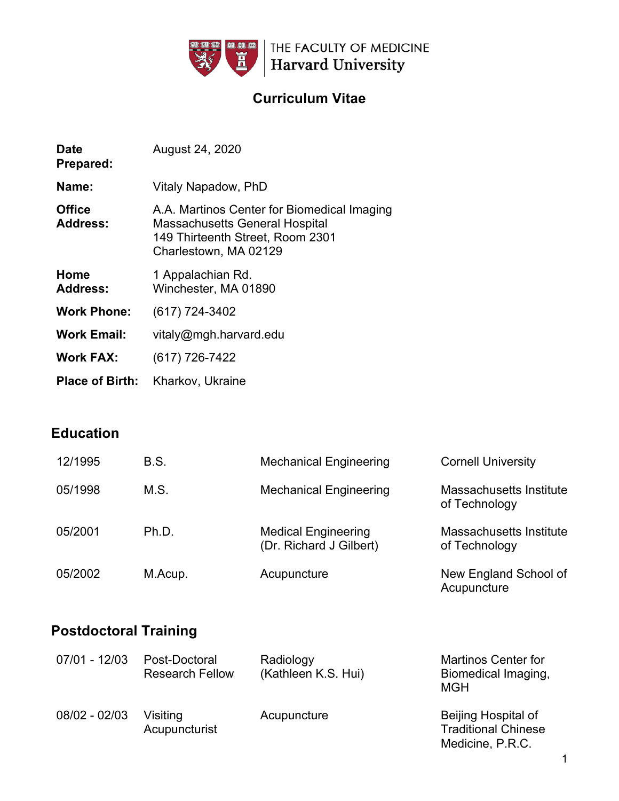

# **Curriculum Vitae**

| <b>Date</b><br><b>Prepared:</b>  | August 24, 2020                                                                                                                                   |
|----------------------------------|---------------------------------------------------------------------------------------------------------------------------------------------------|
| Name:                            | Vitaly Napadow, PhD                                                                                                                               |
| <b>Office</b><br><b>Address:</b> | A.A. Martinos Center for Biomedical Imaging<br><b>Massachusetts General Hospital</b><br>149 Thirteenth Street, Room 2301<br>Charlestown, MA 02129 |
| Home<br><b>Address:</b>          | 1 Appalachian Rd.<br>Winchester, MA 01890                                                                                                         |
| <b>Work Phone:</b>               | $(617)$ 724-3402                                                                                                                                  |
| <b>Work Email:</b>               | vitaly@mgh.harvard.edu                                                                                                                            |
| <b>Work FAX:</b>                 | $(617)$ 726-7422                                                                                                                                  |
|                                  | <b>Place of Birth:</b> Kharkov, Ukraine                                                                                                           |

# **Education**

| 12/1995 | B.S.    | <b>Mechanical Engineering</b>                         | <b>Cornell University</b>                |
|---------|---------|-------------------------------------------------------|------------------------------------------|
| 05/1998 | M.S.    | <b>Mechanical Engineering</b>                         | Massachusetts Institute<br>of Technology |
| 05/2001 | Ph.D.   | <b>Medical Engineering</b><br>(Dr. Richard J Gilbert) | Massachusetts Institute<br>of Technology |
| 05/2002 | M.Acup. | Acupuncture                                           | New England School of<br>Acupuncture     |

# **Postdoctoral Training**

| 07/01 - 12/03 | Post-Doctoral<br><b>Research Fellow</b> | Radiology<br>(Kathleen K.S. Hui) | <b>Martinos Center for</b><br>Biomedical Imaging,<br>MGH              |
|---------------|-----------------------------------------|----------------------------------|-----------------------------------------------------------------------|
| 08/02 - 02/03 | Visiting<br>Acupuncturist               | Acupuncture                      | Beijing Hospital of<br><b>Traditional Chinese</b><br>Medicine, P.R.C. |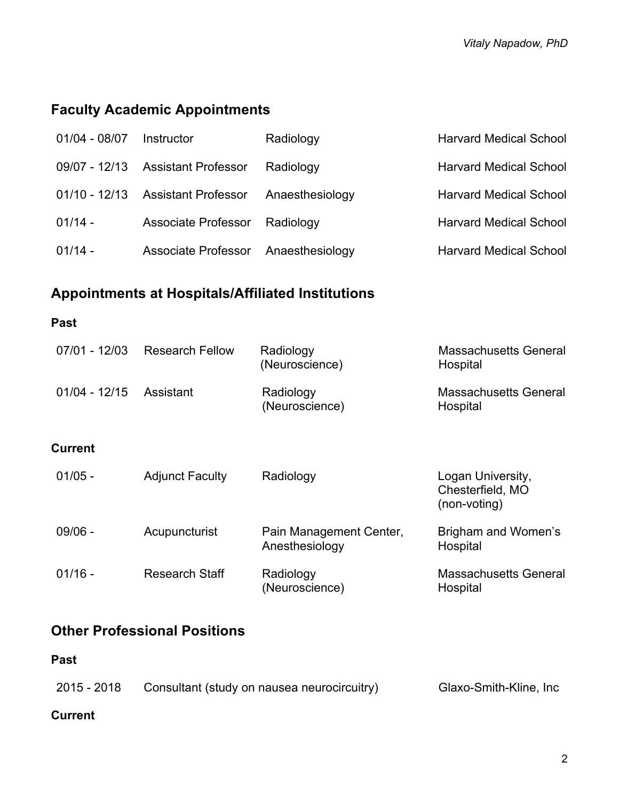# **Faculty Academic Appointments**

| 01/04 - 08/07   | Instructor                 | Radiology       | <b>Harvard Medical School</b> |
|-----------------|----------------------------|-----------------|-------------------------------|
| 09/07 - 12/13   | <b>Assistant Professor</b> | Radiology       | <b>Harvard Medical School</b> |
| $01/10 - 12/13$ | <b>Assistant Professor</b> | Anaesthesiology | <b>Harvard Medical School</b> |
| $01/14 -$       | <b>Associate Professor</b> | Radiology       | <b>Harvard Medical School</b> |
| $01/14 -$       | Associate Professor        | Anaesthesiology | <b>Harvard Medical School</b> |

# **Appointments at Hospitals/Affiliated Institutions**

### **Past**

| $07/01 - 12/03$ | <b>Research Fellow</b> | Radiology<br>(Neuroscience)               | <b>Massachusetts General</b><br>Hospital              |
|-----------------|------------------------|-------------------------------------------|-------------------------------------------------------|
| $01/04 - 12/15$ | Assistant              | Radiology<br>(Neuroscience)               | <b>Massachusetts General</b><br>Hospital              |
| Current         |                        |                                           |                                                       |
| $01/05 -$       | <b>Adjunct Faculty</b> | Radiology                                 | Logan University,<br>Chesterfield, MO<br>(non-voting) |
| $09/06 -$       | Acupuncturist          | Pain Management Center,<br>Anesthesiology | Brigham and Women's<br>Hospital                       |
| $01/16 -$       | <b>Research Staff</b>  | Radiology<br>(Neuroscience)               | Massachusetts General<br>Hospital                     |

# **Other Professional Positions**

| <b>Past</b> |                                             |                         |
|-------------|---------------------------------------------|-------------------------|
| 2015 - 2018 | Consultant (study on nausea neurocircuitry) | Glaxo-Smith-Kline, Inc. |

# **Current**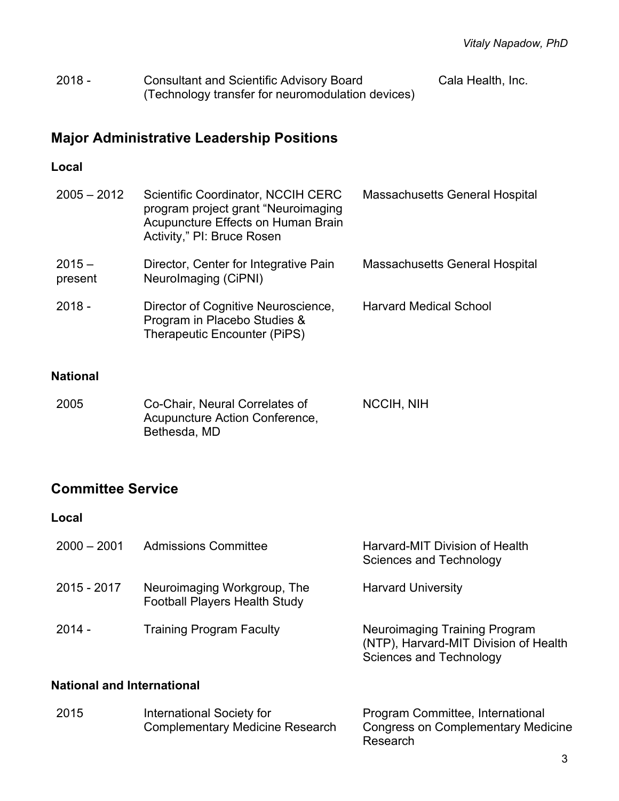| $2018 -$ | <b>Consultant and Scientific Advisory Board</b>   | Cala Health, Inc. |
|----------|---------------------------------------------------|-------------------|
|          | (Technology transfer for neuromodulation devices) |                   |

# **Major Administrative Leadership Positions**

## **Local**

| $2005 - 2012$       | Scientific Coordinator, NCCIH CERC<br>program project grant "Neuroimaging<br>Acupuncture Effects on Human Brain<br>Activity," PI: Bruce Rosen | <b>Massachusetts General Hospital</b> |
|---------------------|-----------------------------------------------------------------------------------------------------------------------------------------------|---------------------------------------|
| $2015 -$<br>present | Director, Center for Integrative Pain<br>Neurolmaging (CiPNI)                                                                                 | <b>Massachusetts General Hospital</b> |
| $2018 -$            | Director of Cognitive Neuroscience,<br>Program in Placebo Studies &<br>Therapeutic Encounter (PiPS)                                           | <b>Harvard Medical School</b>         |
| <b>National</b>     |                                                                                                                                               |                                       |

| 2005 | Co-Chair, Neural Correlates of        | <b>NCCIH, NIH</b> |
|------|---------------------------------------|-------------------|
|      | <b>Acupuncture Action Conference,</b> |                   |
|      | Bethesda, MD                          |                   |

# **Committee Service**

| Local         |                                                              |                                                                                                   |
|---------------|--------------------------------------------------------------|---------------------------------------------------------------------------------------------------|
| $2000 - 2001$ | <b>Admissions Committee</b>                                  | Harvard-MIT Division of Health<br>Sciences and Technology                                         |
| 2015 - 2017   | Neuroimaging Workgroup, The<br>Football Players Health Study | <b>Harvard University</b>                                                                         |
| $2014 -$      | <b>Training Program Faculty</b>                              | Neuroimaging Training Program<br>(NTP), Harvard-MIT Division of Health<br>Sciences and Technology |

## **National and International**

| 2015 | International Society for              | Program Committee, International   |
|------|----------------------------------------|------------------------------------|
|      | <b>Complementary Medicine Research</b> | Congress on Complementary Medicine |
|      |                                        | Research                           |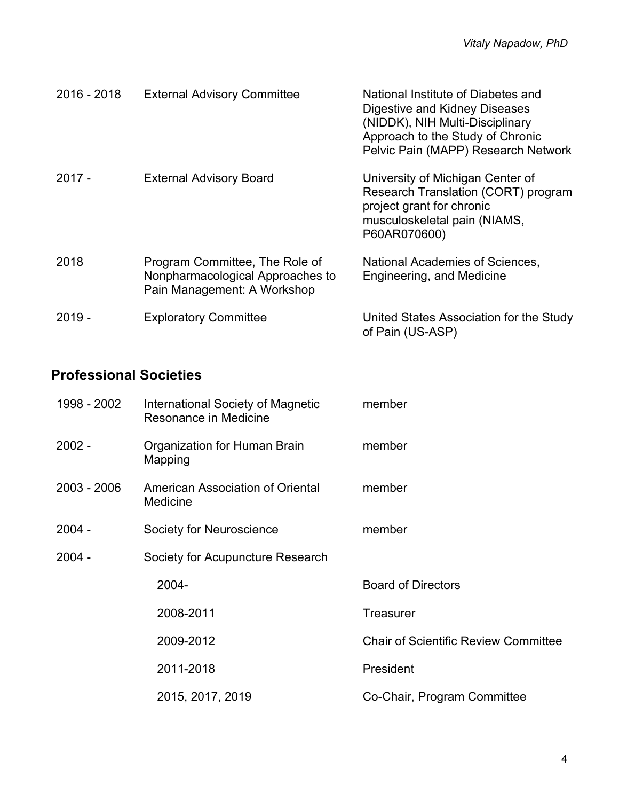| 2016 - 2018 | <b>External Advisory Committee</b>                                                                | National Institute of Diabetes and<br>Digestive and Kidney Diseases<br>(NIDDK), NIH Multi-Disciplinary<br>Approach to the Study of Chronic<br>Pelvic Pain (MAPP) Research Network |
|-------------|---------------------------------------------------------------------------------------------------|-----------------------------------------------------------------------------------------------------------------------------------------------------------------------------------|
| $2017 -$    | <b>External Advisory Board</b>                                                                    | University of Michigan Center of<br>Research Translation (CORT) program<br>project grant for chronic<br>musculoskeletal pain (NIAMS,<br>P60AR070600)                              |
| 2018        | Program Committee, The Role of<br>Nonpharmacological Approaches to<br>Pain Management: A Workshop | National Academies of Sciences,<br>Engineering, and Medicine                                                                                                                      |
| $2019 -$    | <b>Exploratory Committee</b>                                                                      | United States Association for the Study<br>of Pain (US-ASP)                                                                                                                       |

# **Professional Societies**

| 1998 - 2002 | International Society of Magnetic<br>Resonance in Medicine | member                                      |
|-------------|------------------------------------------------------------|---------------------------------------------|
| $2002 -$    | Organization for Human Brain<br>Mapping                    | member                                      |
| 2003 - 2006 | American Association of Oriental<br>Medicine               | member                                      |
| $2004 -$    | Society for Neuroscience                                   | member                                      |
| $2004 -$    | Society for Acupuncture Research                           |                                             |
|             | 2004-                                                      | <b>Board of Directors</b>                   |
|             | 2008-2011                                                  | Treasurer                                   |
|             | 2009-2012                                                  | <b>Chair of Scientific Review Committee</b> |
|             | 2011-2018                                                  | President                                   |
|             | 2015, 2017, 2019                                           | Co-Chair, Program Committee                 |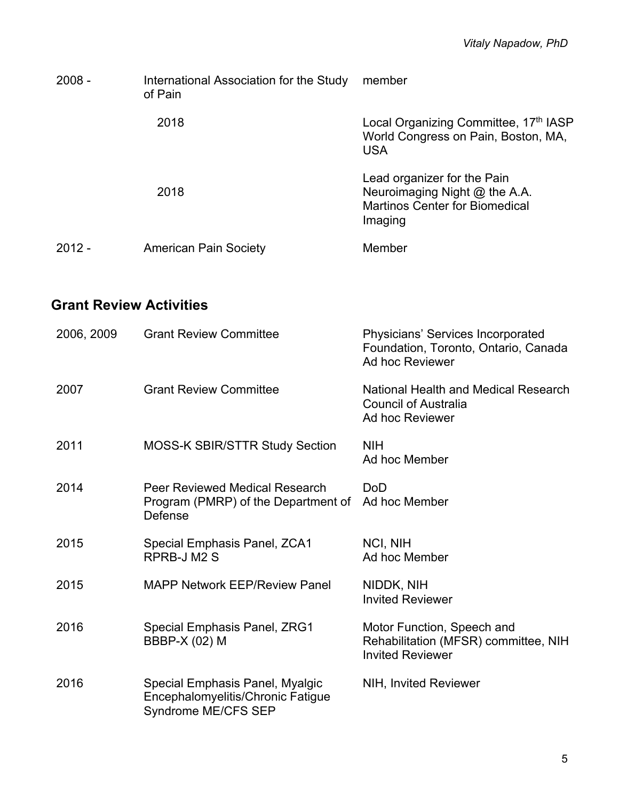| $2008 -$ | International Association for the Study<br>of Pain | member                                                                                                           |
|----------|----------------------------------------------------|------------------------------------------------------------------------------------------------------------------|
|          | 2018                                               | Local Organizing Committee, 17th IASP<br>World Congress on Pain, Boston, MA,<br><b>USA</b>                       |
|          | 2018                                               | Lead organizer for the Pain<br>Neuroimaging Night @ the A.A.<br><b>Martinos Center for Biomedical</b><br>Imaging |
| $2012 -$ | <b>American Pain Society</b>                       | Member                                                                                                           |

# **Grant Review Activities**

| 2006, 2009 | <b>Grant Review Committee</b>                                                               | Physicians' Services Incorporated<br>Foundation, Toronto, Ontario, Canada<br>Ad hoc Reviewer  |
|------------|---------------------------------------------------------------------------------------------|-----------------------------------------------------------------------------------------------|
| 2007       | <b>Grant Review Committee</b>                                                               | National Health and Medical Research<br><b>Council of Australia</b><br>Ad hoc Reviewer        |
| 2011       | <b>MOSS-K SBIR/STTR Study Section</b>                                                       | <b>NIH</b><br>Ad hoc Member                                                                   |
| 2014       | Peer Reviewed Medical Research<br>Program (PMRP) of the Department of<br>Defense            | <b>DoD</b><br>Ad hoc Member                                                                   |
| 2015       | Special Emphasis Panel, ZCA1<br>RPRB-J M2 S                                                 | NCI, NIH<br>Ad hoc Member                                                                     |
| 2015       | <b>MAPP Network EEP/Review Panel</b>                                                        | NIDDK, NIH<br><b>Invited Reviewer</b>                                                         |
| 2016       | Special Emphasis Panel, ZRG1<br><b>BBBP-X (02) M</b>                                        | Motor Function, Speech and<br>Rehabilitation (MFSR) committee, NIH<br><b>Invited Reviewer</b> |
| 2016       | Special Emphasis Panel, Myalgic<br>Encephalomyelitis/Chronic Fatigue<br>Syndrome ME/CFS SEP | NIH, Invited Reviewer                                                                         |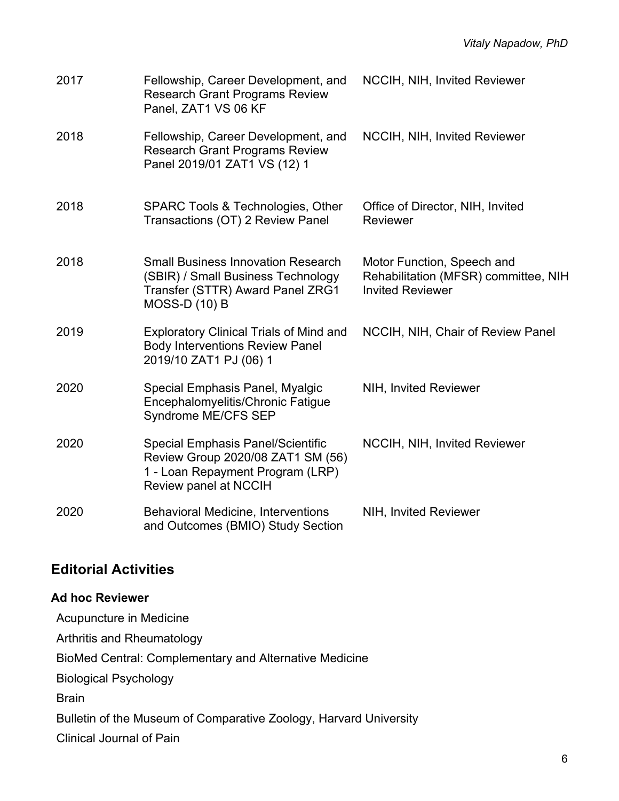| 2017 | Fellowship, Career Development, and<br><b>Research Grant Programs Review</b><br>Panel, ZAT1 VS 06 KF                                        | NCCIH, NIH, Invited Reviewer                                                                  |
|------|---------------------------------------------------------------------------------------------------------------------------------------------|-----------------------------------------------------------------------------------------------|
| 2018 | Fellowship, Career Development, and<br><b>Research Grant Programs Review</b><br>Panel 2019/01 ZAT1 VS (12) 1                                | NCCIH, NIH, Invited Reviewer                                                                  |
| 2018 | SPARC Tools & Technologies, Other<br>Transactions (OT) 2 Review Panel                                                                       | Office of Director, NIH, Invited<br>Reviewer                                                  |
| 2018 | <b>Small Business Innovation Research</b><br>(SBIR) / Small Business Technology<br>Transfer (STTR) Award Panel ZRG1<br><b>MOSS-D (10) B</b> | Motor Function, Speech and<br>Rehabilitation (MFSR) committee, NIH<br><b>Invited Reviewer</b> |
| 2019 | <b>Exploratory Clinical Trials of Mind and</b><br><b>Body Interventions Review Panel</b><br>2019/10 ZAT1 PJ (06) 1                          | NCCIH, NIH, Chair of Review Panel                                                             |
| 2020 | Special Emphasis Panel, Myalgic<br>Encephalomyelitis/Chronic Fatigue<br>Syndrome ME/CFS SEP                                                 | NIH, Invited Reviewer                                                                         |
| 2020 | <b>Special Emphasis Panel/Scientific</b><br>Review Group 2020/08 ZAT1 SM (56)<br>1 - Loan Repayment Program (LRP)<br>Review panel at NCCIH  | NCCIH, NIH, Invited Reviewer                                                                  |
| 2020 | <b>Behavioral Medicine, Interventions</b><br>and Outcomes (BMIO) Study Section                                                              | NIH, Invited Reviewer                                                                         |

# **Editorial Activities**

### **Ad hoc Reviewer**

Acupuncture in Medicine Arthritis and Rheumatology

BioMed Central: Complementary and Alternative Medicine

Biological Psychology

Brain

Bulletin of the Museum of Comparative Zoology, Harvard University

Clinical Journal of Pain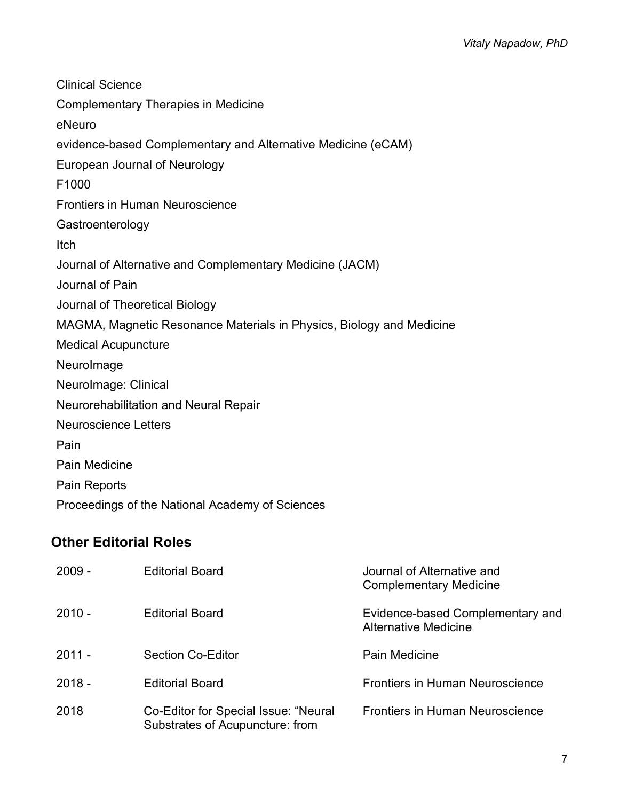Clinical Science Complementary Therapies in Medicine eNeuro evidence-based Complementary and Alternative Medicine (eCAM) European Journal of Neurology F1000 Frontiers in Human Neuroscience Gastroenterology Itch Journal of Alternative and Complementary Medicine (JACM) Journal of Pain Journal of Theoretical Biology MAGMA, Magnetic Resonance Materials in Physics, Biology and Medicine Medical Acupuncture NeuroImage NeuroImage: Clinical Neurorehabilitation and Neural Repair Neuroscience Letters Pain Pain Medicine Pain Reports Proceedings of the National Academy of Sciences

# **Other Editorial Roles**

| $2009 -$ | <b>Editorial Board</b>                                                  | Journal of Alternative and<br><b>Complementary Medicine</b>     |
|----------|-------------------------------------------------------------------------|-----------------------------------------------------------------|
| $2010 -$ | <b>Editorial Board</b>                                                  | Evidence-based Complementary and<br><b>Alternative Medicine</b> |
| $2011 -$ | <b>Section Co-Editor</b>                                                | Pain Medicine                                                   |
| $2018 -$ | <b>Editorial Board</b>                                                  | Frontiers in Human Neuroscience                                 |
| 2018     | Co-Editor for Special Issue: "Neural<br>Substrates of Acupuncture: from | <b>Frontiers in Human Neuroscience</b>                          |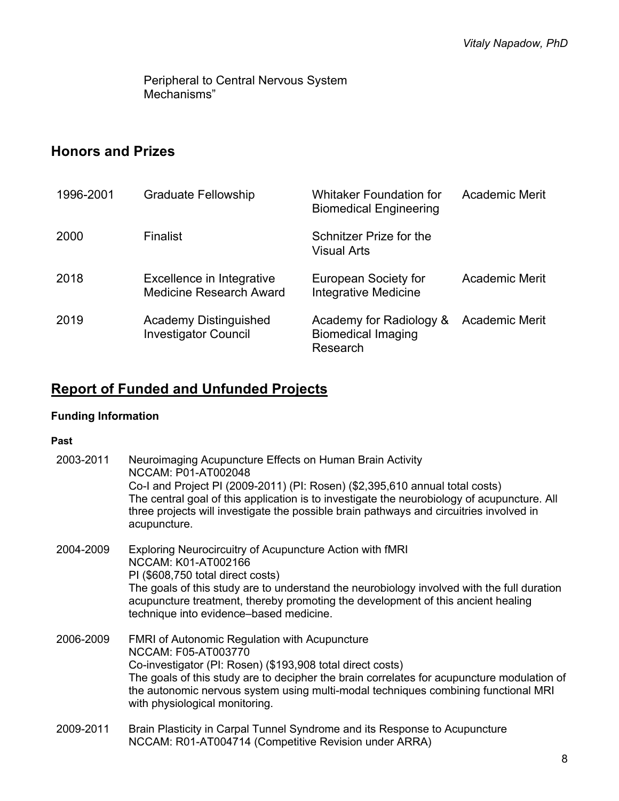Peripheral to Central Nervous System Mechanisms"

# **Honors and Prizes**

| 1996-2001 | <b>Graduate Fellowship</b>                                  | Whitaker Foundation for<br><b>Biomedical Engineering</b>         | <b>Academic Merit</b> |
|-----------|-------------------------------------------------------------|------------------------------------------------------------------|-----------------------|
| 2000      | Finalist                                                    | Schnitzer Prize for the<br><b>Visual Arts</b>                    |                       |
| 2018      | Excellence in Integrative<br>Medicine Research Award        | European Society for<br><b>Integrative Medicine</b>              | <b>Academic Merit</b> |
| 2019      | <b>Academy Distinguished</b><br><b>Investigator Council</b> | Academy for Radiology &<br><b>Biomedical Imaging</b><br>Research | <b>Academic Merit</b> |

# **Report of Funded and Unfunded Projects**

### **Funding Information**

#### **Past**

| 2003-2011 | Neuroimaging Acupuncture Effects on Human Brain Activity<br>NCCAM: P01-AT002048                                                                                                                                                                                                                                                                                        |
|-----------|------------------------------------------------------------------------------------------------------------------------------------------------------------------------------------------------------------------------------------------------------------------------------------------------------------------------------------------------------------------------|
|           | Co-I and Project PI (2009-2011) (PI: Rosen) (\$2,395,610 annual total costs)<br>The central goal of this application is to investigate the neurobiology of acupuncture. All<br>three projects will investigate the possible brain pathways and circuitries involved in<br>acupuncture.                                                                                 |
| 2004-2009 | Exploring Neurocircuitry of Acupuncture Action with fMRI<br>NCCAM: K01-AT002166<br>PI (\$608,750 total direct costs)<br>The goals of this study are to understand the neurobiology involved with the full duration<br>acupuncture treatment, thereby promoting the development of this ancient healing<br>technique into evidence-based medicine.                      |
| 2006-2009 | <b>FMRI of Autonomic Regulation with Acupuncture</b><br><b>NCCAM: F05-AT003770</b><br>Co-investigator (PI: Rosen) (\$193,908 total direct costs)<br>The goals of this study are to decipher the brain correlates for acupuncture modulation of<br>the autonomic nervous system using multi-modal techniques combining functional MRI<br>with physiological monitoring. |
| 2009-2011 | Brain Plasticity in Carpal Tunnel Syndrome and its Response to Acupuncture                                                                                                                                                                                                                                                                                             |

NCCAM: R01-AT004714 (Competitive Revision under ARRA)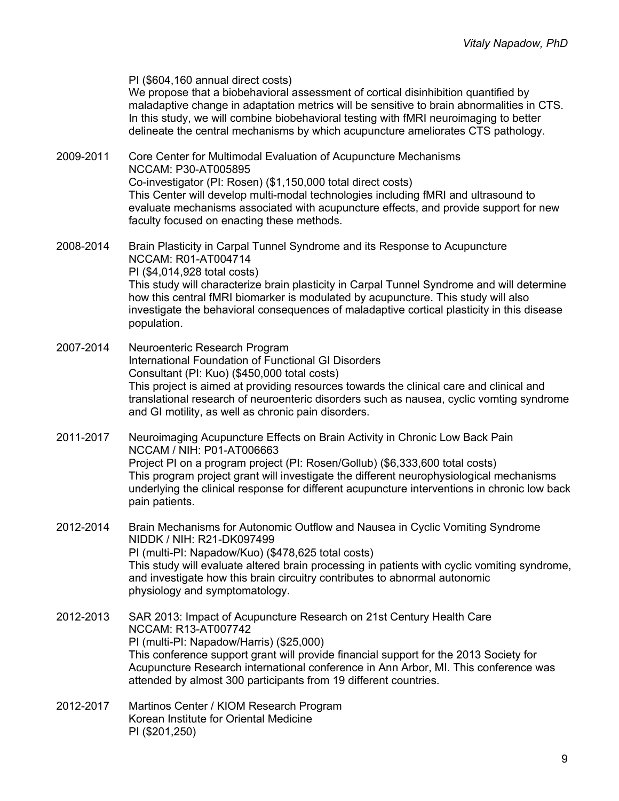PI (\$604,160 annual direct costs) We propose that a biobehavioral assessment of cortical disinhibition quantified by maladaptive change in adaptation metrics will be sensitive to brain abnormalities in CTS. In this study, we will combine biobehavioral testing with fMRI neuroimaging to better delineate the central mechanisms by which acupuncture ameliorates CTS pathology.

2009-2011 Core Center for Multimodal Evaluation of Acupuncture Mechanisms NCCAM: P30-AT005895 Co-investigator (PI: Rosen) (\$1,150,000 total direct costs) This Center will develop multi-modal technologies including fMRI and ultrasound to evaluate mechanisms associated with acupuncture effects, and provide support for new faculty focused on enacting these methods.

2008-2014 Brain Plasticity in Carpal Tunnel Syndrome and its Response to Acupuncture NCCAM: R01-AT004714 PI (\$4,014,928 total costs) This study will characterize brain plasticity in Carpal Tunnel Syndrome and will determine how this central fMRI biomarker is modulated by acupuncture. This study will also investigate the behavioral consequences of maladaptive cortical plasticity in this disease population.

2007-2014 Neuroenteric Research Program International Foundation of Functional GI Disorders Consultant (PI: Kuo) (\$450,000 total costs) This project is aimed at providing resources towards the clinical care and clinical and translational research of neuroenteric disorders such as nausea, cyclic vomting syndrome and GI motility, as well as chronic pain disorders.

2011-2017 Neuroimaging Acupuncture Effects on Brain Activity in Chronic Low Back Pain NCCAM / NIH: P01-AT006663 Project PI on a program project (PI: Rosen/Gollub) (\$6,333,600 total costs) This program project grant will investigate the different neurophysiological mechanisms underlying the clinical response for different acupuncture interventions in chronic low back pain patients.

- 2012-2014 Brain Mechanisms for Autonomic Outflow and Nausea in Cyclic Vomiting Syndrome NIDDK / NIH: R21-DK097499 PI (multi-PI: Napadow/Kuo) (\$478,625 total costs) This study will evaluate altered brain processing in patients with cyclic vomiting syndrome, and investigate how this brain circuitry contributes to abnormal autonomic physiology and symptomatology.
- 2012-2013 SAR 2013: Impact of Acupuncture Research on 21st Century Health Care NCCAM: R13-AT007742 PI (multi-PI: Napadow/Harris) (\$25,000) This conference support grant will provide financial support for the 2013 Society for Acupuncture Research international conference in Ann Arbor, MI. This conference was attended by almost 300 participants from 19 different countries.
- 2012-2017 Martinos Center / KIOM Research Program Korean Institute for Oriental Medicine PI (\$201,250)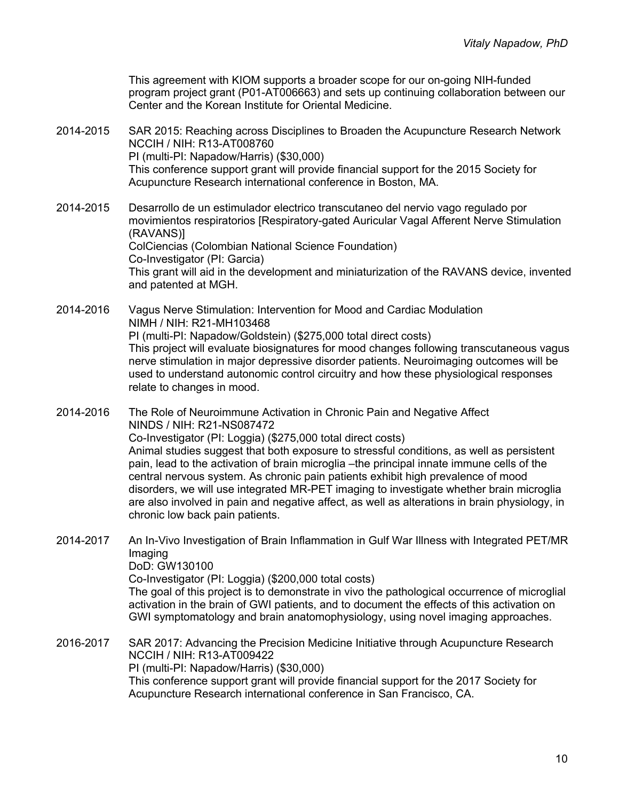This agreement with KIOM supports a broader scope for our on-going NIH-funded program project grant (P01-AT006663) and sets up continuing collaboration between our Center and the Korean Institute for Oriental Medicine.

- 2014-2015 SAR 2015: Reaching across Disciplines to Broaden the Acupuncture Research Network NCCIH / NIH: R13-AT008760 PI (multi-PI: Napadow/Harris) (\$30,000) This conference support grant will provide financial support for the 2015 Society for Acupuncture Research international conference in Boston, MA.
- 2014-2015 Desarrollo de un estimulador electrico transcutaneo del nervio vago regulado por movimientos respiratorios [Respiratory-gated Auricular Vagal Afferent Nerve Stimulation (RAVANS)] ColCiencias (Colombian National Science Foundation) Co-Investigator (PI: Garcia) This grant will aid in the development and miniaturization of the RAVANS device, invented and patented at MGH.
- 2014-2016 Vagus Nerve Stimulation: Intervention for Mood and Cardiac Modulation NIMH / NIH: R21-MH103468 PI (multi-PI: Napadow/Goldstein) (\$275,000 total direct costs) This project will evaluate biosignatures for mood changes following transcutaneous vagus nerve stimulation in major depressive disorder patients. Neuroimaging outcomes will be used to understand autonomic control circuitry and how these physiological responses relate to changes in mood.

2014-2016 The Role of Neuroimmune Activation in Chronic Pain and Negative Affect NINDS / NIH: R21-NS087472 Co-Investigator (PI: Loggia) (\$275,000 total direct costs) Animal studies suggest that both exposure to stressful conditions, as well as persistent pain, lead to the activation of brain microglia –the principal innate immune cells of the central nervous system. As chronic pain patients exhibit high prevalence of mood disorders, we will use integrated MR-PET imaging to investigate whether brain microglia are also involved in pain and negative affect, as well as alterations in brain physiology, in chronic low back pain patients.

- 2014-2017 An In-Vivo Investigation of Brain Inflammation in Gulf War Illness with Integrated PET/MR Imaging DoD: GW130100 Co-Investigator (PI: Loggia) (\$200,000 total costs) The goal of this project is to demonstrate in vivo the pathological occurrence of microglial activation in the brain of GWI patients, and to document the effects of this activation on GWI symptomatology and brain anatomophysiology, using novel imaging approaches.
- 2016-2017 SAR 2017: Advancing the Precision Medicine Initiative through Acupuncture Research NCCIH / NIH: R13-AT009422 PI (multi-PI: Napadow/Harris) (\$30,000) This conference support grant will provide financial support for the 2017 Society for Acupuncture Research international conference in San Francisco, CA.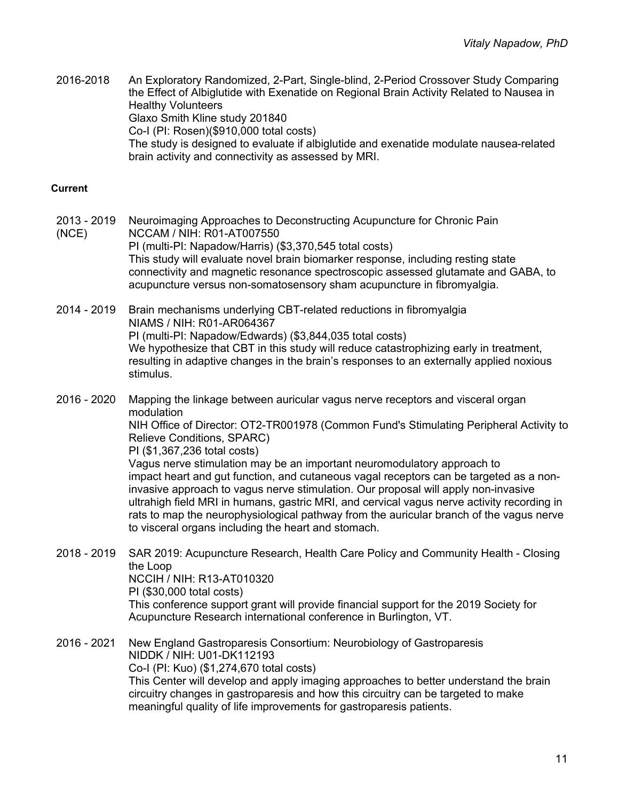2016-2018 An Exploratory Randomized, 2-Part, Single-blind, 2-Period Crossover Study Comparing the Effect of Albiglutide with Exenatide on Regional Brain Activity Related to Nausea in Healthy Volunteers Glaxo Smith Kline study 201840 Co-I (PI: Rosen)(\$910,000 total costs) The study is designed to evaluate if albiglutide and exenatide modulate nausea-related brain activity and connectivity as assessed by MRI.

#### **Current**

- 2013 2019 (NCE) Neuroimaging Approaches to Deconstructing Acupuncture for Chronic Pain NCCAM / NIH: R01-AT007550 PI (multi-PI: Napadow/Harris) (\$3,370,545 total costs) This study will evaluate novel brain biomarker response, including resting state connectivity and magnetic resonance spectroscopic assessed glutamate and GABA, to acupuncture versus non-somatosensory sham acupuncture in fibromyalgia.
- 2014 2019 Brain mechanisms underlying CBT-related reductions in fibromyalgia NIAMS / NIH: R01-AR064367 PI (multi-PI: Napadow/Edwards) (\$3,844,035 total costs) We hypothesize that CBT in this study will reduce catastrophizing early in treatment, resulting in adaptive changes in the brain's responses to an externally applied noxious stimulus.

2016 - 2020 Mapping the linkage between auricular vagus nerve receptors and visceral organ modulation NIH Office of Director: OT2-TR001978 (Common Fund's Stimulating Peripheral Activity to Relieve Conditions, SPARC) PI (\$1,367,236 total costs) Vagus nerve stimulation may be an important neuromodulatory approach to impact heart and gut function, and cutaneous vagal receptors can be targeted as a noninvasive approach to vagus nerve stimulation. Our proposal will apply non-invasive ultrahigh field MRI in humans, gastric MRI, and cervical vagus nerve activity recording in

rats to map the neurophysiological pathway from the auricular branch of the vagus nerve

2018 - 2019 SAR 2019: Acupuncture Research, Health Care Policy and Community Health - Closing the Loop NCCIH / NIH: R13-AT010320 PI (\$30,000 total costs) This conference support grant will provide financial support for the 2019 Society for Acupuncture Research international conference in Burlington, VT.

to visceral organs including the heart and stomach.

2016 - 2021 New England Gastroparesis Consortium: Neurobiology of Gastroparesis NIDDK / NIH: U01-DK112193 Co-I (PI: Kuo) (\$1,274,670 total costs) This Center will develop and apply imaging approaches to better understand the brain circuitry changes in gastroparesis and how this circuitry can be targeted to make meaningful quality of life improvements for gastroparesis patients.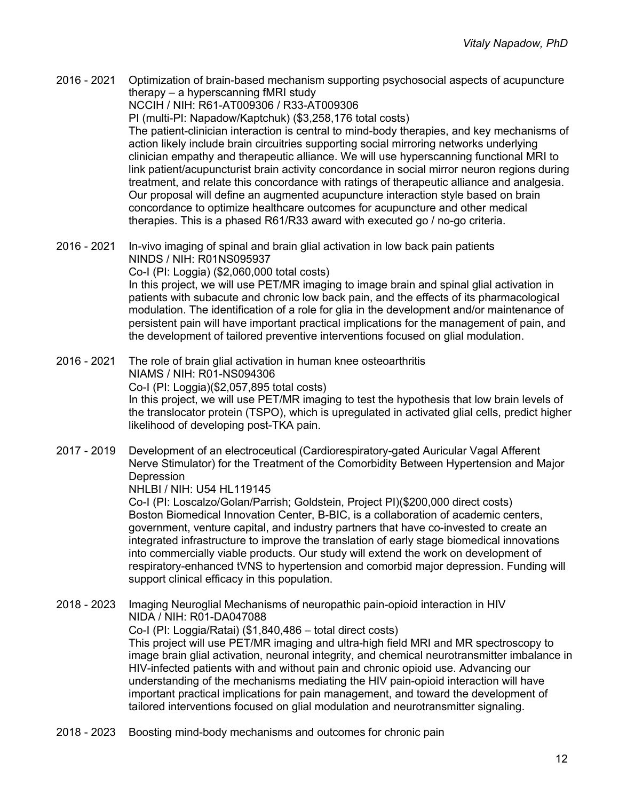2016 - 2021 Optimization of brain-based mechanism supporting psychosocial aspects of acupuncture therapy – a hyperscanning fMRI study NCCIH / NIH: R61-AT009306 / R33-AT009306 PI (multi-PI: Napadow/Kaptchuk) (\$3,258,176 total costs) The patient-clinician interaction is central to mind-body therapies, and key mechanisms of action likely include brain circuitries supporting social mirroring networks underlying clinician empathy and therapeutic alliance. We will use hyperscanning functional MRI to link patient/acupuncturist brain activity concordance in social mirror neuron regions during treatment, and relate this concordance with ratings of therapeutic alliance and analgesia. Our proposal will define an augmented acupuncture interaction style based on brain concordance to optimize healthcare outcomes for acupuncture and other medical therapies. This is a phased R61/R33 award with executed go / no-go criteria.

2016 - 2021 In-vivo imaging of spinal and brain glial activation in low back pain patients NINDS / NIH: R01NS095937 Co-I (PI: Loggia) (\$2,060,000 total costs) In this project, we will use PET/MR imaging to image brain and spinal glial activation in patients with subacute and chronic low back pain, and the effects of its pharmacological modulation. The identification of a role for glia in the development and/or maintenance of persistent pain will have important practical implications for the management of pain, and the development of tailored preventive interventions focused on glial modulation.

2016 - 2021 The role of brain glial activation in human knee osteoarthritis NIAMS / NIH: R01-NS094306 Co-I (PI: Loggia)(\$2,057,895 total costs) In this project, we will use PET/MR imaging to test the hypothesis that low brain levels of the translocator protein (TSPO), which is upregulated in activated glial cells, predict higher likelihood of developing post-TKA pain.

2017 - 2019 Development of an electroceutical (Cardiorespiratory-gated Auricular Vagal Afferent Nerve Stimulator) for the Treatment of the Comorbidity Between Hypertension and Major **Depression** 

NHLBI / NIH: U54 HL119145

Co-I (PI: Loscalzo/Golan/Parrish; Goldstein, Project PI)(\$200,000 direct costs) Boston Biomedical Innovation Center, B-BIC, is a collaboration of academic centers, government, venture capital, and industry partners that have co-invested to create an integrated infrastructure to improve the translation of early stage biomedical innovations into commercially viable products. Our study will extend the work on development of respiratory-enhanced tVNS to hypertension and comorbid major depression. Funding will support clinical efficacy in this population.

2018 - 2023 Imaging Neuroglial Mechanisms of neuropathic pain-opioid interaction in HIV NIDA / NIH: R01-DA047088 Co-I (PI: Loggia/Ratai) (\$1,840,486 – total direct costs) This project will use PET/MR imaging and ultra-high field MRI and MR spectroscopy to image brain glial activation, neuronal integrity, and chemical neurotransmitter imbalance in HIV-infected patients with and without pain and chronic opioid use. Advancing our understanding of the mechanisms mediating the HIV pain-opioid interaction will have important practical implications for pain management, and toward the development of tailored interventions focused on glial modulation and neurotransmitter signaling.

2018 - 2023 Boosting mind-body mechanisms and outcomes for chronic pain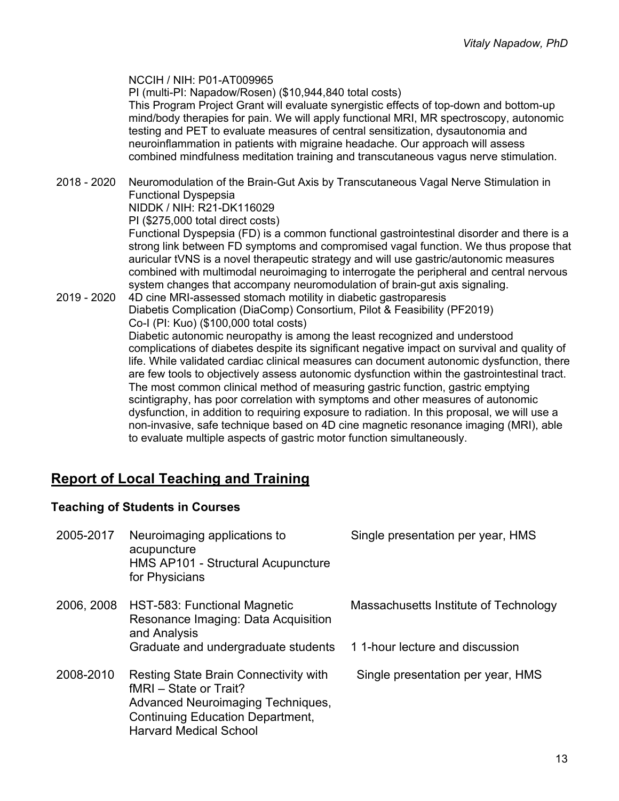#### NCCIH / NIH: P01-AT009965

PI (multi-PI: Napadow/Rosen) (\$10,944,840 total costs)

This Program Project Grant will evaluate synergistic effects of top-down and bottom-up mind/body therapies for pain. We will apply functional MRI, MR spectroscopy, autonomic testing and PET to evaluate measures of central sensitization, dysautonomia and neuroinflammation in patients with migraine headache. Our approach will assess combined mindfulness meditation training and transcutaneous vagus nerve stimulation.

2018 - 2020 Neuromodulation of the Brain-Gut Axis by Transcutaneous Vagal Nerve Stimulation in Functional Dyspepsia NIDDK / NIH: R21-DK116029

PI (\$275,000 total direct costs)

Functional Dyspepsia (FD) is a common functional gastrointestinal disorder and there is a strong link between FD symptoms and compromised vagal function. We thus propose that auricular tVNS is a novel therapeutic strategy and will use gastric/autonomic measures combined with multimodal neuroimaging to interrogate the peripheral and central nervous system changes that accompany neuromodulation of brain-gut axis signaling.

2019 - 2020 4D cine MRI-assessed stomach motility in diabetic gastroparesis Diabetis Complication (DiaComp) Consortium, Pilot & Feasibility (PF2019) Co-I (PI: Kuo) (\$100,000 total costs)

Diabetic autonomic neuropathy is among the least recognized and understood complications of diabetes despite its significant negative impact on survival and quality of life. While validated cardiac clinical measures can document autonomic dysfunction, there are few tools to objectively assess autonomic dysfunction within the gastrointestinal tract. The most common clinical method of measuring gastric function, gastric emptying scintigraphy, has poor correlation with symptoms and other measures of autonomic dysfunction, in addition to requiring exposure to radiation. In this proposal, we will use a non-invasive, safe technique based on 4D cine magnetic resonance imaging (MRI), able to evaluate multiple aspects of gastric motor function simultaneously.

## **Report of Local Teaching and Training**

### **Teaching of Students in Courses**

| 2005-2017  | Neuroimaging applications to<br>acupuncture<br><b>HMS AP101 - Structural Acupuncture</b><br>for Physicians                                                                       | Single presentation per year, HMS     |
|------------|----------------------------------------------------------------------------------------------------------------------------------------------------------------------------------|---------------------------------------|
| 2006, 2008 | HST-583: Functional Magnetic<br>Resonance Imaging: Data Acquisition<br>and Analysis                                                                                              | Massachusetts Institute of Technology |
|            | Graduate and undergraduate students                                                                                                                                              | 11-hour lecture and discussion        |
| 2008-2010  | Resting State Brain Connectivity with<br>fMRI - State or Trait?<br>Advanced Neuroimaging Techniques,<br><b>Continuing Education Department,</b><br><b>Harvard Medical School</b> | Single presentation per year, HMS     |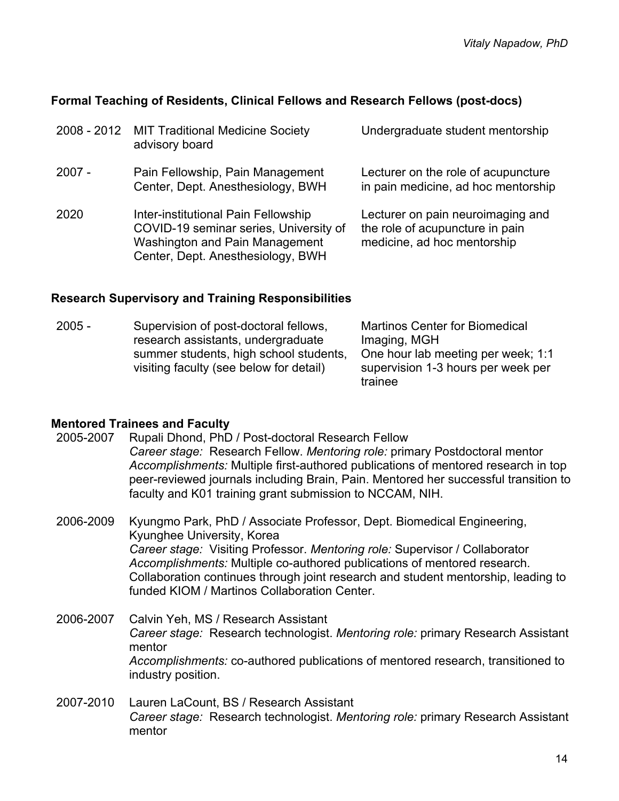### **Formal Teaching of Residents, Clinical Fellows and Research Fellows (post-docs)**

|          | 2008 - 2012 MIT Traditional Medicine Society<br>advisory board                                                                                       | Undergraduate student mentorship                                                                    |
|----------|------------------------------------------------------------------------------------------------------------------------------------------------------|-----------------------------------------------------------------------------------------------------|
| $2007 -$ | Pain Fellowship, Pain Management<br>Center, Dept. Anesthesiology, BWH                                                                                | Lecturer on the role of acupuncture<br>in pain medicine, ad hoc mentorship                          |
| 2020     | Inter-institutional Pain Fellowship<br>COVID-19 seminar series, University of<br>Washington and Pain Management<br>Center, Dept. Anesthesiology, BWH | Lecturer on pain neuroimaging and<br>the role of acupuncture in pain<br>medicine, ad hoc mentorship |

### **Research Supervisory and Training Responsibilities**

| $2005 -$ | Supervision of post-doctoral fellows,<br>research assistants, undergraduate<br>summer students, high school students, | <b>Martinos Center for Biomedical</b><br>Imaging, MGH<br>One hour lab meeting per week; 1:1 |
|----------|-----------------------------------------------------------------------------------------------------------------------|---------------------------------------------------------------------------------------------|
|          | visiting faculty (see below for detail)                                                                               | supervision 1-3 hours per week per                                                          |
|          |                                                                                                                       | trainee                                                                                     |

#### **Mentored Trainees and Faculty**

| 2005-2007 | Rupali Dhond, PhD / Post-doctoral Research Fellow                                   |
|-----------|-------------------------------------------------------------------------------------|
|           | Career stage: Research Fellow. Mentoring role: primary Postdoctoral mentor          |
|           | Accomplishments: Multiple first-authored publications of mentored research in top   |
|           | peer-reviewed journals including Brain, Pain. Mentored her successful transition to |
|           | faculty and K01 training grant submission to NCCAM, NIH.                            |

2006-2009 Kyungmo Park, PhD / Associate Professor, Dept. Biomedical Engineering, Kyunghee University, Korea *Career stage:* Visiting Professor. *Mentoring role:* Supervisor / Collaborator *Accomplishments:* Multiple co-authored publications of mentored research. Collaboration continues through joint research and student mentorship, leading to funded KIOM / Martinos Collaboration Center.

2006-2007 Calvin Yeh, MS / Research Assistant *Career stage:* Research technologist. *Mentoring role:* primary Research Assistant mentor *Accomplishments:* co-authored publications of mentored research, transitioned to industry position.

2007-2010 Lauren LaCount, BS / Research Assistant *Career stage:* Research technologist. *Mentoring role:* primary Research Assistant mentor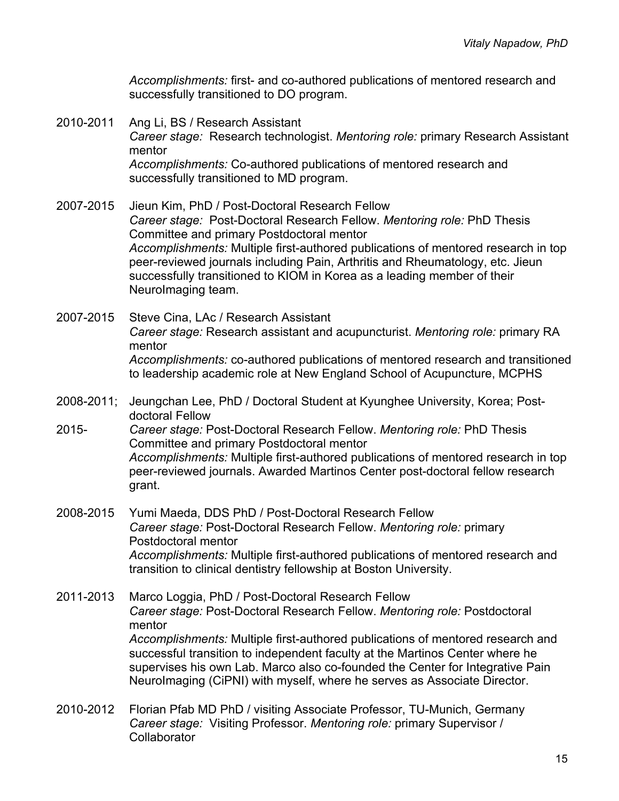*Accomplishments:* first- and co-authored publications of mentored research and successfully transitioned to DO program.

- 2010-2011 Ang Li, BS / Research Assistant *Career stage:* Research technologist. *Mentoring role:* primary Research Assistant mentor *Accomplishments:* Co-authored publications of mentored research and successfully transitioned to MD program.
- 2007-2015 Jieun Kim, PhD / Post-Doctoral Research Fellow *Career stage:* Post-Doctoral Research Fellow. *Mentoring role:* PhD Thesis Committee and primary Postdoctoral mentor *Accomplishments:* Multiple first-authored publications of mentored research in top peer-reviewed journals including Pain, Arthritis and Rheumatology, etc. Jieun successfully transitioned to KIOM in Korea as a leading member of their NeuroImaging team.
- 2007-2015 Steve Cina, LAc / Research Assistant *Career stage:* Research assistant and acupuncturist. *Mentoring role:* primary RA mentor *Accomplishments:* co-authored publications of mentored research and transitioned to leadership academic role at New England School of Acupuncture, MCPHS
- 2008-2011; Jeungchan Lee, PhD / Doctoral Student at Kyunghee University, Korea; Postdoctoral Fellow
- 2015- *Career stage:* Post-Doctoral Research Fellow. *Mentoring role:* PhD Thesis Committee and primary Postdoctoral mentor *Accomplishments:* Multiple first-authored publications of mentored research in top peer-reviewed journals. Awarded Martinos Center post-doctoral fellow research grant.
- 2008-2015 Yumi Maeda, DDS PhD / Post-Doctoral Research Fellow *Career stage:* Post-Doctoral Research Fellow. *Mentoring role:* primary Postdoctoral mentor *Accomplishments:* Multiple first-authored publications of mentored research and transition to clinical dentistry fellowship at Boston University.
- 2011-2013 Marco Loggia, PhD / Post-Doctoral Research Fellow *Career stage:* Post-Doctoral Research Fellow. *Mentoring role:* Postdoctoral mentor *Accomplishments:* Multiple first-authored publications of mentored research and successful transition to independent faculty at the Martinos Center where he supervises his own Lab. Marco also co-founded the Center for Integrative Pain NeuroImaging (CiPNI) with myself, where he serves as Associate Director.
- 2010-2012 Florian Pfab MD PhD / visiting Associate Professor, TU-Munich, Germany *Career stage:* Visiting Professor. *Mentoring role:* primary Supervisor / Collaborator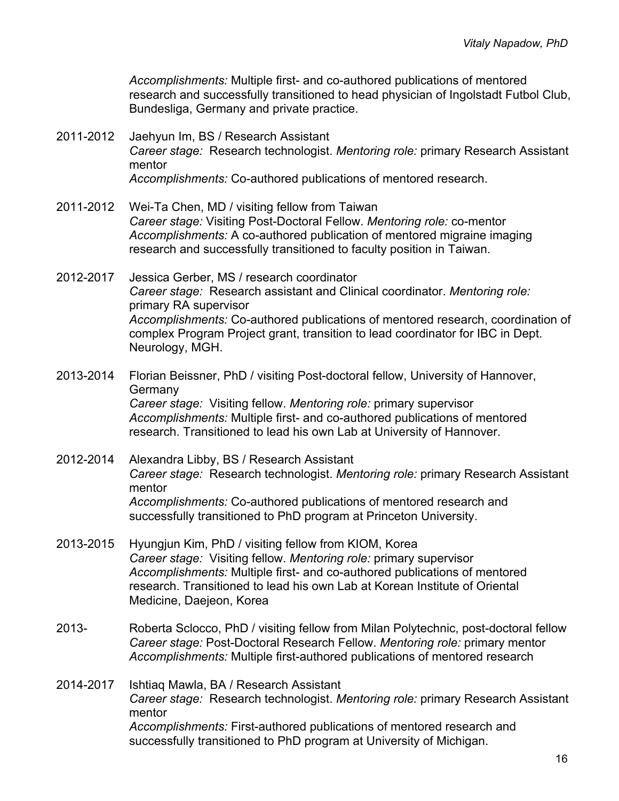*Accomplishments:* Multiple first- and co-authored publications of mentored research and successfully transitioned to head physician of Ingolstadt Futbol Club, Bundesliga, Germany and private practice.

- 2011-2012 Jaehyun Im, BS / Research Assistant *Career stage:* Research technologist. *Mentoring role:* primary Research Assistant mentor *Accomplishments:* Co-authored publications of mentored research.
- 2011-2012 Wei-Ta Chen, MD / visiting fellow from Taiwan *Career stage:* Visiting Post-Doctoral Fellow. *Mentoring role:* co-mentor *Accomplishments:* A co-authored publication of mentored migraine imaging research and successfully transitioned to faculty position in Taiwan.
- 2012-2017 Jessica Gerber, MS / research coordinator *Career stage:* Research assistant and Clinical coordinator. *Mentoring role:* primary RA supervisor *Accomplishments:* Co-authored publications of mentored research, coordination of complex Program Project grant, transition to lead coordinator for IBC in Dept. Neurology, MGH.
- 2013-2014 Florian Beissner, PhD / visiting Post-doctoral fellow, University of Hannover, **Germany** *Career stage:* Visiting fellow. *Mentoring role:* primary supervisor *Accomplishments:* Multiple first- and co-authored publications of mentored research. Transitioned to lead his own Lab at University of Hannover.
- 2012-2014 Alexandra Libby, BS / Research Assistant *Career stage:* Research technologist. *Mentoring role:* primary Research Assistant mentor *Accomplishments:* Co-authored publications of mentored research and successfully transitioned to PhD program at Princeton University.
- 2013-2015 Hyungjun Kim, PhD / visiting fellow from KIOM, Korea *Career stage:* Visiting fellow. *Mentoring role:* primary supervisor *Accomplishments:* Multiple first- and co-authored publications of mentored research. Transitioned to lead his own Lab at Korean Institute of Oriental Medicine, Daejeon, Korea
- 2013- Roberta Sclocco, PhD / visiting fellow from Milan Polytechnic, post-doctoral fellow *Career stage:* Post-Doctoral Research Fellow. *Mentoring role:* primary mentor *Accomplishments:* Multiple first-authored publications of mentored research
- 2014-2017 Ishtiaq Mawla, BA / Research Assistant *Career stage:* Research technologist. *Mentoring role:* primary Research Assistant mentor *Accomplishments:* First-authored publications of mentored research and successfully transitioned to PhD program at University of Michigan.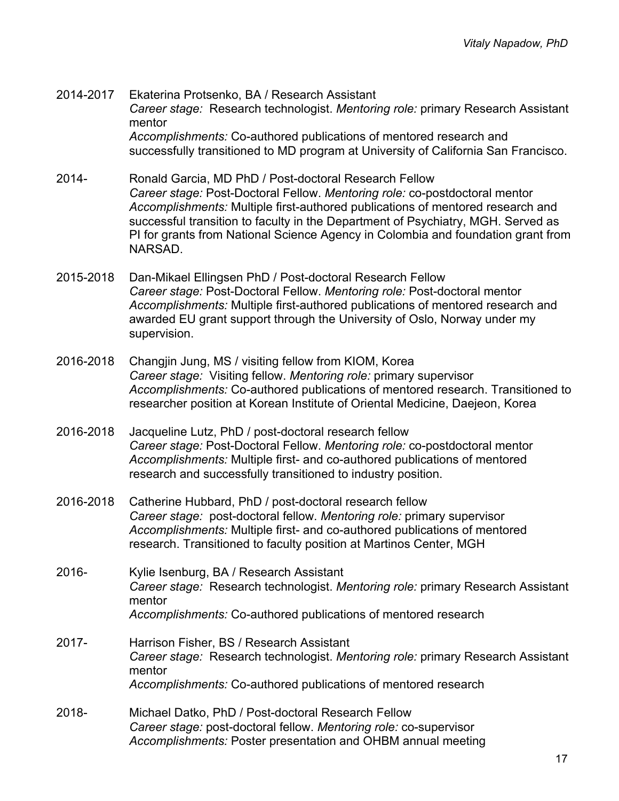- 2014-2017 Ekaterina Protsenko, BA / Research Assistant *Career stage:* Research technologist. *Mentoring role:* primary Research Assistant mentor *Accomplishments:* Co-authored publications of mentored research and successfully transitioned to MD program at University of California San Francisco.
- 2014- Ronald Garcia, MD PhD / Post-doctoral Research Fellow *Career stage:* Post-Doctoral Fellow. *Mentoring role:* co-postdoctoral mentor *Accomplishments:* Multiple first-authored publications of mentored research and successful transition to faculty in the Department of Psychiatry, MGH. Served as PI for grants from National Science Agency in Colombia and foundation grant from NARSAD.
- 2015-2018 Dan-Mikael Ellingsen PhD / Post-doctoral Research Fellow *Career stage:* Post-Doctoral Fellow. *Mentoring role:* Post-doctoral mentor *Accomplishments:* Multiple first-authored publications of mentored research and awarded EU grant support through the University of Oslo, Norway under my supervision.
- 2016-2018 Changjin Jung, MS / visiting fellow from KIOM, Korea *Career stage:* Visiting fellow. *Mentoring role:* primary supervisor *Accomplishments:* Co-authored publications of mentored research. Transitioned to researcher position at Korean Institute of Oriental Medicine, Daejeon, Korea
- 2016-2018 Jacqueline Lutz, PhD / post-doctoral research fellow *Career stage:* Post-Doctoral Fellow. *Mentoring role:* co-postdoctoral mentor *Accomplishments:* Multiple first- and co-authored publications of mentored research and successfully transitioned to industry position.
- 2016-2018 Catherine Hubbard, PhD / post-doctoral research fellow *Career stage:* post-doctoral fellow. *Mentoring role:* primary supervisor *Accomplishments:* Multiple first- and co-authored publications of mentored research. Transitioned to faculty position at Martinos Center, MGH
- 2016- Kylie Isenburg, BA / Research Assistant *Career stage:* Research technologist. *Mentoring role:* primary Research Assistant mentor *Accomplishments:* Co-authored publications of mentored research
- 2017- Harrison Fisher, BS / Research Assistant *Career stage:* Research technologist. *Mentoring role:* primary Research Assistant mentor *Accomplishments:* Co-authored publications of mentored research
- 2018- Michael Datko, PhD / Post-doctoral Research Fellow *Career stage:* post-doctoral fellow. *Mentoring role:* co-supervisor *Accomplishments:* Poster presentation and OHBM annual meeting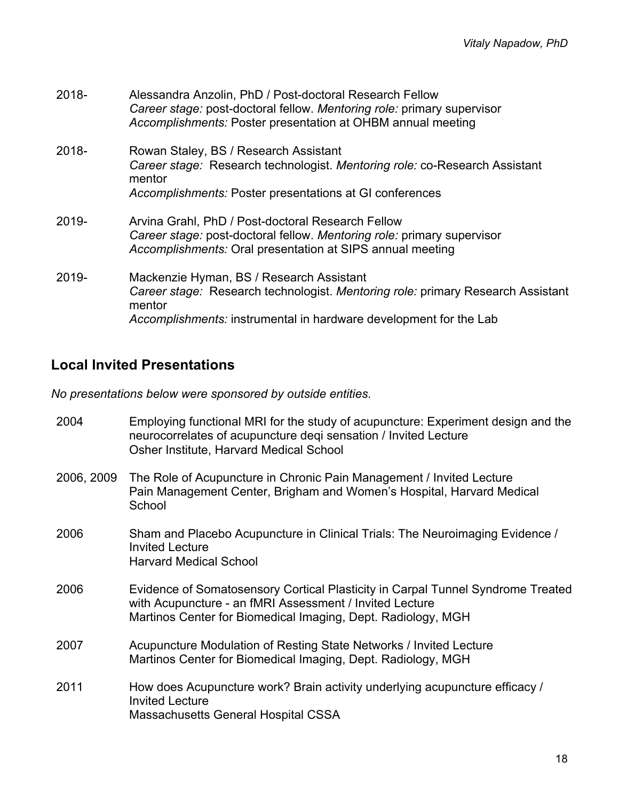| 2018- | Alessandra Anzolin, PhD / Post-doctoral Research Fellow<br>Career stage: post-doctoral fellow. Mentoring role: primary supervisor<br>Accomplishments: Poster presentation at OHBM annual meeting           |
|-------|------------------------------------------------------------------------------------------------------------------------------------------------------------------------------------------------------------|
| 2018- | Rowan Staley, BS / Research Assistant<br>Career stage: Research technologist. Mentoring role: co-Research Assistant<br>mentor<br>Accomplishments: Poster presentations at GI conferences                   |
| 2019- | Arvina Grahl, PhD / Post-doctoral Research Fellow<br>Career stage: post-doctoral fellow. Mentoring role: primary supervisor<br>Accomplishments: Oral presentation at SIPS annual meeting                   |
| 2019- | Mackenzie Hyman, BS / Research Assistant<br>Career stage: Research technologist. Mentoring role: primary Research Assistant<br>mentor<br>Accomplishments: instrumental in hardware development for the Lab |

# **Local Invited Presentations**

*No presentations below were sponsored by outside entities.*

| 2004       | Employing functional MRI for the study of acupuncture: Experiment design and the<br>neurocorrelates of acupuncture degi sensation / Invited Lecture<br>Osher Institute, Harvard Medical School             |  |
|------------|------------------------------------------------------------------------------------------------------------------------------------------------------------------------------------------------------------|--|
| 2006, 2009 | The Role of Acupuncture in Chronic Pain Management / Invited Lecture<br>Pain Management Center, Brigham and Women's Hospital, Harvard Medical<br>School                                                    |  |
| 2006       | Sham and Placebo Acupuncture in Clinical Trials: The Neuroimaging Evidence /<br><b>Invited Lecture</b><br><b>Harvard Medical School</b>                                                                    |  |
| 2006       | Evidence of Somatosensory Cortical Plasticity in Carpal Tunnel Syndrome Treated<br>with Acupuncture - an fMRI Assessment / Invited Lecture<br>Martinos Center for Biomedical Imaging, Dept. Radiology, MGH |  |
| 2007       | Acupuncture Modulation of Resting State Networks / Invited Lecture<br>Martinos Center for Biomedical Imaging, Dept. Radiology, MGH                                                                         |  |
| 2011       | How does Acupuncture work? Brain activity underlying acupuncture efficacy /<br><b>Invited Lecture</b><br>Massachusetts General Hospital CSSA                                                               |  |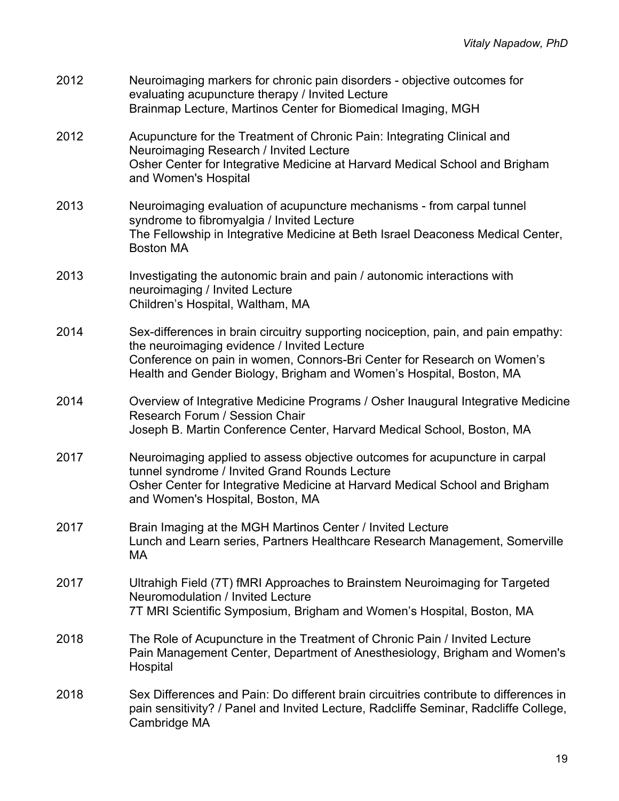| 2012 | Neuroimaging markers for chronic pain disorders - objective outcomes for<br>evaluating acupuncture therapy / Invited Lecture<br>Brainmap Lecture, Martinos Center for Biomedical Imaging, MGH                                                                                       |  |
|------|-------------------------------------------------------------------------------------------------------------------------------------------------------------------------------------------------------------------------------------------------------------------------------------|--|
| 2012 | Acupuncture for the Treatment of Chronic Pain: Integrating Clinical and<br>Neuroimaging Research / Invited Lecture<br>Osher Center for Integrative Medicine at Harvard Medical School and Brigham<br>and Women's Hospital                                                           |  |
| 2013 | Neuroimaging evaluation of acupuncture mechanisms - from carpal tunnel<br>syndrome to fibromyalgia / Invited Lecture<br>The Fellowship in Integrative Medicine at Beth Israel Deaconess Medical Center,<br><b>Boston MA</b>                                                         |  |
| 2013 | Investigating the autonomic brain and pain / autonomic interactions with<br>neuroimaging / Invited Lecture<br>Children's Hospital, Waltham, MA                                                                                                                                      |  |
| 2014 | Sex-differences in brain circuitry supporting nociception, pain, and pain empathy:<br>the neuroimaging evidence / Invited Lecture<br>Conference on pain in women, Connors-Bri Center for Research on Women's<br>Health and Gender Biology, Brigham and Women's Hospital, Boston, MA |  |
| 2014 | Overview of Integrative Medicine Programs / Osher Inaugural Integrative Medicine<br>Research Forum / Session Chair<br>Joseph B. Martin Conference Center, Harvard Medical School, Boston, MA                                                                                        |  |
| 2017 | Neuroimaging applied to assess objective outcomes for acupuncture in carpal<br>tunnel syndrome / Invited Grand Rounds Lecture<br>Osher Center for Integrative Medicine at Harvard Medical School and Brigham<br>and Women's Hospital, Boston, MA                                    |  |
| 2017 | Brain Imaging at the MGH Martinos Center / Invited Lecture<br>Lunch and Learn series, Partners Healthcare Research Management, Somerville<br>МA                                                                                                                                     |  |
| 2017 | Ultrahigh Field (7T) fMRI Approaches to Brainstem Neuroimaging for Targeted<br>Neuromodulation / Invited Lecture<br>7T MRI Scientific Symposium, Brigham and Women's Hospital, Boston, MA                                                                                           |  |
| 2018 | The Role of Acupuncture in the Treatment of Chronic Pain / Invited Lecture<br>Pain Management Center, Department of Anesthesiology, Brigham and Women's<br>Hospital                                                                                                                 |  |
| 2018 | Sex Differences and Pain: Do different brain circuitries contribute to differences in<br>pain sensitivity? / Panel and Invited Lecture, Radcliffe Seminar, Radcliffe College,<br>Cambridge MA                                                                                       |  |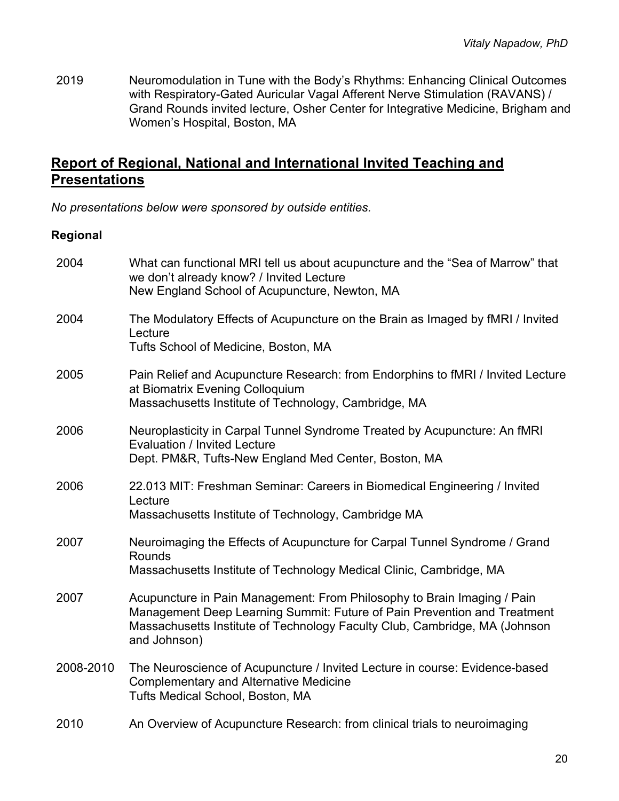2019 Neuromodulation in Tune with the Body's Rhythms: Enhancing Clinical Outcomes with Respiratory-Gated Auricular Vagal Afferent Nerve Stimulation (RAVANS) / Grand Rounds invited lecture, Osher Center for Integrative Medicine, Brigham and Women's Hospital, Boston, MA

## **Report of Regional, National and International Invited Teaching and Presentations**

*No presentations below were sponsored by outside entities.* 

### **Regional**

| 2004      | What can functional MRI tell us about acupuncture and the "Sea of Marrow" that<br>we don't already know? / Invited Lecture<br>New England School of Acupuncture, Newton, MA                                                                       |  |
|-----------|---------------------------------------------------------------------------------------------------------------------------------------------------------------------------------------------------------------------------------------------------|--|
| 2004      | The Modulatory Effects of Acupuncture on the Brain as Imaged by fMRI / Invited<br>Lecture<br>Tufts School of Medicine, Boston, MA                                                                                                                 |  |
| 2005      | Pain Relief and Acupuncture Research: from Endorphins to fMRI / Invited Lecture<br>at Biomatrix Evening Colloquium<br>Massachusetts Institute of Technology, Cambridge, MA                                                                        |  |
| 2006      | Neuroplasticity in Carpal Tunnel Syndrome Treated by Acupuncture: An fMRI<br><b>Evaluation / Invited Lecture</b><br>Dept. PM&R, Tufts-New England Med Center, Boston, MA                                                                          |  |
| 2006      | 22.013 MIT: Freshman Seminar: Careers in Biomedical Engineering / Invited<br>Lecture<br>Massachusetts Institute of Technology, Cambridge MA                                                                                                       |  |
| 2007      | Neuroimaging the Effects of Acupuncture for Carpal Tunnel Syndrome / Grand<br>Rounds<br>Massachusetts Institute of Technology Medical Clinic, Cambridge, MA                                                                                       |  |
| 2007      | Acupuncture in Pain Management: From Philosophy to Brain Imaging / Pain<br>Management Deep Learning Summit: Future of Pain Prevention and Treatment<br>Massachusetts Institute of Technology Faculty Club, Cambridge, MA (Johnson<br>and Johnson) |  |
| 2008-2010 | The Neuroscience of Acupuncture / Invited Lecture in course: Evidence-based<br><b>Complementary and Alternative Medicine</b><br>Tufts Medical School, Boston, MA                                                                                  |  |
| 2010      | An Overview of Acupuncture Research: from clinical trials to neuroimaging                                                                                                                                                                         |  |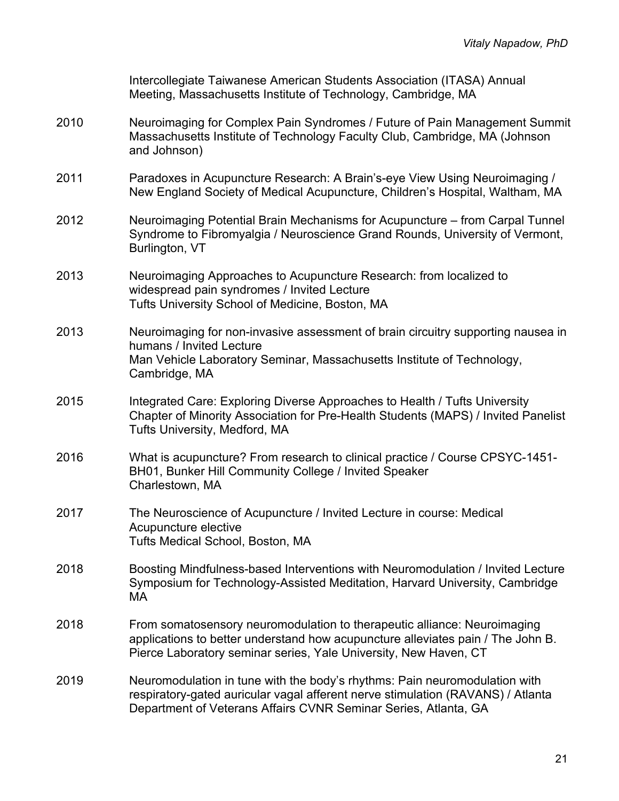|      | Intercollegiate Taiwanese American Students Association (ITASA) Annual<br>Meeting, Massachusetts Institute of Technology, Cambridge, MA                                                                                          |  |  |
|------|----------------------------------------------------------------------------------------------------------------------------------------------------------------------------------------------------------------------------------|--|--|
| 2010 | Neuroimaging for Complex Pain Syndromes / Future of Pain Management Summit<br>Massachusetts Institute of Technology Faculty Club, Cambridge, MA (Johnson<br>and Johnson)                                                         |  |  |
| 2011 | Paradoxes in Acupuncture Research: A Brain's-eye View Using Neuroimaging /<br>New England Society of Medical Acupuncture, Children's Hospital, Waltham, MA                                                                       |  |  |
| 2012 | Neuroimaging Potential Brain Mechanisms for Acupuncture – from Carpal Tunnel<br>Syndrome to Fibromyalgia / Neuroscience Grand Rounds, University of Vermont,<br>Burlington, VT                                                   |  |  |
| 2013 | Neuroimaging Approaches to Acupuncture Research: from localized to<br>widespread pain syndromes / Invited Lecture<br>Tufts University School of Medicine, Boston, MA                                                             |  |  |
| 2013 | Neuroimaging for non-invasive assessment of brain circuitry supporting nausea in<br>humans / Invited Lecture<br>Man Vehicle Laboratory Seminar, Massachusetts Institute of Technology,<br>Cambridge, MA                          |  |  |
| 2015 | Integrated Care: Exploring Diverse Approaches to Health / Tufts University<br>Chapter of Minority Association for Pre-Health Students (MAPS) / Invited Panelist<br>Tufts University, Medford, MA                                 |  |  |
| 2016 | What is acupuncture? From research to clinical practice / Course CPSYC-1451-<br>BH01, Bunker Hill Community College / Invited Speaker<br>Charlestown, MA                                                                         |  |  |
| 2017 | The Neuroscience of Acupuncture / Invited Lecture in course: Medical<br>Acupuncture elective<br>Tufts Medical School, Boston, MA                                                                                                 |  |  |
| 2018 | Boosting Mindfulness-based Interventions with Neuromodulation / Invited Lecture<br>Symposium for Technology-Assisted Meditation, Harvard University, Cambridge<br>МA                                                             |  |  |
| 2018 | From somatosensory neuromodulation to therapeutic alliance: Neuroimaging<br>applications to better understand how acupuncture alleviates pain / The John B.<br>Pierce Laboratory seminar series, Yale University, New Haven, CT  |  |  |
| 2019 | Neuromodulation in tune with the body's rhythms: Pain neuromodulation with<br>respiratory-gated auricular vagal afferent nerve stimulation (RAVANS) / Atlanta<br>Department of Veterans Affairs CVNR Seminar Series, Atlanta, GA |  |  |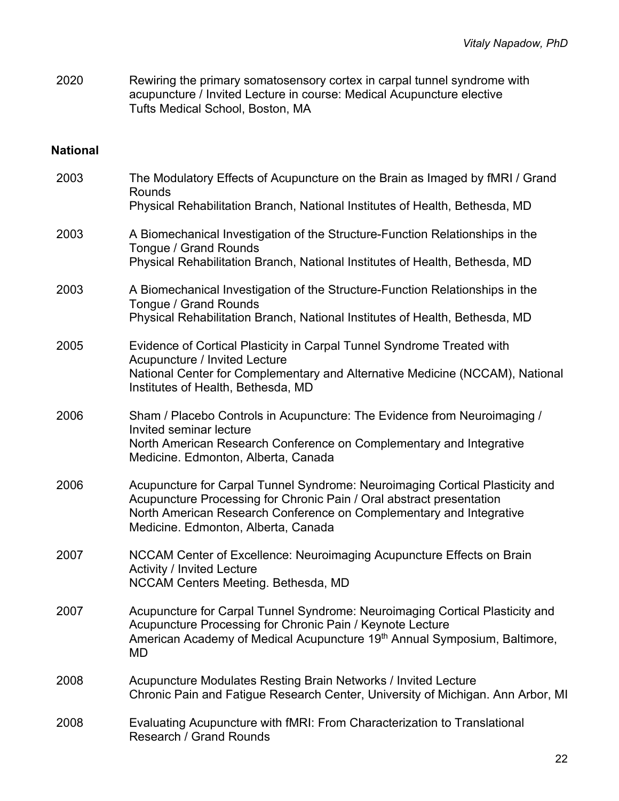2020 Rewiring the primary somatosensory cortex in carpal tunnel syndrome with acupuncture / Invited Lecture in course: Medical Acupuncture elective Tufts Medical School, Boston, MA

### **National**

| 2003 | The Modulatory Effects of Acupuncture on the Brain as Imaged by fMRI / Grand<br><b>Rounds</b>                                                                                                                                                                      |  |  |
|------|--------------------------------------------------------------------------------------------------------------------------------------------------------------------------------------------------------------------------------------------------------------------|--|--|
|      | Physical Rehabilitation Branch, National Institutes of Health, Bethesda, MD                                                                                                                                                                                        |  |  |
| 2003 | A Biomechanical Investigation of the Structure-Function Relationships in the<br>Tongue / Grand Rounds                                                                                                                                                              |  |  |
|      | Physical Rehabilitation Branch, National Institutes of Health, Bethesda, MD                                                                                                                                                                                        |  |  |
| 2003 | A Biomechanical Investigation of the Structure-Function Relationships in the<br>Tongue / Grand Rounds                                                                                                                                                              |  |  |
|      | Physical Rehabilitation Branch, National Institutes of Health, Bethesda, MD                                                                                                                                                                                        |  |  |
| 2005 | Evidence of Cortical Plasticity in Carpal Tunnel Syndrome Treated with<br>Acupuncture / Invited Lecture                                                                                                                                                            |  |  |
|      | National Center for Complementary and Alternative Medicine (NCCAM), National<br>Institutes of Health, Bethesda, MD                                                                                                                                                 |  |  |
| 2006 | Sham / Placebo Controls in Acupuncture: The Evidence from Neuroimaging /<br>Invited seminar lecture                                                                                                                                                                |  |  |
|      | North American Research Conference on Complementary and Integrative<br>Medicine. Edmonton, Alberta, Canada                                                                                                                                                         |  |  |
| 2006 | Acupuncture for Carpal Tunnel Syndrome: Neuroimaging Cortical Plasticity and<br>Acupuncture Processing for Chronic Pain / Oral abstract presentation<br>North American Research Conference on Complementary and Integrative<br>Medicine. Edmonton, Alberta, Canada |  |  |
| 2007 | NCCAM Center of Excellence: Neuroimaging Acupuncture Effects on Brain<br><b>Activity / Invited Lecture</b><br>NCCAM Centers Meeting. Bethesda, MD                                                                                                                  |  |  |
| 2007 | Acupuncture for Carpal Tunnel Syndrome: Neuroimaging Cortical Plasticity and<br>Acupuncture Processing for Chronic Pain / Keynote Lecture<br>American Academy of Medical Acupuncture 19 <sup>th</sup> Annual Symposium, Baltimore,<br>MD                           |  |  |
| 2008 | Acupuncture Modulates Resting Brain Networks / Invited Lecture<br>Chronic Pain and Fatigue Research Center, University of Michigan. Ann Arbor, MI                                                                                                                  |  |  |
| 2008 | Evaluating Acupuncture with fMRI: From Characterization to Translational<br>Research / Grand Rounds                                                                                                                                                                |  |  |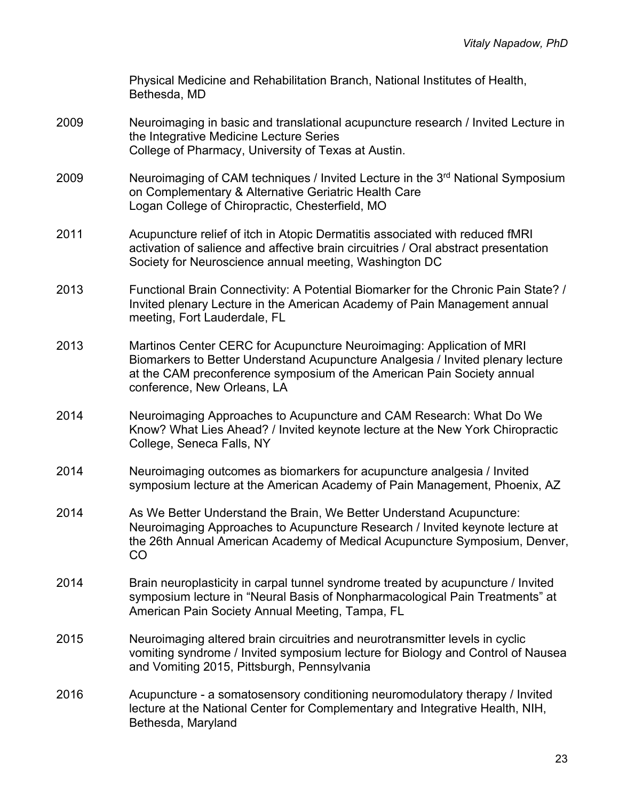|      | Physical Medicine and Rehabilitation Branch, National Institutes of Health,<br>Bethesda, MD                                                                                                                                                                       |  |  |
|------|-------------------------------------------------------------------------------------------------------------------------------------------------------------------------------------------------------------------------------------------------------------------|--|--|
| 2009 | Neuroimaging in basic and translational acupuncture research / Invited Lecture in<br>the Integrative Medicine Lecture Series<br>College of Pharmacy, University of Texas at Austin.                                                                               |  |  |
| 2009 | Neuroimaging of CAM techniques / Invited Lecture in the 3 <sup>rd</sup> National Symposium<br>on Complementary & Alternative Geriatric Health Care<br>Logan College of Chiropractic, Chesterfield, MO                                                             |  |  |
| 2011 | Acupuncture relief of itch in Atopic Dermatitis associated with reduced fMRI<br>activation of salience and affective brain circuitries / Oral abstract presentation<br>Society for Neuroscience annual meeting, Washington DC                                     |  |  |
| 2013 | Functional Brain Connectivity: A Potential Biomarker for the Chronic Pain State? /<br>Invited plenary Lecture in the American Academy of Pain Management annual<br>meeting, Fort Lauderdale, FL                                                                   |  |  |
| 2013 | Martinos Center CERC for Acupuncture Neuroimaging: Application of MRI<br>Biomarkers to Better Understand Acupuncture Analgesia / Invited plenary lecture<br>at the CAM preconference symposium of the American Pain Society annual<br>conference, New Orleans, LA |  |  |
| 2014 | Neuroimaging Approaches to Acupuncture and CAM Research: What Do We<br>Know? What Lies Ahead? / Invited keynote lecture at the New York Chiropractic<br>College, Seneca Falls, NY                                                                                 |  |  |
| 2014 | Neuroimaging outcomes as biomarkers for acupuncture analgesia / Invited<br>symposium lecture at the American Academy of Pain Management, Phoenix, AZ                                                                                                              |  |  |
| 2014 | As We Better Understand the Brain, We Better Understand Acupuncture:<br>Neuroimaging Approaches to Acupuncture Research / Invited keynote lecture at<br>the 26th Annual American Academy of Medical Acupuncture Symposium, Denver,<br><b>CO</b>                   |  |  |
| 2014 | Brain neuroplasticity in carpal tunnel syndrome treated by acupuncture / Invited<br>symposium lecture in "Neural Basis of Nonpharmacological Pain Treatments" at<br>American Pain Society Annual Meeting, Tampa, FL                                               |  |  |
| 2015 | Neuroimaging altered brain circuitries and neurotransmitter levels in cyclic<br>vomiting syndrome / Invited symposium lecture for Biology and Control of Nausea<br>and Vomiting 2015, Pittsburgh, Pennsylvania                                                    |  |  |
| 2016 | Acupuncture - a somatosensory conditioning neuromodulatory therapy / Invited<br>lecture at the National Center for Complementary and Integrative Health, NIH,<br>Bethesda, Maryland                                                                               |  |  |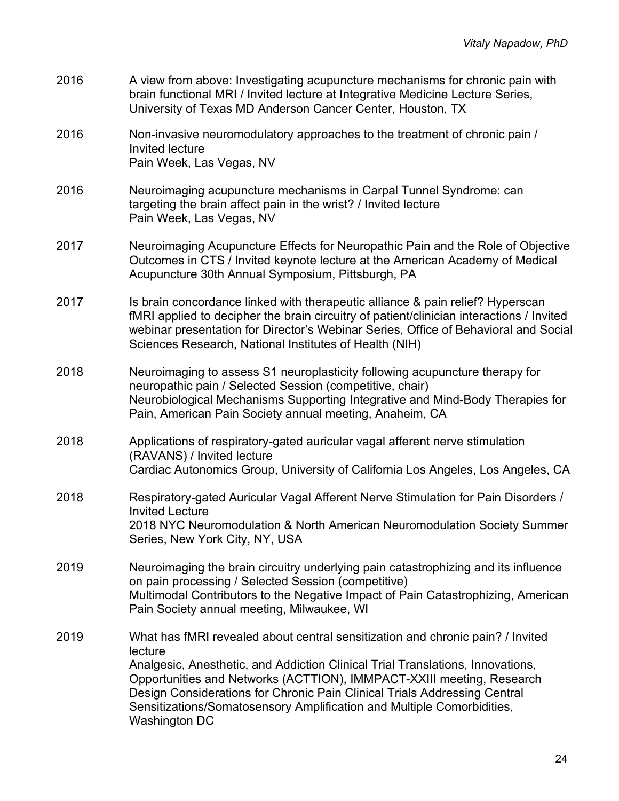| 2016 | A view from above: Investigating acupuncture mechanisms for chronic pain with<br>brain functional MRI / Invited lecture at Integrative Medicine Lecture Series,<br>University of Texas MD Anderson Cancer Center, Houston, TX                                                                                                                                                                                                       |  |  |
|------|-------------------------------------------------------------------------------------------------------------------------------------------------------------------------------------------------------------------------------------------------------------------------------------------------------------------------------------------------------------------------------------------------------------------------------------|--|--|
| 2016 | Non-invasive neuromodulatory approaches to the treatment of chronic pain /<br>Invited lecture<br>Pain Week, Las Vegas, NV                                                                                                                                                                                                                                                                                                           |  |  |
| 2016 | Neuroimaging acupuncture mechanisms in Carpal Tunnel Syndrome: can<br>targeting the brain affect pain in the wrist? / Invited lecture<br>Pain Week, Las Vegas, NV                                                                                                                                                                                                                                                                   |  |  |
| 2017 | Neuroimaging Acupuncture Effects for Neuropathic Pain and the Role of Objective<br>Outcomes in CTS / Invited keynote lecture at the American Academy of Medical<br>Acupuncture 30th Annual Symposium, Pittsburgh, PA                                                                                                                                                                                                                |  |  |
| 2017 | Is brain concordance linked with therapeutic alliance & pain relief? Hyperscan<br>fMRI applied to decipher the brain circuitry of patient/clinician interactions / Invited<br>webinar presentation for Director's Webinar Series, Office of Behavioral and Social<br>Sciences Research, National Institutes of Health (NIH)                                                                                                         |  |  |
| 2018 | Neuroimaging to assess S1 neuroplasticity following acupuncture therapy for<br>neuropathic pain / Selected Session (competitive, chair)<br>Neurobiological Mechanisms Supporting Integrative and Mind-Body Therapies for<br>Pain, American Pain Society annual meeting, Anaheim, CA                                                                                                                                                 |  |  |
| 2018 | Applications of respiratory-gated auricular vagal afferent nerve stimulation<br>(RAVANS) / Invited lecture<br>Cardiac Autonomics Group, University of California Los Angeles, Los Angeles, CA                                                                                                                                                                                                                                       |  |  |
| 2018 | Respiratory-gated Auricular Vagal Afferent Nerve Stimulation for Pain Disorders /<br><b>Invited Lecture</b><br>2018 NYC Neuromodulation & North American Neuromodulation Society Summer<br>Series, New York City, NY, USA                                                                                                                                                                                                           |  |  |
| 2019 | Neuroimaging the brain circuitry underlying pain catastrophizing and its influence<br>on pain processing / Selected Session (competitive)<br>Multimodal Contributors to the Negative Impact of Pain Catastrophizing, American<br>Pain Society annual meeting, Milwaukee, WI                                                                                                                                                         |  |  |
| 2019 | What has fMRI revealed about central sensitization and chronic pain? / Invited<br>lecture<br>Analgesic, Anesthetic, and Addiction Clinical Trial Translations, Innovations,<br>Opportunities and Networks (ACTTION), IMMPACT-XXIII meeting, Research<br>Design Considerations for Chronic Pain Clinical Trials Addressing Central<br>Sensitizations/Somatosensory Amplification and Multiple Comorbidities,<br><b>Washington DC</b> |  |  |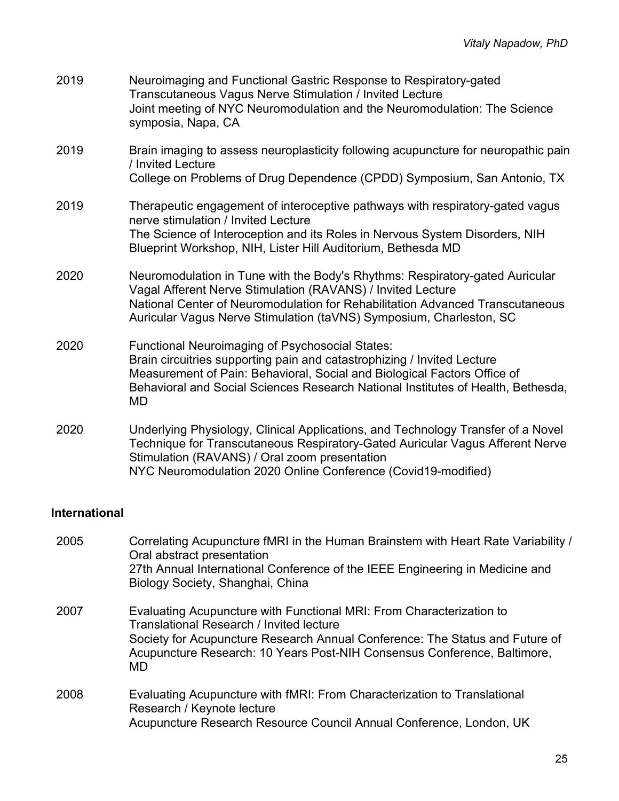| 2019 | Neuroimaging and Functional Gastric Response to Respiratory-gated<br>Transcutaneous Vagus Nerve Stimulation / Invited Lecture<br>Joint meeting of NYC Neuromodulation and the Neuromodulation: The Science<br>symposia, Napa, CA                                                                               |  |
|------|----------------------------------------------------------------------------------------------------------------------------------------------------------------------------------------------------------------------------------------------------------------------------------------------------------------|--|
| 2019 | Brain imaging to assess neuroplasticity following acupuncture for neuropathic pain<br>/ Invited Lecture<br>College on Problems of Drug Dependence (CPDD) Symposium, San Antonio, TX                                                                                                                            |  |
| 2019 | Therapeutic engagement of interoceptive pathways with respiratory-gated vagus<br>nerve stimulation / Invited Lecture<br>The Science of Interoception and its Roles in Nervous System Disorders, NIH<br>Blueprint Workshop, NIH, Lister Hill Auditorium, Bethesda MD                                            |  |
| 2020 | Neuromodulation in Tune with the Body's Rhythms: Respiratory-gated Auricular<br>Vagal Afferent Nerve Stimulation (RAVANS) / Invited Lecture<br>National Center of Neuromodulation for Rehabilitation Advanced Transcutaneous<br>Auricular Vagus Nerve Stimulation (taVNS) Symposium, Charleston, SC            |  |
| 2020 | <b>Functional Neuroimaging of Psychosocial States:</b><br>Brain circuitries supporting pain and catastrophizing / Invited Lecture<br>Measurement of Pain: Behavioral, Social and Biological Factors Office of<br>Behavioral and Social Sciences Research National Institutes of Health, Bethesda,<br><b>MD</b> |  |
| 2020 | Underlying Physiology, Clinical Applications, and Technology Transfer of a Novel<br>Technique for Transcutaneous Respiratory-Gated Auricular Vagus Afferent Nerve<br>Stimulation (RAVANS) / Oral zoom presentation<br>NYC Neuromodulation 2020 Online Conference (Covid19-modified)                            |  |

### **International**

| 2005 | Correlating Acupuncture fMRI in the Human Brainstem with Heart Rate Variability /<br>Oral abstract presentation<br>27th Annual International Conference of the IEEE Engineering in Medicine and<br>Biology Society, Shanghai, China                                                |
|------|------------------------------------------------------------------------------------------------------------------------------------------------------------------------------------------------------------------------------------------------------------------------------------|
| 2007 | Evaluating Acupuncture with Functional MRI: From Characterization to<br>Translational Research / Invited lecture<br>Society for Acupuncture Research Annual Conference: The Status and Future of<br>Acupuncture Research: 10 Years Post-NIH Consensus Conference, Baltimore,<br>MD |
| 2008 | Evaluating Acupuncture with fMRI: From Characterization to Translational<br>Research / Keynote lecture<br>Acupuncture Research Resource Council Annual Conference, London, UK                                                                                                      |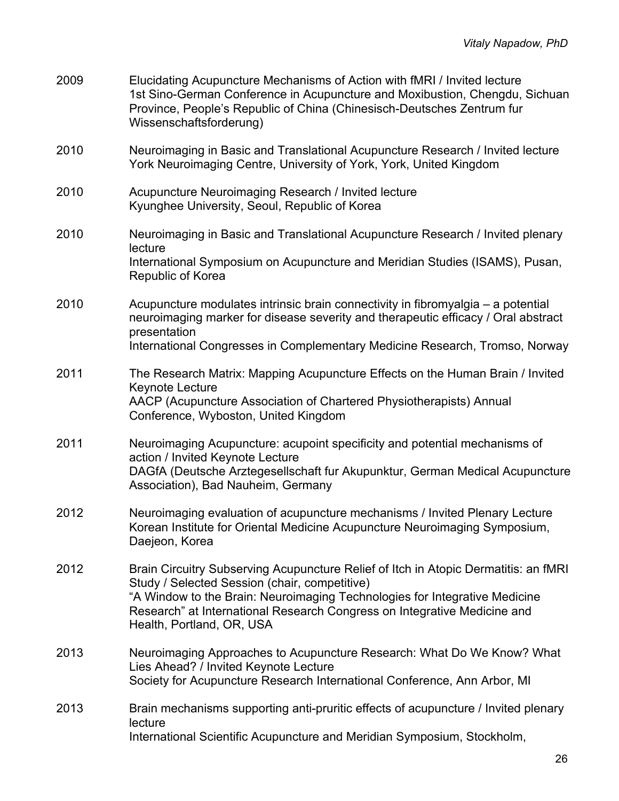| 2009 | Elucidating Acupuncture Mechanisms of Action with fMRI / Invited lecture<br>1st Sino-German Conference in Acupuncture and Moxibustion, Chengdu, Sichuan<br>Province, People's Republic of China (Chinesisch-Deutsches Zentrum fur<br>Wissenschaftsforderung)                                                                |  |  |
|------|-----------------------------------------------------------------------------------------------------------------------------------------------------------------------------------------------------------------------------------------------------------------------------------------------------------------------------|--|--|
| 2010 | Neuroimaging in Basic and Translational Acupuncture Research / Invited lecture<br>York Neuroimaging Centre, University of York, York, United Kingdom                                                                                                                                                                        |  |  |
| 2010 | Acupuncture Neuroimaging Research / Invited lecture<br>Kyunghee University, Seoul, Republic of Korea                                                                                                                                                                                                                        |  |  |
| 2010 | Neuroimaging in Basic and Translational Acupuncture Research / Invited plenary<br>lecture<br>International Symposium on Acupuncture and Meridian Studies (ISAMS), Pusan,<br>Republic of Korea                                                                                                                               |  |  |
| 2010 | Acupuncture modulates intrinsic brain connectivity in fibromyalgia – a potential<br>neuroimaging marker for disease severity and therapeutic efficacy / Oral abstract<br>presentation<br>International Congresses in Complementary Medicine Research, Tromso, Norway                                                        |  |  |
| 2011 | The Research Matrix: Mapping Acupuncture Effects on the Human Brain / Invited<br><b>Keynote Lecture</b><br>AACP (Acupuncture Association of Chartered Physiotherapists) Annual<br>Conference, Wyboston, United Kingdom                                                                                                      |  |  |
| 2011 | Neuroimaging Acupuncture: acupoint specificity and potential mechanisms of<br>action / Invited Keynote Lecture<br>DAGfA (Deutsche Arztegesellschaft fur Akupunktur, German Medical Acupuncture<br>Association), Bad Nauheim, Germany                                                                                        |  |  |
| 2012 | Neuroimaging evaluation of acupuncture mechanisms / Invited Plenary Lecture<br>Korean Institute for Oriental Medicine Acupuncture Neuroimaging Symposium,<br>Daejeon, Korea                                                                                                                                                 |  |  |
| 2012 | Brain Circuitry Subserving Acupuncture Relief of Itch in Atopic Dermatitis: an fMRI<br>Study / Selected Session (chair, competitive)<br>"A Window to the Brain: Neuroimaging Technologies for Integrative Medicine<br>Research" at International Research Congress on Integrative Medicine and<br>Health, Portland, OR, USA |  |  |
| 2013 | Neuroimaging Approaches to Acupuncture Research: What Do We Know? What<br>Lies Ahead? / Invited Keynote Lecture<br>Society for Acupuncture Research International Conference, Ann Arbor, MI                                                                                                                                 |  |  |
| 2013 | Brain mechanisms supporting anti-pruritic effects of acupuncture / Invited plenary<br>lecture<br>International Scientific Acupuncture and Meridian Symposium, Stockholm,                                                                                                                                                    |  |  |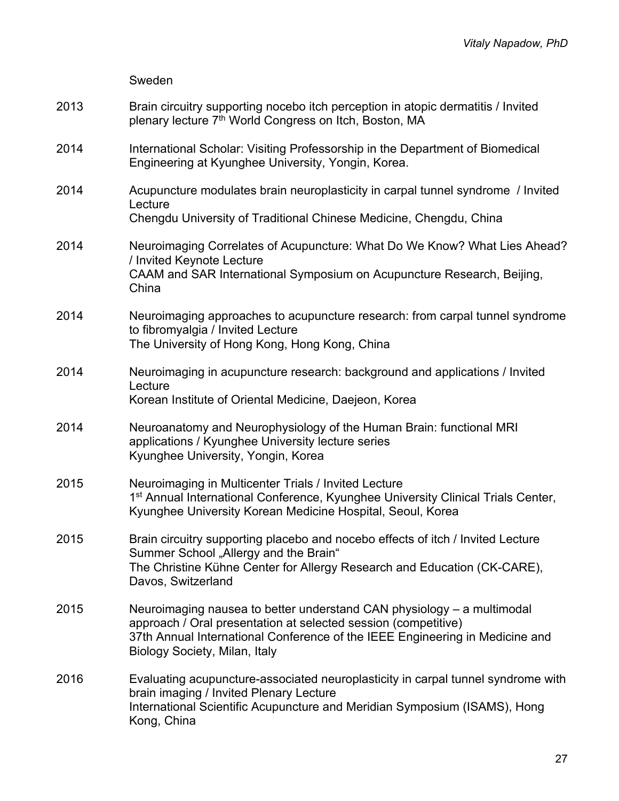Sweden

- 2013 Brain circuitry supporting nocebo itch perception in atopic dermatitis / Invited plenary lecture 7<sup>th</sup> World Congress on Itch, Boston, MA
- 2014 International Scholar: Visiting Professorship in the Department of Biomedical Engineering at Kyunghee University, Yongin, Korea.
- 2014 Acupuncture modulates brain neuroplasticity in carpal tunnel syndrome / Invited **Lecture** 
	- Chengdu University of Traditional Chinese Medicine, Chengdu, China
- 2014 Neuroimaging Correlates of Acupuncture: What Do We Know? What Lies Ahead? / Invited Keynote Lecture CAAM and SAR International Symposium on Acupuncture Research, Beijing, China
- 2014 Neuroimaging approaches to acupuncture research: from carpal tunnel syndrome to fibromyalgia / Invited Lecture The University of Hong Kong, Hong Kong, China
- 2014 Neuroimaging in acupuncture research: background and applications / Invited **Lecture** Korean Institute of Oriental Medicine, Daejeon, Korea
- 2014 Neuroanatomy and Neurophysiology of the Human Brain: functional MRI applications / Kyunghee University lecture series Kyunghee University, Yongin, Korea
- 2015 Neuroimaging in Multicenter Trials / Invited Lecture 1st Annual International Conference, Kyunghee University Clinical Trials Center, Kyunghee University Korean Medicine Hospital, Seoul, Korea
- 2015 Brain circuitry supporting placebo and nocebo effects of itch / Invited Lecture Summer School "Allergy and the Brain" The Christine Kühne Center for Allergy Research and Education (CK-CARE), Davos, Switzerland
- 2015 Neuroimaging nausea to better understand CAN physiology a multimodal approach / Oral presentation at selected session (competitive) 37th Annual International Conference of the IEEE Engineering in Medicine and Biology Society, Milan, Italy
- 2016 Evaluating acupuncture-associated neuroplasticity in carpal tunnel syndrome with brain imaging / Invited Plenary Lecture International Scientific Acupuncture and Meridian Symposium (ISAMS), Hong Kong, China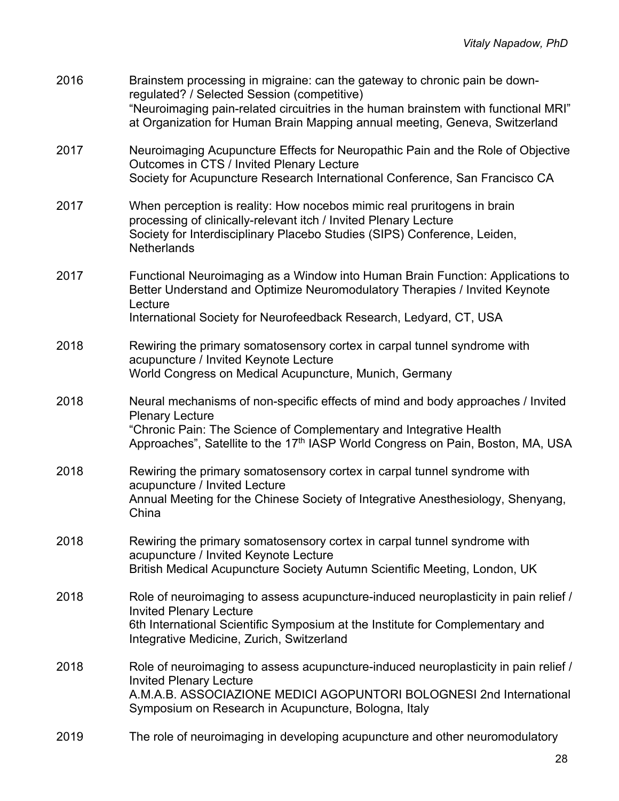| 2016 | Brainstem processing in migraine: can the gateway to chronic pain be down-<br>regulated? / Selected Session (competitive)<br>"Neuroimaging pain-related circuitries in the human brainstem with functional MRI"<br>at Organization for Human Brain Mapping annual meeting, Geneva, Switzerland |  |  |
|------|------------------------------------------------------------------------------------------------------------------------------------------------------------------------------------------------------------------------------------------------------------------------------------------------|--|--|
| 2017 | Neuroimaging Acupuncture Effects for Neuropathic Pain and the Role of Objective<br>Outcomes in CTS / Invited Plenary Lecture<br>Society for Acupuncture Research International Conference, San Francisco CA                                                                                    |  |  |
| 2017 | When perception is reality: How nocebos mimic real pruritogens in brain<br>processing of clinically-relevant itch / Invited Plenary Lecture<br>Society for Interdisciplinary Placebo Studies (SIPS) Conference, Leiden,<br><b>Netherlands</b>                                                  |  |  |
| 2017 | Functional Neuroimaging as a Window into Human Brain Function: Applications to<br>Better Understand and Optimize Neuromodulatory Therapies / Invited Keynote<br>Lecture<br>International Society for Neurofeedback Research, Ledyard, CT, USA                                                  |  |  |
| 2018 | Rewiring the primary somatosensory cortex in carpal tunnel syndrome with<br>acupuncture / Invited Keynote Lecture<br>World Congress on Medical Acupuncture, Munich, Germany                                                                                                                    |  |  |
| 2018 | Neural mechanisms of non-specific effects of mind and body approaches / Invited<br><b>Plenary Lecture</b><br>"Chronic Pain: The Science of Complementary and Integrative Health<br>Approaches", Satellite to the 17th IASP World Congress on Pain, Boston, MA, USA                             |  |  |
| 2018 | Rewiring the primary somatosensory cortex in carpal tunnel syndrome with<br>acupuncture / Invited Lecture<br>Annual Meeting for the Chinese Society of Integrative Anesthesiology, Shenyang,<br>China                                                                                          |  |  |
| 2018 | Rewiring the primary somatosensory cortex in carpal tunnel syndrome with<br>acupuncture / Invited Keynote Lecture<br>British Medical Acupuncture Society Autumn Scientific Meeting, London, UK                                                                                                 |  |  |
| 2018 | Role of neuroimaging to assess acupuncture-induced neuroplasticity in pain relief /<br><b>Invited Plenary Lecture</b><br>6th International Scientific Symposium at the Institute for Complementary and<br>Integrative Medicine, Zurich, Switzerland                                            |  |  |
| 2018 | Role of neuroimaging to assess acupuncture-induced neuroplasticity in pain relief /<br><b>Invited Plenary Lecture</b><br>A.M.A.B. ASSOCIAZIONE MEDICI AGOPUNTORI BOLOGNESI 2nd International<br>Symposium on Research in Acupuncture, Bologna, Italy                                           |  |  |
| 2019 | The role of neuroimaging in developing acupuncture and other neuromodulatory                                                                                                                                                                                                                   |  |  |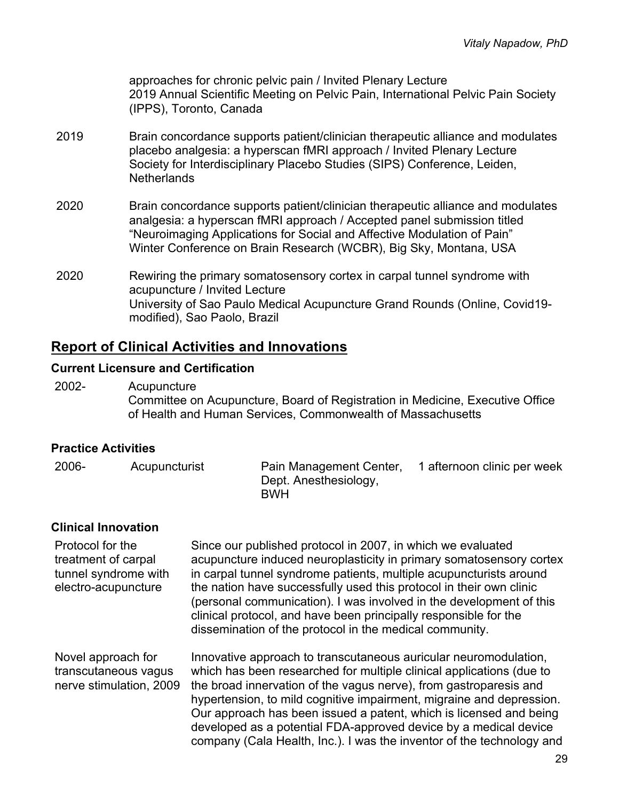approaches for chronic pelvic pain / Invited Plenary Lecture 2019 Annual Scientific Meeting on Pelvic Pain, International Pelvic Pain Society (IPPS), Toronto, Canada

- 2019 Brain concordance supports patient/clinician therapeutic alliance and modulates placebo analgesia: a hyperscan fMRI approach / Invited Plenary Lecture Society for Interdisciplinary Placebo Studies (SIPS) Conference, Leiden, **Netherlands**
- 2020 Brain concordance supports patient/clinician therapeutic alliance and modulates analgesia: a hyperscan fMRI approach / Accepted panel submission titled "Neuroimaging Applications for Social and Affective Modulation of Pain" Winter Conference on Brain Research (WCBR), Big Sky, Montana, USA
- 2020 Rewiring the primary somatosensory cortex in carpal tunnel syndrome with acupuncture / Invited Lecture University of Sao Paulo Medical Acupuncture Grand Rounds (Online, Covid19 modified), Sao Paolo, Brazil

## **Report of Clinical Activities and Innovations**

### **Current Licensure and Certification**

2002- Acupuncture Committee on Acupuncture, Board of Registration in Medicine, Executive Office of Health and Human Services, Commonwealth of Massachusetts

### **Practice Activities**

| 2006- | Acupuncturist | Pain Management Center, | 1 afternoon clinic per week |
|-------|---------------|-------------------------|-----------------------------|
|       |               | Dept. Anesthesiology,   |                             |
|       |               | <b>BWH</b>              |                             |

### **Clinical Innovation**

Protocol for the treatment of carpal tunnel syndrome with electro-acupuncture Since our published protocol in 2007, in which we evaluated acupuncture induced neuroplasticity in primary somatosensory cortex in carpal tunnel syndrome patients, multiple acupuncturists around the nation have successfully used this protocol in their own clinic (personal communication). I was involved in the development of this clinical protocol, and have been principally responsible for the dissemination of the protocol in the medical community. Novel approach for transcutaneous vagus nerve stimulation, 2009 Innovative approach to transcutaneous auricular neuromodulation, which has been researched for multiple clinical applications (due to the broad innervation of the vagus nerve), from gastroparesis and hypertension, to mild cognitive impairment, migraine and depression. Our approach has been issued a patent, which is licensed and being developed as a potential FDA-approved device by a medical device company (Cala Health, Inc.). I was the inventor of the technology and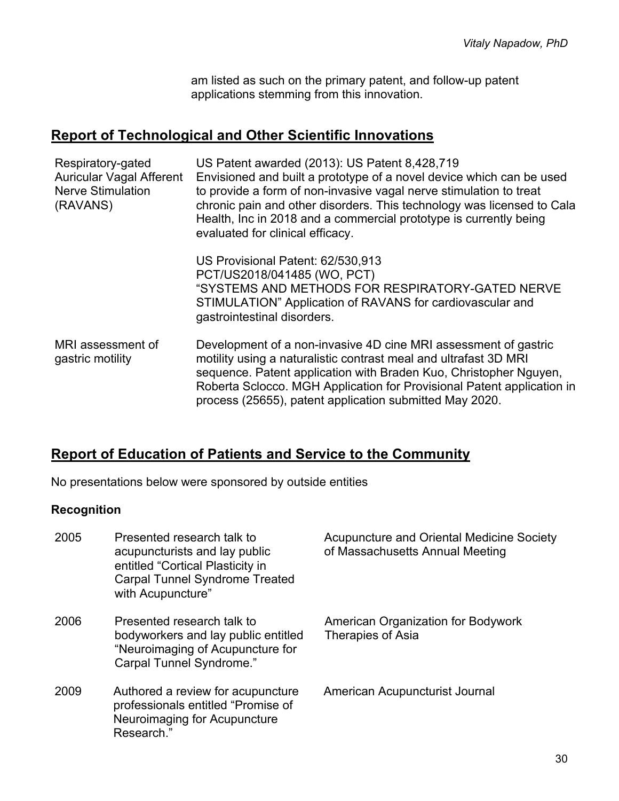am listed as such on the primary patent, and follow-up patent applications stemming from this innovation.

# **Report of Technological and Other Scientific Innovations**

| Respiratory-gated<br><b>Auricular Vagal Afferent</b><br><b>Nerve Stimulation</b><br>(RAVANS) | US Patent awarded (2013): US Patent 8,428,719<br>Envisioned and built a prototype of a novel device which can be used<br>to provide a form of non-invasive vagal nerve stimulation to treat<br>chronic pain and other disorders. This technology was licensed to Cala<br>Health, Inc in 2018 and a commercial prototype is currently being<br>evaluated for clinical efficacy. |
|----------------------------------------------------------------------------------------------|--------------------------------------------------------------------------------------------------------------------------------------------------------------------------------------------------------------------------------------------------------------------------------------------------------------------------------------------------------------------------------|
|                                                                                              | US Provisional Patent: 62/530,913<br>PCT/US2018/041485 (WO, PCT)<br>"SYSTEMS AND METHODS FOR RESPIRATORY-GATED NERVE<br>STIMULATION" Application of RAVANS for cardiovascular and<br>gastrointestinal disorders.                                                                                                                                                               |
| MRI assessment of<br>gastric motility                                                        | Development of a non-invasive 4D cine MRI assessment of gastric<br>motility using a naturalistic contrast meal and ultrafast 3D MRI<br>sequence. Patent application with Braden Kuo, Christopher Nguyen,<br>Roberta Sclocco. MGH Application for Provisional Patent application in<br>process (25655), patent application submitted May 2020.                                  |

# **Report of Education of Patients and Service to the Community**

No presentations below were sponsored by outside entities

### **Recognition**

| 2005 | Presented research talk to<br>acupuncturists and lay public<br>entitled "Cortical Plasticity in<br><b>Carpal Tunnel Syndrome Treated</b><br>with Acupuncture" | Acupuncture and Oriental Medicine Society<br>of Massachusetts Annual Meeting |
|------|---------------------------------------------------------------------------------------------------------------------------------------------------------------|------------------------------------------------------------------------------|
| 2006 | Presented research talk to<br>bodyworkers and lay public entitled<br>"Neuroimaging of Acupuncture for<br>Carpal Tunnel Syndrome."                             | American Organization for Bodywork<br><b>Therapies of Asia</b>               |
| 2009 | Authored a review for acupuncture<br>professionals entitled "Promise of<br>Neuroimaging for Acupuncture<br>Research."                                         | American Acupuncturist Journal                                               |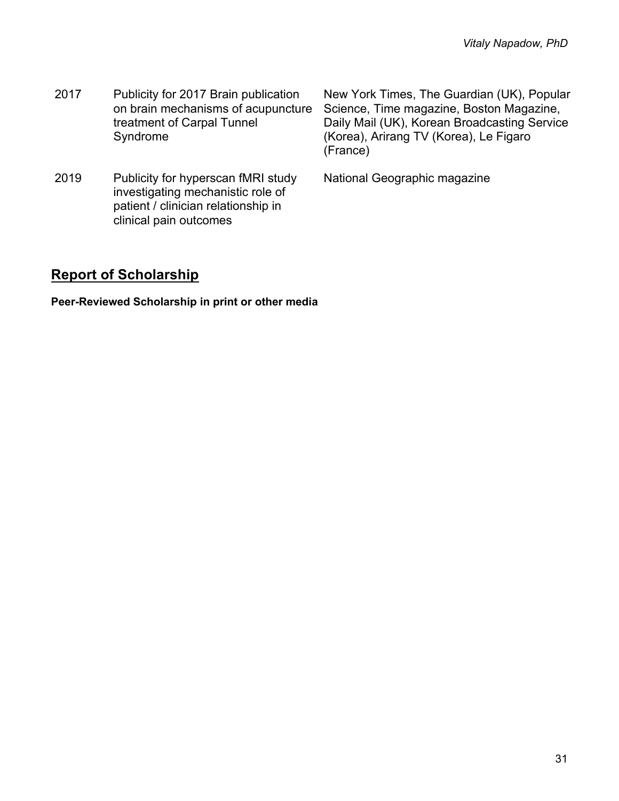- 2017 Publicity for 2017 Brain publication on brain mechanisms of acupuncture treatment of Carpal Tunnel Syndrome
- 2019 Publicity for hyperscan fMRI study investigating mechanistic role of patient / clinician relationship in clinical pain outcomes

New York Times, The Guardian (UK), Popular Science, Time magazine, Boston Magazine, Daily Mail (UK), Korean Broadcasting Service (Korea), Arirang TV (Korea), Le Figaro (France)

National Geographic magazine

## **Report of Scholarship**

**Peer-Reviewed Scholarship in print or other media**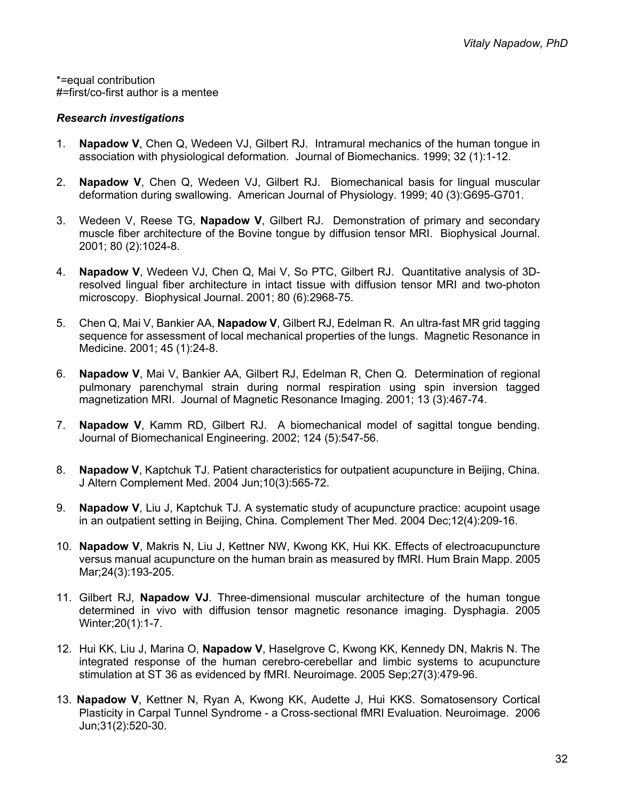\*=equal contribution #=first/co-first author is a mentee

#### *Research investigations*

- 1. **Napadow V**, Chen Q, Wedeen VJ, Gilbert RJ. Intramural mechanics of the human tongue in association with physiological deformation. Journal of Biomechanics. 1999; 32 (1):1-12.
- 2. **Napadow V**, Chen Q, Wedeen VJ, Gilbert RJ. Biomechanical basis for lingual muscular deformation during swallowing. American Journal of Physiology. 1999; 40 (3):G695-G701.
- 3. Wedeen V, Reese TG, **Napadow V**, Gilbert RJ. Demonstration of primary and secondary muscle fiber architecture of the Bovine tongue by diffusion tensor MRI. Biophysical Journal. 2001; 80 (2):1024-8.
- 4. **Napadow V**, Wedeen VJ, Chen Q, Mai V, So PTC, Gilbert RJ. Quantitative analysis of 3Dresolved lingual fiber architecture in intact tissue with diffusion tensor MRI and two-photon microscopy. Biophysical Journal. 2001; 80 (6):2968-75.
- 5. Chen Q, Mai V, Bankier AA, **Napadow V**, Gilbert RJ, Edelman R. An ultra-fast MR grid tagging sequence for assessment of local mechanical properties of the lungs. Magnetic Resonance in Medicine. 2001; 45 (1):24-8.
- 6. **Napadow V**, Mai V, Bankier AA, Gilbert RJ, Edelman R, Chen Q. Determination of regional pulmonary parenchymal strain during normal respiration using spin inversion tagged magnetization MRI. Journal of Magnetic Resonance Imaging. 2001; 13 (3):467-74.
- 7. **Napadow V**, Kamm RD, Gilbert RJ. A biomechanical model of sagittal tongue bending. Journal of Biomechanical Engineering. 2002; 124 (5):547-56.
- 8. **Napadow V**, Kaptchuk TJ. Patient characteristics for outpatient acupuncture in Beijing, China. J Altern Complement Med. 2004 Jun;10(3):565-72.
- 9. **Napadow V**, Liu J, Kaptchuk TJ. A systematic study of acupuncture practice: acupoint usage in an outpatient setting in Beijing, China. Complement Ther Med. 2004 Dec;12(4):209-16.
- 10. **Napadow V**, Makris N, Liu J, Kettner NW, Kwong KK, Hui KK. Effects of electroacupuncture versus manual acupuncture on the human brain as measured by fMRI. Hum Brain Mapp. 2005 Mar;24(3):193-205.
- 11. Gilbert RJ, **Napadow VJ**. Three-dimensional muscular architecture of the human tongue determined in vivo with diffusion tensor magnetic resonance imaging. Dysphagia. 2005 Winter;20(1):1-7.
- 12. Hui KK, Liu J, Marina O, **Napadow V**, Haselgrove C, Kwong KK, Kennedy DN, Makris N. The integrated response of the human cerebro-cerebellar and limbic systems to acupuncture stimulation at ST 36 as evidenced by fMRI. Neuroimage. 2005 Sep;27(3):479-96.
- 13. **Napadow V**, Kettner N, Ryan A, Kwong KK, Audette J, Hui KKS. Somatosensory Cortical Plasticity in Carpal Tunnel Syndrome - a Cross-sectional fMRI Evaluation. Neuroimage. 2006 Jun;31(2):520-30.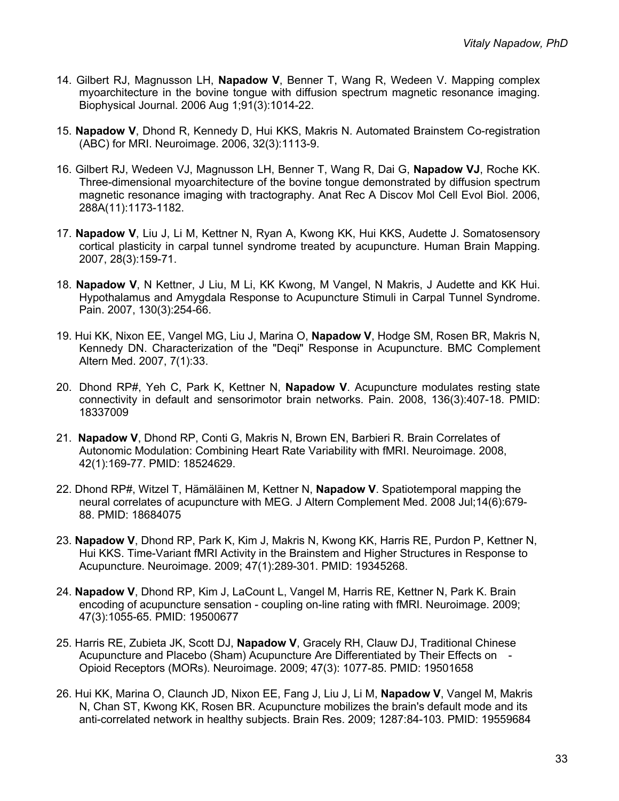- 14. Gilbert RJ, Magnusson LH, **Napadow V**, Benner T, Wang R, Wedeen V. Mapping complex myoarchitecture in the bovine tongue with diffusion spectrum magnetic resonance imaging. Biophysical Journal. 2006 Aug 1;91(3):1014-22.
- 15. **Napadow V**, Dhond R, Kennedy D, Hui KKS, Makris N. Automated Brainstem Co-registration (ABC) for MRI. Neuroimage. 2006, 32(3):1113-9.
- 16. Gilbert RJ, Wedeen VJ, Magnusson LH, Benner T, Wang R, Dai G, **Napadow VJ**, Roche KK. Three-dimensional myoarchitecture of the bovine tongue demonstrated by diffusion spectrum magnetic resonance imaging with tractography. Anat Rec A Discov Mol Cell Evol Biol. 2006, 288A(11):1173-1182.
- 17. **Napadow V**, Liu J, Li M, Kettner N, Ryan A, Kwong KK, Hui KKS, Audette J. Somatosensory cortical plasticity in carpal tunnel syndrome treated by acupuncture. Human Brain Mapping. 2007, 28(3):159-71.
- 18. **Napadow V**, N Kettner, J Liu, M Li, KK Kwong, M Vangel, N Makris, J Audette and KK Hui. Hypothalamus and Amygdala Response to Acupuncture Stimuli in Carpal Tunnel Syndrome. Pain. 2007, 130(3):254-66.
- 19. Hui KK, Nixon EE, Vangel MG, Liu J, Marina O, **Napadow V**, Hodge SM, Rosen BR, Makris N, Kennedy DN. Characterization of the "Deqi" Response in Acupuncture. BMC Complement Altern Med. 2007, 7(1):33.
- 20. Dhond RP#, Yeh C, Park K, Kettner N, **Napadow V**. Acupuncture modulates resting state connectivity in default and sensorimotor brain networks. Pain. 2008, 136(3):407-18. PMID: 18337009
- 21. **Napadow V**, Dhond RP, Conti G, Makris N, Brown EN, Barbieri R. Brain Correlates of Autonomic Modulation: Combining Heart Rate Variability with fMRI. Neuroimage. 2008, 42(1):169-77. PMID: 18524629.
- 22. Dhond RP#, Witzel T, Hämäläinen M, Kettner N, **Napadow V**. Spatiotemporal mapping the neural correlates of acupuncture with MEG. J Altern Complement Med. 2008 Jul;14(6):679- 88. PMID: 18684075
- 23. **Napadow V**, Dhond RP, Park K, Kim J, Makris N, Kwong KK, Harris RE, Purdon P, Kettner N, Hui KKS. Time-Variant fMRI Activity in the Brainstem and Higher Structures in Response to Acupuncture. Neuroimage. 2009; 47(1):289-301. PMID: 19345268.
- 24. **Napadow V**, Dhond RP, Kim J, LaCount L, Vangel M, Harris RE, Kettner N, Park K. Brain encoding of acupuncture sensation - coupling on-line rating with fMRI. Neuroimage. 2009; 47(3):1055-65. PMID: 19500677
- 25. Harris RE, Zubieta JK, Scott DJ, **Napadow V**, Gracely RH, Clauw DJ, Traditional Chinese Acupuncture and Placebo (Sham) Acupuncture Are Differentiated by Their Effects on - Opioid Receptors (MORs). Neuroimage. 2009; 47(3): 1077-85. PMID: 19501658
- 26. Hui KK, Marina O, Claunch JD, Nixon EE, Fang J, Liu J, Li M, **Napadow V**, Vangel M, Makris N, Chan ST, Kwong KK, Rosen BR. Acupuncture mobilizes the brain's default mode and its anti-correlated network in healthy subjects. Brain Res. 2009; 1287:84-103. PMID: 19559684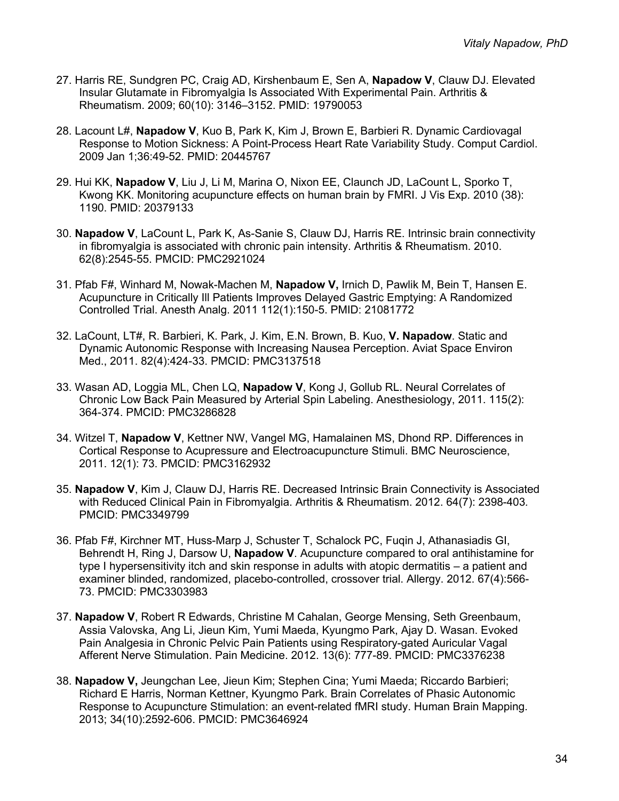- 27. Harris RE, Sundgren PC, Craig AD, Kirshenbaum E, Sen A, **Napadow V**, Clauw DJ. Elevated Insular Glutamate in Fibromyalgia Is Associated With Experimental Pain. Arthritis & Rheumatism. 2009; 60(10): 3146–3152. PMID: 19790053
- 28. Lacount L#, **Napadow V**, Kuo B, Park K, Kim J, Brown E, Barbieri R. Dynamic Cardiovagal Response to Motion Sickness: A Point-Process Heart Rate Variability Study. Comput Cardiol. 2009 Jan 1;36:49-52. PMID: 20445767
- 29. Hui KK, **Napadow V**, Liu J, Li M, Marina O, Nixon EE, Claunch JD, LaCount L, Sporko T, Kwong KK. Monitoring acupuncture effects on human brain by FMRI. J Vis Exp. 2010 (38): 1190. PMID: 20379133
- 30. **Napadow V**, LaCount L, Park K, As-Sanie S, Clauw DJ, Harris RE. Intrinsic brain connectivity in fibromyalgia is associated with chronic pain intensity. Arthritis & Rheumatism. 2010. 62(8):2545-55. PMCID: PMC2921024
- 31. Pfab F#, Winhard M, Nowak-Machen M, **Napadow V,** Irnich D, Pawlik M, Bein T, Hansen E. Acupuncture in Critically Ill Patients Improves Delayed Gastric Emptying: A Randomized Controlled Trial. Anesth Analg. 2011 112(1):150-5. PMID: 21081772
- 32. LaCount, LT#, R. Barbieri, K. Park, J. Kim, E.N. Brown, B. Kuo, **V. Napadow**. Static and Dynamic Autonomic Response with Increasing Nausea Perception. Aviat Space Environ Med., 2011. 82(4):424-33. PMCID: PMC3137518
- 33. Wasan AD, Loggia ML, Chen LQ, **Napadow V**, Kong J, Gollub RL. Neural Correlates of Chronic Low Back Pain Measured by Arterial Spin Labeling. Anesthesiology, 2011. 115(2): 364-374. PMCID: PMC3286828
- 34. Witzel T, **Napadow V**, Kettner NW, Vangel MG, Hamalainen MS, Dhond RP. Differences in Cortical Response to Acupressure and Electroacupuncture Stimuli. BMC Neuroscience, 2011. 12(1): 73. PMCID: PMC3162932
- 35. **Napadow V**, Kim J, Clauw DJ, Harris RE. Decreased Intrinsic Brain Connectivity is Associated with Reduced Clinical Pain in Fibromyalgia. Arthritis & Rheumatism. 2012. 64(7): 2398-403*.* PMCID: PMC3349799
- 36. Pfab F#, Kirchner MT, Huss-Marp J, Schuster T, Schalock PC, Fuqin J, Athanasiadis GI, Behrendt H, Ring J, Darsow U, **Napadow V**. Acupuncture compared to oral antihistamine for type I hypersensitivity itch and skin response in adults with atopic dermatitis – a patient and examiner blinded, randomized, placebo-controlled, crossover trial. Allergy. 2012. 67(4):566- 73. PMCID: PMC3303983
- 37. **Napadow V**, Robert R Edwards, Christine M Cahalan, George Mensing, Seth Greenbaum, Assia Valovska, Ang Li, Jieun Kim, Yumi Maeda, Kyungmo Park, Ajay D. Wasan. Evoked Pain Analgesia in Chronic Pelvic Pain Patients using Respiratory-gated Auricular Vagal Afferent Nerve Stimulation. Pain Medicine. 2012. 13(6): 777-89. PMCID: PMC3376238
- 38. **Napadow V,** Jeungchan Lee, Jieun Kim; Stephen Cina; Yumi Maeda; Riccardo Barbieri; Richard E Harris, Norman Kettner, Kyungmo Park. Brain Correlates of Phasic Autonomic Response to Acupuncture Stimulation: an event-related fMRI study. Human Brain Mapping. 2013; 34(10):2592-606. PMCID: PMC3646924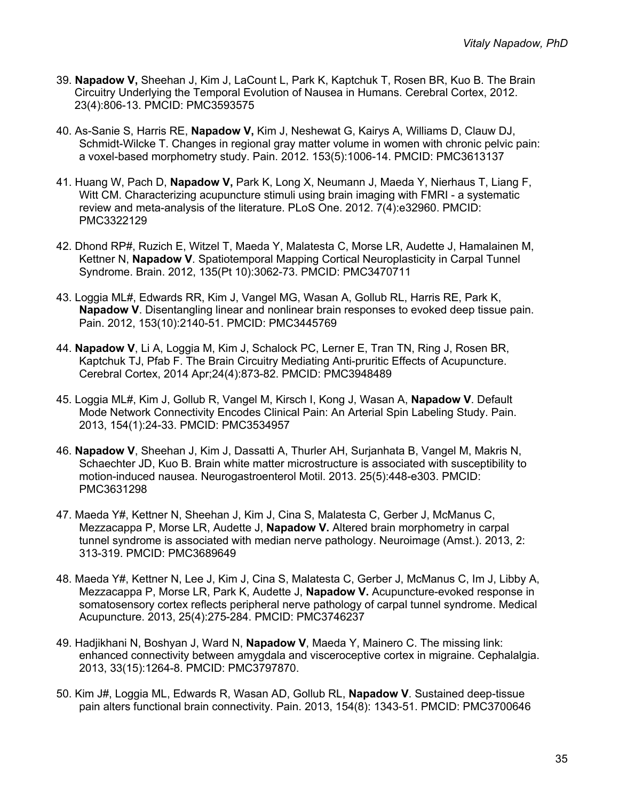- 39. **Napadow V,** Sheehan J, Kim J, LaCount L, Park K, Kaptchuk T, Rosen BR, Kuo B. The Brain Circuitry Underlying the Temporal Evolution of Nausea in Humans. Cerebral Cortex, 2012. 23(4):806-13. PMCID: PMC3593575
- 40. As-Sanie S, Harris RE, **Napadow V,** Kim J, Neshewat G, Kairys A, Williams D, Clauw DJ, Schmidt-Wilcke T. Changes in regional gray matter volume in women with chronic pelvic pain: a voxel-based morphometry study. Pain. 2012. 153(5):1006-14. PMCID: PMC3613137
- 41. Huang W, Pach D, **Napadow V,** Park K, Long X, Neumann J, Maeda Y, Nierhaus T, Liang F, Witt CM. Characterizing acupuncture stimuli using brain imaging with FMRI - a systematic review and meta-analysis of the literature. PLoS One. 2012. 7(4):e32960. PMCID: PMC3322129
- 42. Dhond RP#, Ruzich E, Witzel T, Maeda Y, Malatesta C, Morse LR, Audette J, Hamalainen M, Kettner N, **Napadow V**. Spatiotemporal Mapping Cortical Neuroplasticity in Carpal Tunnel Syndrome. Brain. 2012, 135(Pt 10):3062-73. PMCID: PMC3470711
- 43. Loggia ML#, Edwards RR, Kim J, Vangel MG, Wasan A, Gollub RL, Harris RE, Park K, **Napadow V**. Disentangling linear and nonlinear brain responses to evoked deep tissue pain. Pain. 2012, 153(10):2140-51. PMCID: PMC3445769
- 44. **Napadow V**, Li A, Loggia M, Kim J, Schalock PC, Lerner E, Tran TN, Ring J, Rosen BR, Kaptchuk TJ, Pfab F. The Brain Circuitry Mediating Anti-pruritic Effects of Acupuncture. Cerebral Cortex, 2014 Apr;24(4):873-82. PMCID: PMC3948489
- 45. Loggia ML#, Kim J, Gollub R, Vangel M, Kirsch I, Kong J, Wasan A, **Napadow V**. Default Mode Network Connectivity Encodes Clinical Pain: An Arterial Spin Labeling Study. Pain. 2013, 154(1):24-33. PMCID: PMC3534957
- 46. **Napadow V**, Sheehan J, Kim J, Dassatti A, Thurler AH, Surjanhata B, Vangel M, Makris N, Schaechter JD, Kuo B. Brain white matter microstructure is associated with susceptibility to motion-induced nausea. Neurogastroenterol Motil. 2013. 25(5):448-e303. PMCID: PMC3631298
- 47. Maeda Y#, Kettner N, Sheehan J, Kim J, Cina S, Malatesta C, Gerber J, McManus C, Mezzacappa P, Morse LR, Audette J, **Napadow V.** Altered brain morphometry in carpal tunnel syndrome is associated with median nerve pathology. Neuroimage (Amst.). 2013, 2: 313-319. PMCID: PMC3689649
- 48. Maeda Y#, Kettner N, Lee J, Kim J, Cina S, Malatesta C, Gerber J, McManus C, Im J, Libby A, Mezzacappa P, Morse LR, Park K, Audette J, **Napadow V.** Acupuncture-evoked response in somatosensory cortex reflects peripheral nerve pathology of carpal tunnel syndrome. Medical Acupuncture. 2013, 25(4):275-284. PMCID: PMC3746237
- 49. Hadjikhani N, Boshyan J, Ward N, **Napadow V**, Maeda Y, Mainero C. The missing link: enhanced connectivity between amygdala and visceroceptive cortex in migraine. Cephalalgia. 2013, 33(15):1264-8. PMCID: PMC3797870.
- 50. Kim J#, Loggia ML, Edwards R, Wasan AD, Gollub RL, **Napadow V**. Sustained deep-tissue pain alters functional brain connectivity. Pain. 2013, 154(8): 1343-51. PMCID: PMC3700646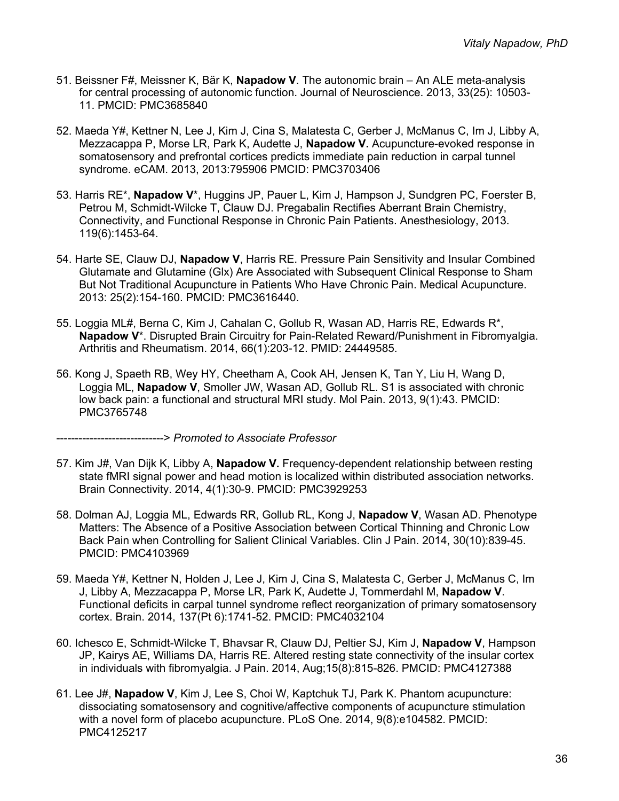- 51. Beissner F#, Meissner K, Bär K, **Napadow V**. The autonomic brain An ALE meta-analysis for central processing of autonomic function. Journal of Neuroscience. 2013, 33(25): 10503- 11. PMCID: PMC3685840
- 52. Maeda Y#, Kettner N, Lee J, Kim J, Cina S, Malatesta C, Gerber J, McManus C, Im J, Libby A, Mezzacappa P, Morse LR, Park K, Audette J, **Napadow V.** Acupuncture-evoked response in somatosensory and prefrontal cortices predicts immediate pain reduction in carpal tunnel syndrome. eCAM. 2013, 2013:795906 PMCID: PMC3703406
- 53. Harris RE\*, **Napadow V**\*, Huggins JP, Pauer L, Kim J, Hampson J, Sundgren PC, Foerster B, Petrou M, Schmidt-Wilcke T, Clauw DJ. Pregabalin Rectifies Aberrant Brain Chemistry, Connectivity, and Functional Response in Chronic Pain Patients. Anesthesiology, 2013. 119(6):1453-64.
- 54. Harte SE, Clauw DJ, **Napadow V**, Harris RE. Pressure Pain Sensitivity and Insular Combined Glutamate and Glutamine (Glx) Are Associated with Subsequent Clinical Response to Sham But Not Traditional Acupuncture in Patients Who Have Chronic Pain. Medical Acupuncture. 2013: 25(2):154-160. PMCID: PMC3616440.
- 55. Loggia ML#, Berna C, Kim J, Cahalan C, Gollub R, Wasan AD, Harris RE, Edwards R\*, **Napadow V**\*. Disrupted Brain Circuitry for Pain-Related Reward/Punishment in Fibromyalgia. Arthritis and Rheumatism. 2014, 66(1):203-12. PMID: 24449585.
- 56. Kong J, Spaeth RB, Wey HY, Cheetham A, Cook AH, Jensen K, Tan Y, Liu H, Wang D, Loggia ML, **Napadow V**, Smoller JW, Wasan AD, Gollub RL. S1 is associated with chronic low back pain: a functional and structural MRI study. Mol Pain. 2013, 9(1):43. PMCID: PMC3765748

-----------------------------> *Promoted to Associate Professor*

- 57. Kim J#, Van Dijk K, Libby A, **Napadow V.** Frequency-dependent relationship between resting state fMRI signal power and head motion is localized within distributed association networks. Brain Connectivity. 2014, 4(1):30-9. PMCID: PMC3929253
- 58. Dolman AJ, Loggia ML, Edwards RR, Gollub RL, Kong J, **Napadow V**, Wasan AD. Phenotype Matters: The Absence of a Positive Association between Cortical Thinning and Chronic Low Back Pain when Controlling for Salient Clinical Variables. Clin J Pain. 2014, 30(10):839-45. PMCID: PMC4103969
- 59. Maeda Y#, Kettner N, Holden J, Lee J, Kim J, Cina S, Malatesta C, Gerber J, McManus C, Im J, Libby A, Mezzacappa P, Morse LR, Park K, Audette J, Tommerdahl M, **Napadow V**. Functional deficits in carpal tunnel syndrome reflect reorganization of primary somatosensory cortex. Brain. 2014, 137(Pt 6):1741-52. PMCID: PMC4032104
- 60. Ichesco E, Schmidt-Wilcke T, Bhavsar R, Clauw DJ, Peltier SJ, Kim J, **Napadow V**, Hampson JP, Kairys AE, Williams DA, Harris RE. Altered resting state connectivity of the insular cortex in individuals with fibromyalgia. J Pain. 2014, Aug;15(8):815-826. PMCID: PMC4127388
- 61. Lee J#, **Napadow V**, Kim J, Lee S, Choi W, Kaptchuk TJ, Park K. Phantom acupuncture: dissociating somatosensory and cognitive/affective components of acupuncture stimulation with a novel form of placebo acupuncture. PLoS One. 2014, 9(8):e104582. PMCID: PMC4125217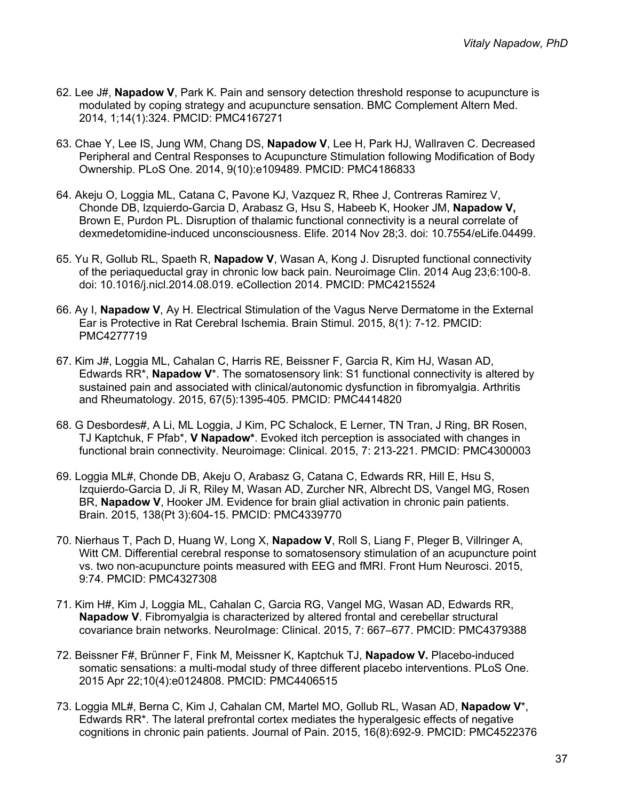- 62. Lee J#, **Napadow V**, Park K. Pain and sensory detection threshold response to acupuncture is modulated by coping strategy and acupuncture sensation. BMC Complement Altern Med. 2014, 1;14(1):324. PMCID: PMC4167271
- 63. Chae Y, Lee IS, Jung WM, Chang DS, **Napadow V**, Lee H, Park HJ, Wallraven C. Decreased Peripheral and Central Responses to Acupuncture Stimulation following Modification of Body Ownership. PLoS One. 2014, 9(10):e109489. PMCID: PMC4186833
- 64. Akeju O, Loggia ML, Catana C, Pavone KJ, Vazquez R, Rhee J, Contreras Ramirez V, Chonde DB, Izquierdo-Garcia D, Arabasz G, Hsu S, Habeeb K, Hooker JM, **Napadow V,** Brown E, Purdon PL. Disruption of thalamic functional connectivity is a neural correlate of dexmedetomidine-induced unconsciousness. Elife. 2014 Nov 28;3. doi: 10.7554/eLife.04499.
- 65. Yu R, Gollub RL, Spaeth R, **Napadow V**, Wasan A, Kong J. Disrupted functional connectivity of the periaqueductal gray in chronic low back pain. Neuroimage Clin. 2014 Aug 23;6:100-8. doi: 10.1016/j.nicl.2014.08.019. eCollection 2014. PMCID: PMC4215524
- 66. Ay I, **Napadow V**, Ay H. Electrical Stimulation of the Vagus Nerve Dermatome in the External Ear is Protective in Rat Cerebral Ischemia. Brain Stimul. 2015, 8(1): 7-12. PMCID: PMC4277719
- 67. Kim J#, Loggia ML, Cahalan C, Harris RE, Beissner F, Garcia R, Kim HJ, Wasan AD, Edwards RR\*, **Napadow V**\*. The somatosensory link: S1 functional connectivity is altered by sustained pain and associated with clinical/autonomic dysfunction in fibromyalgia. Arthritis and Rheumatology. 2015, 67(5):1395-405. PMCID: PMC4414820
- 68. G Desbordes#, A Li, ML Loggia, J Kim, PC Schalock, E Lerner, TN Tran, J Ring, BR Rosen, TJ Kaptchuk, F Pfab\*, **V Napadow\***. Evoked itch perception is associated with changes in functional brain connectivity. Neuroimage: Clinical. 2015, 7: 213-221. PMCID: PMC4300003
- 69. Loggia ML#, Chonde DB, Akeju O, Arabasz G, Catana C, Edwards RR, Hill E, Hsu S, Izquierdo-Garcia D, Ji R, Riley M, Wasan AD, Zurcher NR, Albrecht DS, Vangel MG, Rosen BR, **Napadow V**, Hooker JM. Evidence for brain glial activation in chronic pain patients. Brain. 2015, 138(Pt 3):604-15. PMCID: PMC4339770
- 70. Nierhaus T, Pach D, Huang W, Long X, **Napadow V**, Roll S, Liang F, Pleger B, Villringer A, Witt CM. Differential cerebral response to somatosensory stimulation of an acupuncture point vs. two non-acupuncture points measured with EEG and fMRI. Front Hum Neurosci. 2015, 9:74. PMCID: PMC4327308
- 71. Kim H#, Kim J, Loggia ML, Cahalan C, Garcia RG, Vangel MG, Wasan AD, Edwards RR, **Napadow V**. Fibromyalgia is characterized by altered frontal and cerebellar structural covariance brain networks. NeuroImage: Clinical. 2015, 7: 667–677. PMCID: PMC4379388
- 72. Beissner F#, Brünner F, Fink M, Meissner K, Kaptchuk TJ, **Napadow V.** Placebo-induced somatic sensations: a multi-modal study of three different placebo interventions. PLoS One. 2015 Apr 22;10(4):e0124808. PMCID: PMC4406515
- 73. Loggia ML#, Berna C, Kim J, Cahalan CM, Martel MO, Gollub RL, Wasan AD, **Napadow V**\*, Edwards RR\*. The lateral prefrontal cortex mediates the hyperalgesic effects of negative cognitions in chronic pain patients. Journal of Pain. 2015, 16(8):692-9. PMCID: PMC4522376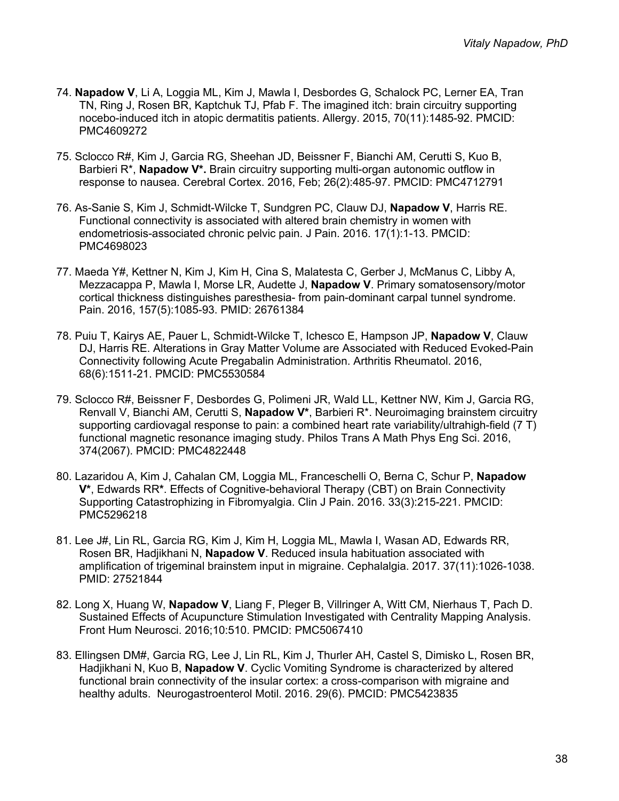- 74. **Napadow V**, Li A, Loggia ML, Kim J, Mawla I, Desbordes G, Schalock PC, Lerner EA, Tran TN, Ring J, Rosen BR, Kaptchuk TJ, Pfab F. The imagined itch: brain circuitry supporting nocebo-induced itch in atopic dermatitis patients. Allergy. 2015, 70(11):1485-92. PMCID: PMC4609272
- 75. Sclocco R#, Kim J, Garcia RG, Sheehan JD, Beissner F, Bianchi AM, Cerutti S, Kuo B, Barbieri R\*, **Napadow V\*.** Brain circuitry supporting multi-organ autonomic outflow in response to nausea. Cerebral Cortex. 2016, Feb; 26(2):485-97. PMCID: PMC4712791
- 76. As-Sanie S, Kim J, Schmidt-Wilcke T, Sundgren PC, Clauw DJ, **Napadow V**, Harris RE. Functional connectivity is associated with altered brain chemistry in women with endometriosis-associated chronic pelvic pain. J Pain. 2016. 17(1):1-13. PMCID: PMC4698023
- 77. Maeda Y#, Kettner N, Kim J, Kim H, Cina S, Malatesta C, Gerber J, McManus C, Libby A, Mezzacappa P, Mawla I, Morse LR, Audette J, **Napadow V**. Primary somatosensory/motor cortical thickness distinguishes paresthesia- from pain-dominant carpal tunnel syndrome. Pain. 2016, 157(5):1085-93. PMID: 26761384
- 78. Puiu T, Kairys AE, Pauer L, Schmidt-Wilcke T, Ichesco E, Hampson JP, **Napadow V**, Clauw DJ, Harris RE. Alterations in Gray Matter Volume are Associated with Reduced Evoked-Pain Connectivity following Acute Pregabalin Administration. Arthritis Rheumatol. 2016, 68(6):1511-21. PMCID: PMC5530584
- 79. Sclocco R#, Beissner F, Desbordes G, Polimeni JR, Wald LL, Kettner NW, Kim J, Garcia RG, Renvall V, Bianchi AM, Cerutti S, **Napadow V\***, Barbieri R\*. Neuroimaging brainstem circuitry supporting cardiovagal response to pain: a combined heart rate variability/ultrahigh-field (7 T) functional magnetic resonance imaging study. Philos Trans A Math Phys Eng Sci. 2016, 374(2067). PMCID: PMC4822448
- 80. Lazaridou A, Kim J, Cahalan CM, Loggia ML, Franceschelli O, Berna C, Schur P, **Napadow V\***, Edwards RR**\***. Effects of Cognitive-behavioral Therapy (CBT) on Brain Connectivity Supporting Catastrophizing in Fibromyalgia. Clin J Pain. 2016. 33(3):215-221. PMCID: PMC5296218
- 81. Lee J#, Lin RL, Garcia RG, Kim J, Kim H, Loggia ML, Mawla I, Wasan AD, Edwards RR, Rosen BR, Hadjikhani N, **Napadow V**. Reduced insula habituation associated with amplification of trigeminal brainstem input in migraine. Cephalalgia. 2017. 37(11):1026-1038. PMID: 27521844
- 82. Long X, Huang W, **Napadow V**, Liang F, Pleger B, Villringer A, Witt CM, Nierhaus T, Pach D. Sustained Effects of Acupuncture Stimulation Investigated with Centrality Mapping Analysis. Front Hum Neurosci. 2016;10:510. PMCID: PMC5067410
- 83. Ellingsen DM#, Garcia RG, Lee J, Lin RL, Kim J, Thurler AH, Castel S, Dimisko L, Rosen BR, Hadjikhani N, Kuo B, **Napadow V**. Cyclic Vomiting Syndrome is characterized by altered functional brain connectivity of the insular cortex: a cross-comparison with migraine and healthy adults. Neurogastroenterol Motil. 2016. 29(6). PMCID: PMC5423835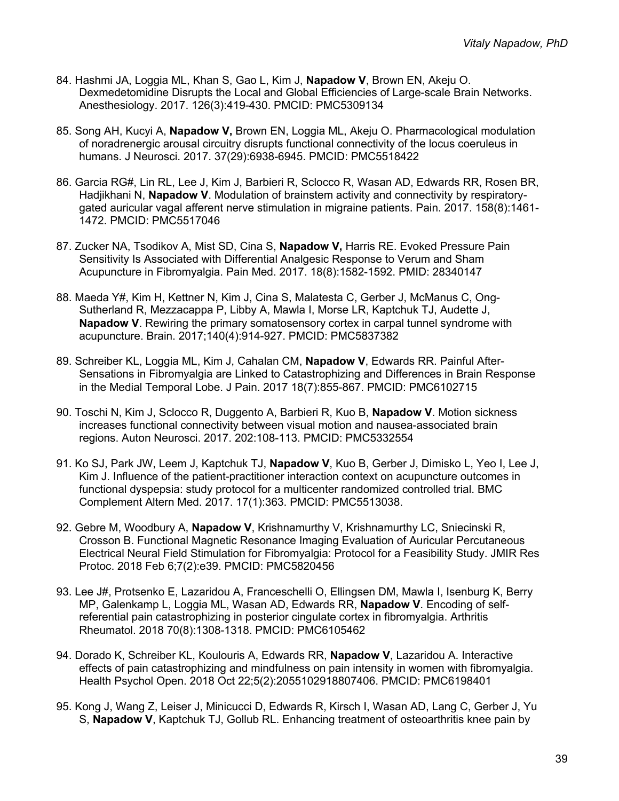- 84. Hashmi JA, Loggia ML, Khan S, Gao L, Kim J, **Napadow V**, Brown EN, Akeju O. Dexmedetomidine Disrupts the Local and Global Efficiencies of Large-scale Brain Networks. Anesthesiology. 2017. 126(3):419-430. PMCID: PMC5309134
- 85. Song AH, Kucyi A, **Napadow V,** Brown EN, Loggia ML, Akeju O. Pharmacological modulation of noradrenergic arousal circuitry disrupts functional connectivity of the locus coeruleus in humans. J Neurosci. 2017. 37(29):6938-6945. PMCID: PMC5518422
- 86. Garcia RG#, Lin RL, Lee J, Kim J, Barbieri R, Sclocco R, Wasan AD, Edwards RR, Rosen BR, Hadjikhani N, **Napadow V**. Modulation of brainstem activity and connectivity by respiratorygated auricular vagal afferent nerve stimulation in migraine patients. Pain. 2017. 158(8):1461- 1472. PMCID: PMC5517046
- 87. Zucker NA, Tsodikov A, Mist SD, Cina S, **Napadow V,** Harris RE. Evoked Pressure Pain Sensitivity Is Associated with Differential Analgesic Response to Verum and Sham Acupuncture in Fibromyalgia. Pain Med. 2017. 18(8):1582-1592. PMID: 28340147
- 88. Maeda Y#, Kim H, Kettner N, Kim J, Cina S, Malatesta C, Gerber J, McManus C, Ong-Sutherland R, Mezzacappa P, Libby A, Mawla I, Morse LR, Kaptchuk TJ, Audette J, **Napadow V**. Rewiring the primary somatosensory cortex in carpal tunnel syndrome with acupuncture. Brain. 2017;140(4):914-927. PMCID: PMC5837382
- 89. Schreiber KL, Loggia ML, Kim J, Cahalan CM, **Napadow V**, Edwards RR. Painful After-Sensations in Fibromyalgia are Linked to Catastrophizing and Differences in Brain Response in the Medial Temporal Lobe. J Pain. 2017 18(7):855-867. PMCID: PMC6102715
- 90. Toschi N, Kim J, Sclocco R, Duggento A, Barbieri R, Kuo B, **Napadow V**. Motion sickness increases functional connectivity between visual motion and nausea-associated brain regions. Auton Neurosci. 2017. 202:108-113. PMCID: PMC5332554
- 91. Ko SJ, Park JW, Leem J, Kaptchuk TJ, **Napadow V**, Kuo B, Gerber J, Dimisko L, Yeo I, Lee J, Kim J. Influence of the patient-practitioner interaction context on acupuncture outcomes in functional dyspepsia: study protocol for a multicenter randomized controlled trial. BMC Complement Altern Med. 2017. 17(1):363. PMCID: PMC5513038.
- 92. Gebre M, Woodbury A, **Napadow V**, Krishnamurthy V, Krishnamurthy LC, Sniecinski R, Crosson B. Functional Magnetic Resonance Imaging Evaluation of Auricular Percutaneous Electrical Neural Field Stimulation for Fibromyalgia: Protocol for a Feasibility Study. JMIR Res Protoc. 2018 Feb 6;7(2):e39. PMCID: PMC5820456
- 93. Lee J#, Protsenko E, Lazaridou A, Franceschelli O, Ellingsen DM, Mawla I, Isenburg K, Berry MP, Galenkamp L, Loggia ML, Wasan AD, Edwards RR, **Napadow V**. Encoding of selfreferential pain catastrophizing in posterior cingulate cortex in fibromyalgia. Arthritis Rheumatol. 2018 70(8):1308-1318. PMCID: PMC6105462
- 94. Dorado K, Schreiber KL, Koulouris A, Edwards RR, **Napadow V**, Lazaridou A. Interactive effects of pain catastrophizing and mindfulness on pain intensity in women with fibromyalgia. Health Psychol Open. 2018 Oct 22;5(2):2055102918807406. PMCID: PMC6198401
- 95. Kong J, Wang Z, Leiser J, Minicucci D, Edwards R, Kirsch I, Wasan AD, Lang C, Gerber J, Yu S, **Napadow V**, Kaptchuk TJ, Gollub RL. Enhancing treatment of osteoarthritis knee pain by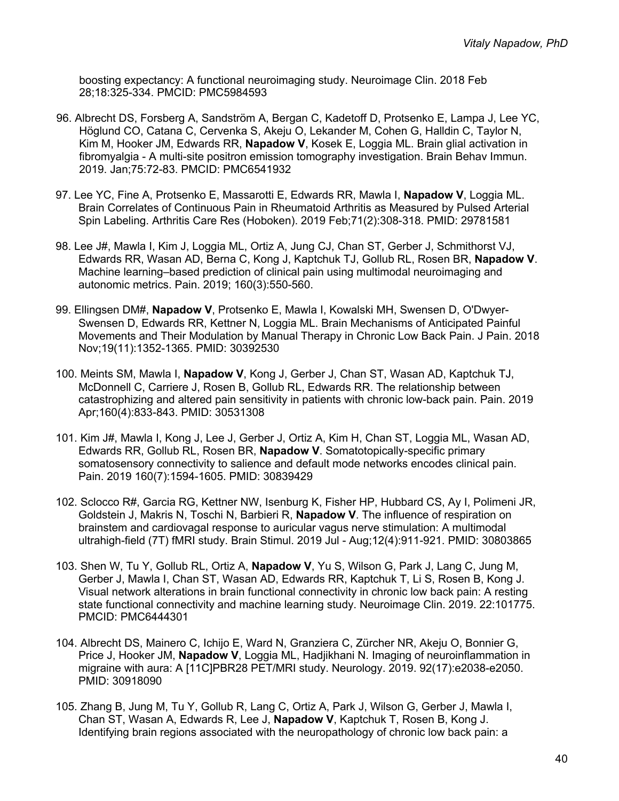boosting expectancy: A functional neuroimaging study. Neuroimage Clin. 2018 Feb 28;18:325-334. PMCID: PMC5984593

- 96. Albrecht DS, Forsberg A, Sandström A, Bergan C, Kadetoff D, Protsenko E, Lampa J, Lee YC, Höglund CO, Catana C, Cervenka S, Akeju O, Lekander M, Cohen G, Halldin C, Taylor N, Kim M, Hooker JM, Edwards RR, **Napadow V**, Kosek E, Loggia ML. Brain glial activation in fibromyalgia - A multi-site positron emission tomography investigation. Brain Behav Immun. 2019. Jan;75:72-83. PMCID: PMC6541932
- 97. Lee YC, Fine A, Protsenko E, Massarotti E, Edwards RR, Mawla I, **Napadow V**, Loggia ML. Brain Correlates of Continuous Pain in Rheumatoid Arthritis as Measured by Pulsed Arterial Spin Labeling. Arthritis Care Res (Hoboken). 2019 Feb;71(2):308-318. PMID: 29781581
- 98. Lee J#, Mawla I, Kim J, Loggia ML, Ortiz A, Jung CJ, Chan ST, Gerber J, Schmithorst VJ, Edwards RR, Wasan AD, Berna C, Kong J, Kaptchuk TJ, Gollub RL, Rosen BR, **Napadow V**. Machine learning–based prediction of clinical pain using multimodal neuroimaging and autonomic metrics. Pain. 2019; 160(3):550-560.
- 99. Ellingsen DM#, **Napadow V**, Protsenko E, Mawla I, Kowalski MH, Swensen D, O'Dwyer-Swensen D, Edwards RR, Kettner N, Loggia ML. Brain Mechanisms of Anticipated Painful Movements and Their Modulation by Manual Therapy in Chronic Low Back Pain. J Pain. 2018 Nov;19(11):1352-1365. PMID: 30392530
- 100. Meints SM, Mawla I, **Napadow V**, Kong J, Gerber J, Chan ST, Wasan AD, Kaptchuk TJ, McDonnell C, Carriere J, Rosen B, Gollub RL, Edwards RR. The relationship between catastrophizing and altered pain sensitivity in patients with chronic low-back pain. Pain. 2019 Apr;160(4):833-843. PMID: 30531308
- 101. Kim J#, Mawla I, Kong J, Lee J, Gerber J, Ortiz A, Kim H, Chan ST, Loggia ML, Wasan AD, Edwards RR, Gollub RL, Rosen BR, **Napadow V**. Somatotopically-specific primary somatosensory connectivity to salience and default mode networks encodes clinical pain. Pain. 2019 160(7):1594-1605. PMID: 30839429
- 102. Sclocco R#, Garcia RG, Kettner NW, Isenburg K, Fisher HP, Hubbard CS, Ay I, Polimeni JR, Goldstein J, Makris N, Toschi N, Barbieri R, **Napadow V**. The influence of respiration on brainstem and cardiovagal response to auricular vagus nerve stimulation: A multimodal ultrahigh-field (7T) fMRI study. Brain Stimul. 2019 Jul - Aug;12(4):911-921. PMID: 30803865
- 103. Shen W, Tu Y, Gollub RL, Ortiz A, **Napadow V**, Yu S, Wilson G, Park J, Lang C, Jung M, Gerber J, Mawla I, Chan ST, Wasan AD, Edwards RR, Kaptchuk T, Li S, Rosen B, Kong J. Visual network alterations in brain functional connectivity in chronic low back pain: A resting state functional connectivity and machine learning study. Neuroimage Clin. 2019. 22:101775. PMCID: PMC6444301
- 104. Albrecht DS, Mainero C, Ichijo E, Ward N, Granziera C, Zürcher NR, Akeju O, Bonnier G, Price J, Hooker JM, **Napadow V**, Loggia ML, Hadjikhani N. Imaging of neuroinflammation in migraine with aura: A [11C]PBR28 PET/MRI study. Neurology. 2019. 92(17):e2038-e2050. PMID: 30918090
- 105. Zhang B, Jung M, Tu Y, Gollub R, Lang C, Ortiz A, Park J, Wilson G, Gerber J, Mawla I, Chan ST, Wasan A, Edwards R, Lee J, **Napadow V**, Kaptchuk T, Rosen B, Kong J. Identifying brain regions associated with the neuropathology of chronic low back pain: a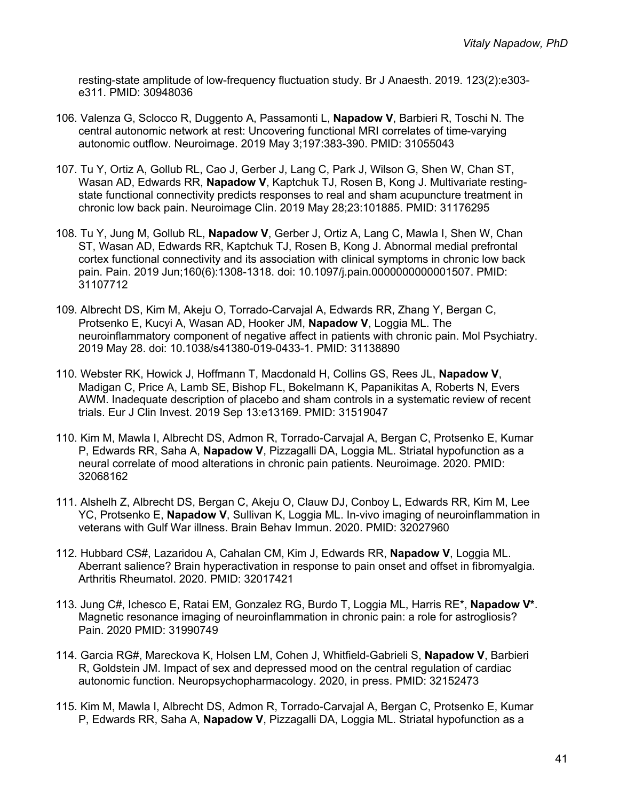resting-state amplitude of low-frequency fluctuation study. Br J Anaesth. 2019. 123(2):e303 e311. PMID: 30948036

- 106. Valenza G, Sclocco R, Duggento A, Passamonti L, **Napadow V**, Barbieri R, Toschi N. The central autonomic network at rest: Uncovering functional MRI correlates of time-varying autonomic outflow. Neuroimage. 2019 May 3;197:383-390. PMID: 31055043
- 107. Tu Y, Ortiz A, Gollub RL, Cao J, Gerber J, Lang C, Park J, Wilson G, Shen W, Chan ST, Wasan AD, Edwards RR, **Napadow V**, Kaptchuk TJ, Rosen B, Kong J. Multivariate restingstate functional connectivity predicts responses to real and sham acupuncture treatment in chronic low back pain. Neuroimage Clin. 2019 May 28;23:101885. PMID: 31176295
- 108. Tu Y, Jung M, Gollub RL, **Napadow V**, Gerber J, Ortiz A, Lang C, Mawla I, Shen W, Chan ST, Wasan AD, Edwards RR, Kaptchuk TJ, Rosen B, Kong J. Abnormal medial prefrontal cortex functional connectivity and its association with clinical symptoms in chronic low back pain. Pain. 2019 Jun;160(6):1308-1318. doi: 10.1097/j.pain.0000000000001507. PMID: 31107712
- 109. Albrecht DS, Kim M, Akeju O, Torrado-Carvajal A, Edwards RR, Zhang Y, Bergan C, Protsenko E, Kucyi A, Wasan AD, Hooker JM, **Napadow V**, Loggia ML. The neuroinflammatory component of negative affect in patients with chronic pain. Mol Psychiatry. 2019 May 28. doi: 10.1038/s41380-019-0433-1. PMID: 31138890
- 110. Webster RK, Howick J, Hoffmann T, Macdonald H, Collins GS, Rees JL, **Napadow V**, Madigan C, Price A, Lamb SE, Bishop FL, Bokelmann K, Papanikitas A, Roberts N, Evers AWM. Inadequate description of placebo and sham controls in a systematic review of recent trials. Eur J Clin Invest. 2019 Sep 13:e13169. PMID: 31519047
- 110. Kim M, Mawla I, Albrecht DS, Admon R, Torrado-Carvajal A, Bergan C, Protsenko E, Kumar P, Edwards RR, Saha A, **Napadow V**, Pizzagalli DA, Loggia ML. Striatal hypofunction as a neural correlate of mood alterations in chronic pain patients. Neuroimage. 2020. PMID: 32068162
- 111. Alshelh Z, Albrecht DS, Bergan C, Akeju O, Clauw DJ, Conboy L, Edwards RR, Kim M, Lee YC, Protsenko E, **Napadow V**, Sullivan K, Loggia ML. In-vivo imaging of neuroinflammation in veterans with Gulf War illness. Brain Behav Immun. 2020. PMID: 32027960
- 112. Hubbard CS#, Lazaridou A, Cahalan CM, Kim J, Edwards RR, **Napadow V**, Loggia ML. Aberrant salience? Brain hyperactivation in response to pain onset and offset in fibromyalgia. Arthritis Rheumatol. 2020. PMID: 32017421
- 113. Jung C#, Ichesco E, Ratai EM, Gonzalez RG, Burdo T, Loggia ML, Harris RE\*, **Napadow V\***. Magnetic resonance imaging of neuroinflammation in chronic pain: a role for astrogliosis? Pain. 2020 PMID: 31990749
- 114. Garcia RG#, Mareckova K, Holsen LM, Cohen J, Whitfield-Gabrieli S, **Napadow V**, Barbieri R, Goldstein JM. Impact of sex and depressed mood on the central regulation of cardiac autonomic function. Neuropsychopharmacology. 2020, in press. PMID: 32152473
- 115. Kim M, Mawla I, Albrecht DS, Admon R, Torrado-Carvajal A, Bergan C, Protsenko E, Kumar P, Edwards RR, Saha A, **Napadow V**, Pizzagalli DA, Loggia ML. Striatal hypofunction as a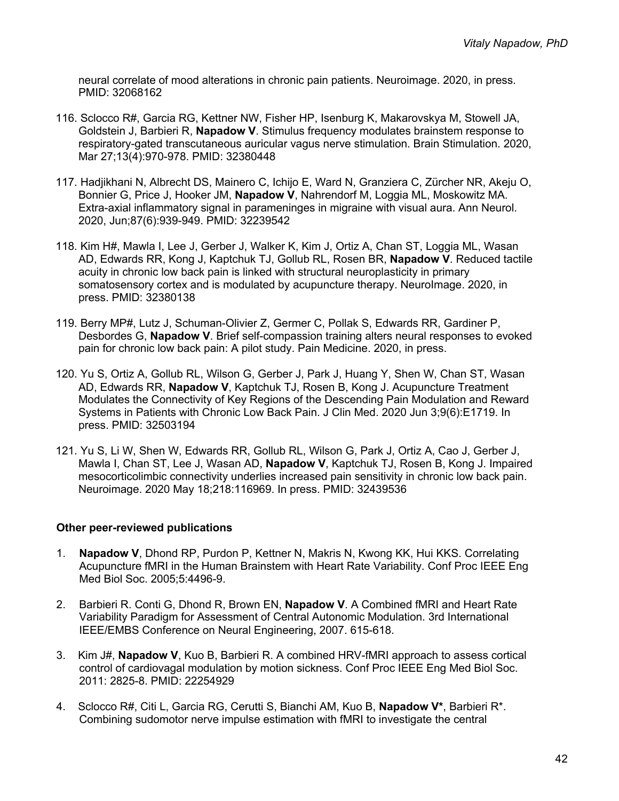neural correlate of mood alterations in chronic pain patients. Neuroimage. 2020, in press. PMID: 32068162

- 116. Sclocco R#, Garcia RG, Kettner NW, Fisher HP, Isenburg K, Makarovskya M, Stowell JA, Goldstein J, Barbieri R, **Napadow V**. Stimulus frequency modulates brainstem response to respiratory-gated transcutaneous auricular vagus nerve stimulation. Brain Stimulation. 2020, Mar 27;13(4):970-978. PMID: 32380448
- 117. Hadjikhani N, Albrecht DS, Mainero C, Ichijo E, Ward N, Granziera C, Zürcher NR, Akeju O, Bonnier G, Price J, Hooker JM, **Napadow V**, Nahrendorf M, Loggia ML, Moskowitz MA. Extra-axial inflammatory signal in parameninges in migraine with visual aura. Ann Neurol. 2020, Jun;87(6):939-949. PMID: 32239542
- 118. Kim H#, Mawla I, Lee J, Gerber J, Walker K, Kim J, Ortiz A, Chan ST, Loggia ML, Wasan AD, Edwards RR, Kong J, Kaptchuk TJ, Gollub RL, Rosen BR, **Napadow V**. Reduced tactile acuity in chronic low back pain is linked with structural neuroplasticity in primary somatosensory cortex and is modulated by acupuncture therapy. NeuroImage. 2020, in press. PMID: 32380138
- 119. Berry MP#, Lutz J, Schuman-Olivier Z, Germer C, Pollak S, Edwards RR, Gardiner P, Desbordes G, **Napadow V**. Brief self-compassion training alters neural responses to evoked pain for chronic low back pain: A pilot study. Pain Medicine. 2020, in press.
- 120. Yu S, Ortiz A, Gollub RL, Wilson G, Gerber J, Park J, Huang Y, Shen W, Chan ST, Wasan AD, Edwards RR, **Napadow V**, Kaptchuk TJ, Rosen B, Kong J. Acupuncture Treatment Modulates the Connectivity of Key Regions of the Descending Pain Modulation and Reward Systems in Patients with Chronic Low Back Pain. J Clin Med. 2020 Jun 3;9(6):E1719. In press. PMID: 32503194
- 121. Yu S, Li W, Shen W, Edwards RR, Gollub RL, Wilson G, Park J, Ortiz A, Cao J, Gerber J, Mawla I, Chan ST, Lee J, Wasan AD, **Napadow V**, Kaptchuk TJ, Rosen B, Kong J. Impaired mesocorticolimbic connectivity underlies increased pain sensitivity in chronic low back pain. Neuroimage. 2020 May 18;218:116969. In press. PMID: 32439536

#### **Other peer-reviewed publications**

- 1. **Napadow V**, Dhond RP, Purdon P, Kettner N, Makris N, Kwong KK, Hui KKS. Correlating Acupuncture fMRI in the Human Brainstem with Heart Rate Variability. Conf Proc IEEE Eng Med Biol Soc. 2005;5:4496-9.
- 2. Barbieri R. Conti G, Dhond R, Brown EN, **Napadow V**. A Combined fMRI and Heart Rate Variability Paradigm for Assessment of Central Autonomic Modulation. 3rd International IEEE/EMBS Conference on Neural Engineering, 2007. 615-618.
- 3. Kim J#, **Napadow V**, Kuo B, Barbieri R. A combined HRV-fMRI approach to assess cortical control of cardiovagal modulation by motion sickness. Conf Proc IEEE Eng Med Biol Soc. 2011: 2825-8. PMID: 22254929
- 4. Sclocco R#, Citi L, Garcia RG, Cerutti S, Bianchi AM, Kuo B, **Napadow V\***, Barbieri R\*. Combining sudomotor nerve impulse estimation with fMRI to investigate the central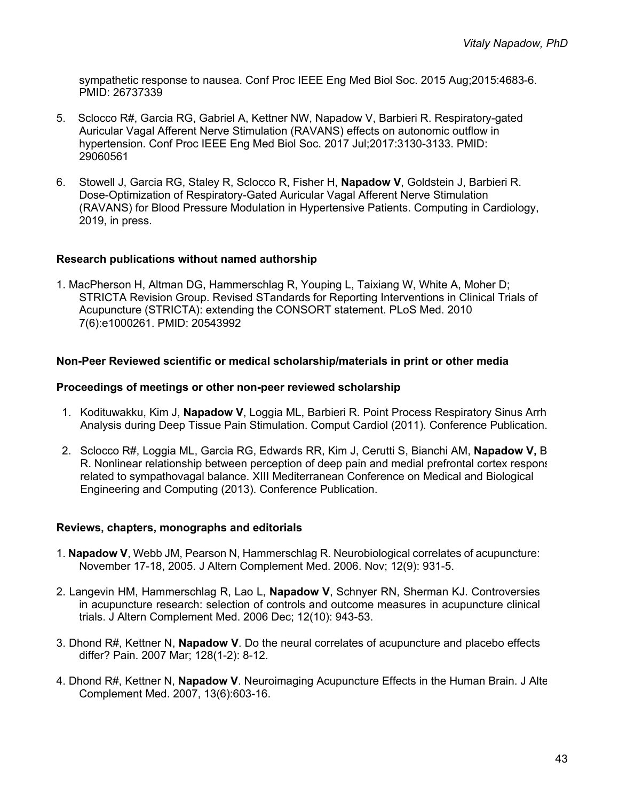sympathetic response to nausea. Conf Proc IEEE Eng Med Biol Soc. 2015 Aug;2015:4683-6. PMID: 26737339

- 5. Sclocco R#, Garcia RG, Gabriel A, Kettner NW, Napadow V, Barbieri R. Respiratory-gated Auricular Vagal Afferent Nerve Stimulation (RAVANS) effects on autonomic outflow in hypertension. Conf Proc IEEE Eng Med Biol Soc. 2017 Jul;2017:3130-3133. PMID: 29060561
- 6. Stowell J, Garcia RG, Staley R, Sclocco R, Fisher H, **Napadow V**, Goldstein J, Barbieri R. Dose-Optimization of Respiratory-Gated Auricular Vagal Afferent Nerve Stimulation (RAVANS) for Blood Pressure Modulation in Hypertensive Patients. Computing in Cardiology, 2019, in press.

#### **Research publications without named authorship**

1. MacPherson H, Altman DG, Hammerschlag R, Youping L, Taixiang W, White A, Moher D; STRICTA Revision Group. Revised STandards for Reporting Interventions in Clinical Trials of Acupuncture (STRICTA): extending the CONSORT statement. PLoS Med. 2010 7(6):e1000261. PMID: 20543992

#### **Non-Peer Reviewed scientific or medical scholarship/materials in print or other media**

#### **Proceedings of meetings or other non-peer reviewed scholarship**

- 1. Kodituwakku, Kim J, **Napadow V**, Loggia ML, Barbieri R. Point Process Respiratory Sinus Arrh Analysis during Deep Tissue Pain Stimulation. Comput Cardiol (2011). Conference Publication.
- 2. Sclocco R#, Loggia ML, Garcia RG, Edwards RR, Kim J, Cerutti S, Bianchi AM, **Napadow V,** B R. Nonlinear relationship between perception of deep pain and medial prefrontal cortex response related to sympathovagal balance. XIII Mediterranean Conference on Medical and Biological Engineering and Computing (2013). Conference Publication.

#### **Reviews, chapters, monographs and editorials**

- 1. **Napadow V**, Webb JM, Pearson N, Hammerschlag R. Neurobiological correlates of acupuncture: November 17-18, 2005. J Altern Complement Med. 2006. Nov; 12(9): 931-5.
- 2. Langevin HM, Hammerschlag R, Lao L, **Napadow V**, Schnyer RN, Sherman KJ. Controversies in acupuncture research: selection of controls and outcome measures in acupuncture clinical trials. J Altern Complement Med. 2006 Dec; 12(10): 943-53.
- 3. Dhond R#, Kettner N, **Napadow V**. Do the neural correlates of acupuncture and placebo effects differ? Pain. 2007 Mar; 128(1-2): 8-12.
- 4. Dhond R#, Kettner N, **Napadow V**. Neuroimaging Acupuncture Effects in the Human Brain. J Altern Complement Med. 2007, 13(6):603-16.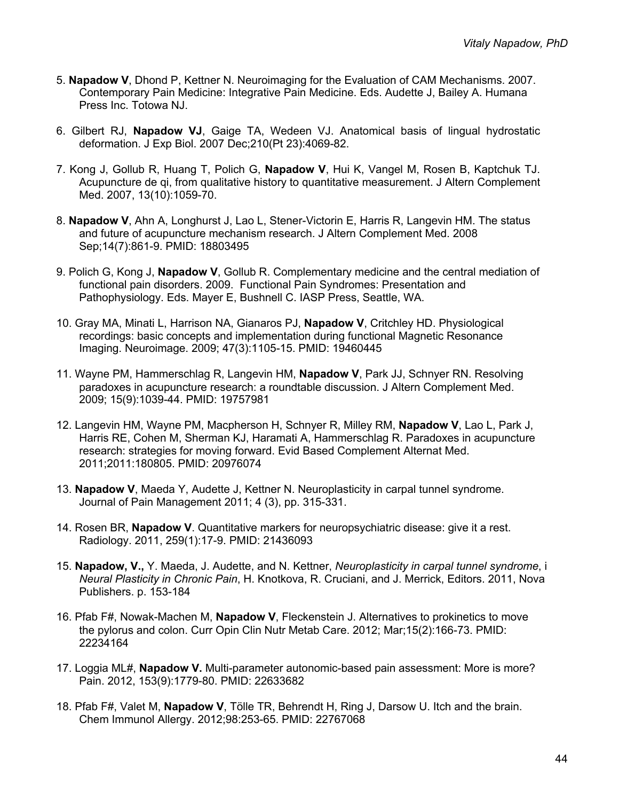- 5. **Napadow V**, Dhond P, Kettner N. Neuroimaging for the Evaluation of CAM Mechanisms. 2007. Contemporary Pain Medicine: Integrative Pain Medicine. Eds. Audette J, Bailey A. Humana Press Inc. Totowa NJ.
- 6. Gilbert RJ, **Napadow VJ**, Gaige TA, Wedeen VJ. Anatomical basis of lingual hydrostatic deformation. J Exp Biol. 2007 Dec;210(Pt 23):4069-82.
- 7. Kong J, Gollub R, Huang T, Polich G, **Napadow V**, Hui K, Vangel M, Rosen B, Kaptchuk TJ. Acupuncture de qi, from qualitative history to quantitative measurement. J Altern Complement Med. 2007, 13(10):1059-70.
- 8. **Napadow V**, Ahn A, Longhurst J, Lao L, Stener-Victorin E, Harris R, Langevin HM. The status and future of acupuncture mechanism research. J Altern Complement Med. 2008 Sep;14(7):861-9. PMID: 18803495
- 9. Polich G, Kong J, **Napadow V**, Gollub R. Complementary medicine and the central mediation of functional pain disorders. 2009. Functional Pain Syndromes: Presentation and Pathophysiology. Eds. Mayer E, Bushnell C. IASP Press, Seattle, WA.
- 10. Gray MA, Minati L, Harrison NA, Gianaros PJ, **Napadow V**, Critchley HD. Physiological recordings: basic concepts and implementation during functional Magnetic Resonance Imaging. Neuroimage. 2009; 47(3):1105-15. PMID: 19460445
- 11. Wayne PM, Hammerschlag R, Langevin HM, **Napadow V**, Park JJ, Schnyer RN. Resolving paradoxes in acupuncture research: a roundtable discussion. J Altern Complement Med. 2009; 15(9):1039-44. PMID: 19757981
- 12. Langevin HM, Wayne PM, Macpherson H, Schnyer R, Milley RM, **Napadow V**, Lao L, Park J, Harris RE, Cohen M, Sherman KJ, Haramati A, Hammerschlag R. Paradoxes in acupuncture research: strategies for moving forward. Evid Based Complement Alternat Med. 2011;2011:180805. PMID: 20976074
- 13. **Napadow V**, Maeda Y, Audette J, Kettner N. Neuroplasticity in carpal tunnel syndrome. Journal of Pain Management 2011; 4 (3), pp. 315-331.
- 14. Rosen BR, **Napadow V**. Quantitative markers for neuropsychiatric disease: give it a rest. Radiology. 2011, 259(1):17-9. PMID: 21436093
- 15. **Napadow, V.,** Y. Maeda, J. Audette, and N. Kettner, *Neuroplasticity in carpal tunnel syndrome*, in *Neural Plasticity in Chronic Pain*, H. Knotkova, R. Cruciani, and J. Merrick, Editors. 2011, Nova Publishers. p. 153-184
- 16. Pfab F#, Nowak-Machen M, **Napadow V**, Fleckenstein J. Alternatives to prokinetics to move the pylorus and colon. Curr Opin Clin Nutr Metab Care. 2012; Mar;15(2):166-73. PMID: 22234164
- 17. Loggia ML#, **Napadow V.** Multi-parameter autonomic-based pain assessment: More is more? Pain. 2012, 153(9):1779-80. PMID: 22633682
- 18. Pfab F#, Valet M, **Napadow V**, Tölle TR, Behrendt H, Ring J, Darsow U. Itch and the brain. Chem Immunol Allergy. 2012;98:253-65. PMID: 22767068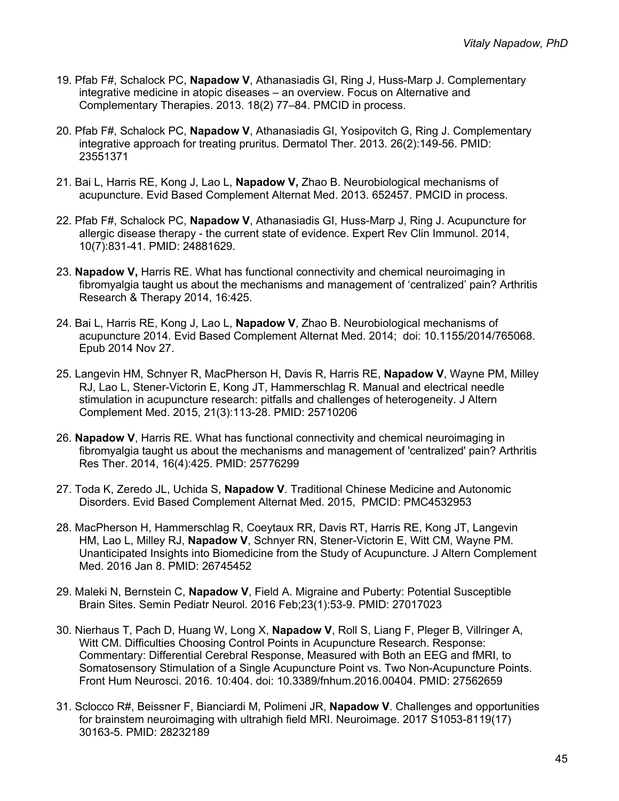- 19. Pfab F#, Schalock PC, **Napadow V**, Athanasiadis GI, Ring J, Huss-Marp J. Complementary integrative medicine in atopic diseases – an overview. Focus on Alternative and Complementary Therapies. 2013. 18(2) 77–84. PMCID in process.
- 20. Pfab F#, Schalock PC, **Napadow V**, Athanasiadis GI, Yosipovitch G, Ring J. Complementary integrative approach for treating pruritus. Dermatol Ther. 2013. 26(2):149-56. PMID: 23551371
- 21. Bai L, Harris RE, Kong J, Lao L, **Napadow V,** Zhao B. Neurobiological mechanisms of acupuncture. Evid Based Complement Alternat Med. 2013. 652457. PMCID in process.
- 22. Pfab F#, Schalock PC, **Napadow V**, Athanasiadis GI, Huss-Marp J, Ring J. Acupuncture for allergic disease therapy - the current state of evidence. Expert Rev Clin Immunol. 2014, 10(7):831-41. PMID: 24881629.
- 23. **Napadow V,** Harris RE. What has functional connectivity and chemical neuroimaging in fibromyalgia taught us about the mechanisms and management of 'centralized' pain? Arthritis Research & Therapy 2014, 16:425.
- 24. Bai L, Harris RE, Kong J, Lao L, **Napadow V**, Zhao B. Neurobiological mechanisms of acupuncture 2014. Evid Based Complement Alternat Med. 2014; doi: 10.1155/2014/765068. Epub 2014 Nov 27.
- 25. Langevin HM, Schnyer R, MacPherson H, Davis R, Harris RE, **Napadow V**, Wayne PM, Milley RJ, Lao L, Stener-Victorin E, Kong JT, Hammerschlag R. Manual and electrical needle stimulation in acupuncture research: pitfalls and challenges of heterogeneity. J Altern Complement Med. 2015, 21(3):113-28. PMID: 25710206
- 26. **Napadow V**, Harris RE. What has functional connectivity and chemical neuroimaging in fibromyalgia taught us about the mechanisms and management of 'centralized' pain? Arthritis Res Ther. 2014, 16(4):425. PMID: 25776299
- 27. Toda K, Zeredo JL, Uchida S, **Napadow V**. Traditional Chinese Medicine and Autonomic Disorders. Evid Based Complement Alternat Med. 2015, PMCID: PMC4532953
- 28. MacPherson H, Hammerschlag R, Coeytaux RR, Davis RT, Harris RE, Kong JT, Langevin HM, Lao L, Milley RJ, **Napadow V**, Schnyer RN, Stener-Victorin E, Witt CM, Wayne PM. Unanticipated Insights into Biomedicine from the Study of Acupuncture. J Altern Complement Med. 2016 Jan 8. PMID: 26745452
- 29. Maleki N, Bernstein C, **Napadow V**, Field A. Migraine and Puberty: Potential Susceptible Brain Sites. Semin Pediatr Neurol. 2016 Feb;23(1):53-9. PMID: 27017023
- 30. Nierhaus T, Pach D, Huang W, Long X, **Napadow V**, Roll S, Liang F, Pleger B, Villringer A, Witt CM. Difficulties Choosing Control Points in Acupuncture Research. Response: Commentary: Differential Cerebral Response, Measured with Both an EEG and fMRI, to Somatosensory Stimulation of a Single Acupuncture Point vs. Two Non-Acupuncture Points. Front Hum Neurosci. 2016. 10:404. doi: 10.3389/fnhum.2016.00404. PMID: 27562659
- 31. Sclocco R#, Beissner F, Bianciardi M, Polimeni JR, **Napadow V**. Challenges and opportunities for brainstem neuroimaging with ultrahigh field MRI. Neuroimage. 2017 S1053-8119(17) 30163-5. PMID: 28232189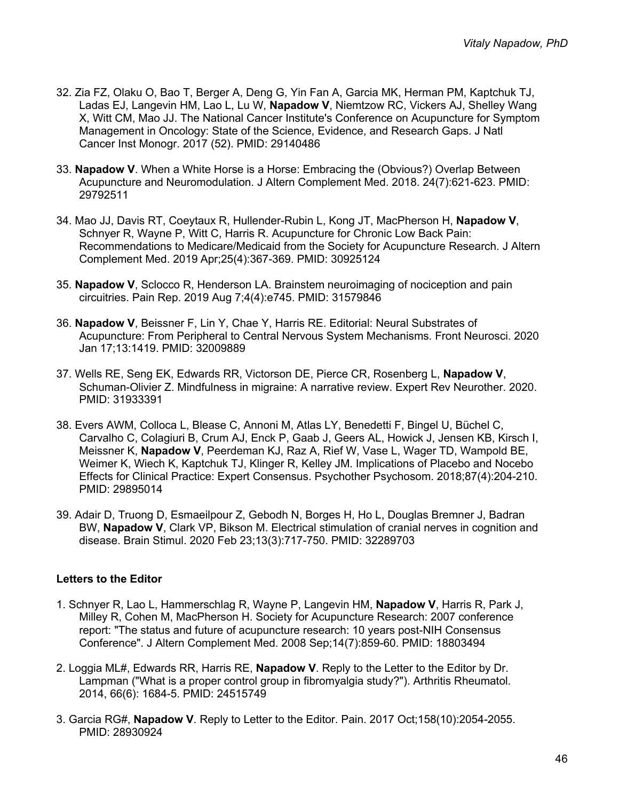- 32. Zia FZ, Olaku O, Bao T, Berger A, Deng G, Yin Fan A, Garcia MK, Herman PM, Kaptchuk TJ, Ladas EJ, Langevin HM, Lao L, Lu W, **Napadow V**, Niemtzow RC, Vickers AJ, Shelley Wang X, Witt CM, Mao JJ. The National Cancer Institute's Conference on Acupuncture for Symptom Management in Oncology: State of the Science, Evidence, and Research Gaps. J Natl Cancer Inst Monogr. 2017 (52). PMID: 29140486
- 33. **Napadow V**. When a White Horse is a Horse: Embracing the (Obvious?) Overlap Between Acupuncture and Neuromodulation. J Altern Complement Med. 2018. 24(7):621-623. PMID: 29792511
- 34. Mao JJ, Davis RT, Coeytaux R, Hullender-Rubin L, Kong JT, MacPherson H, **Napadow V**, Schnyer R, Wayne P, Witt C, Harris R. Acupuncture for Chronic Low Back Pain: Recommendations to Medicare/Medicaid from the Society for Acupuncture Research. J Altern Complement Med. 2019 Apr;25(4):367-369. PMID: 30925124
- 35. **Napadow V**, Sclocco R, Henderson LA. Brainstem neuroimaging of nociception and pain circuitries. Pain Rep. 2019 Aug 7;4(4):e745. PMID: 31579846
- 36. **Napadow V**, Beissner F, Lin Y, Chae Y, Harris RE. Editorial: Neural Substrates of Acupuncture: From Peripheral to Central Nervous System Mechanisms. Front Neurosci. 2020 Jan 17;13:1419. PMID: 32009889
- 37. Wells RE, Seng EK, Edwards RR, Victorson DE, Pierce CR, Rosenberg L, **Napadow V**, Schuman-Olivier Z. Mindfulness in migraine: A narrative review. Expert Rev Neurother. 2020. PMID: 31933391
- 38. Evers AWM, Colloca L, Blease C, Annoni M, Atlas LY, Benedetti F, Bingel U, Büchel C, Carvalho C, Colagiuri B, Crum AJ, Enck P, Gaab J, Geers AL, Howick J, Jensen KB, Kirsch I, Meissner K, **Napadow V**, Peerdeman KJ, Raz A, Rief W, Vase L, Wager TD, Wampold BE, Weimer K, Wiech K, Kaptchuk TJ, Klinger R, Kelley JM. Implications of Placebo and Nocebo Effects for Clinical Practice: Expert Consensus. Psychother Psychosom. 2018;87(4):204-210. PMID: 29895014
- 39. Adair D, Truong D, Esmaeilpour Z, Gebodh N, Borges H, Ho L, Douglas Bremner J, Badran BW, **Napadow V**, Clark VP, Bikson M. Electrical stimulation of cranial nerves in cognition and disease. Brain Stimul. 2020 Feb 23;13(3):717-750. PMID: 32289703

#### **Letters to the Editor**

- 1. Schnyer R, Lao L, Hammerschlag R, Wayne P, Langevin HM, **Napadow V**, Harris R, Park J, Milley R, Cohen M, MacPherson H. Society for Acupuncture Research: 2007 conference report: "The status and future of acupuncture research: 10 years post-NIH Consensus Conference". J Altern Complement Med. 2008 Sep;14(7):859-60. PMID: 18803494
- 2. Loggia ML#, Edwards RR, Harris RE, **Napadow V**. Reply to the Letter to the Editor by Dr. Lampman ("What is a proper control group in fibromyalgia study?"). Arthritis Rheumatol. 2014, 66(6): 1684-5. PMID: 24515749
- 3. Garcia RG#, **Napadow V**. Reply to Letter to the Editor. Pain. 2017 Oct;158(10):2054-2055. PMID: 28930924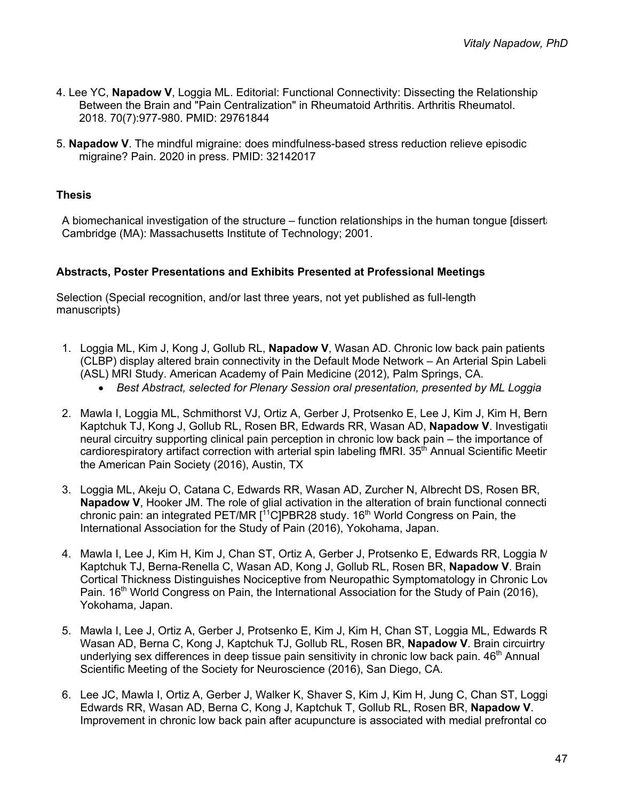- 4. Lee YC, **Napadow V**, Loggia ML. Editorial: Functional Connectivity: Dissecting the Relationship Between the Brain and "Pain Centralization" in Rheumatoid Arthritis. Arthritis Rheumatol. 2018. 70(7):977-980. PMID: 29761844
- 5. **Napadow V**. The mindful migraine: does mindfulness-based stress reduction relieve episodic migraine? Pain. 2020 in press. PMID: 32142017

#### **Thesis**

A biomechanical investigation of the structure – function relationships in the human tongue [dissertation]. Cambridge (MA): Massachusetts Institute of Technology; 2001.

#### **Abstracts, Poster Presentations and Exhibits Presented at Professional Meetings**

Selection (Special recognition, and/or last three years, not yet published as full-length manuscripts)

- 1. Loggia ML, Kim J, Kong J, Gollub RL, **Napadow V**, Wasan AD. Chronic low back pain patients (CLBP) display altered brain connectivity in the Default Mode Network – An Arterial Spin Labeling (ASL) MRI Study. American Academy of Pain Medicine (2012), Palm Springs, CA.
	- *Best Abstract, selected for Plenary Session oral presentation, presented by ML Loggia*
- 2. Mawla I, Loggia ML, Schmithorst VJ, Ortiz A, Gerber J, Protsenko E, Lee J, Kim J, Kim H, Bern Kaptchuk TJ, Kong J, Gollub RL, Rosen BR, Edwards RR, Wasan AD, **Napadow V**. Investigating neural circuitry supporting clinical pain perception in chronic low back pain – the importance of cardiorespiratory artifact correction with arterial spin labeling fMRI. 35<sup>th</sup> Annual Scientific Meetir the American Pain Society (2016), Austin, TX
- 3. Loggia ML, Akeju O, Catana C, Edwards RR, Wasan AD, Zurcher N, Albrecht DS, Rosen BR, **Napadow V**, Hooker JM. The role of glial activation in the alteration of brain functional connecti chronic pain: an integrated PET/MR  $I^{11}$ C]PBR28 study. 16<sup>th</sup> World Congress on Pain, the International Association for the Study of Pain (2016), Yokohama, Japan.
- 4. Mawla I, Lee J, Kim H, Kim J, Chan ST, Ortiz A, Gerber J, Protsenko E, Edwards RR, Loggia ML, Kaptchuk TJ, Berna-Renella C, Wasan AD, Kong J, Gollub RL, Rosen BR, **Napadow V**. Brain Cortical Thickness Distinguishes Nociceptive from Neuropathic Symptomatology in Chronic Low Back Pain. 16<sup>th</sup> World Congress on Pain, the International Association for the Study of Pain (2016). Yokohama, Japan.
- 5. Mawla I, Lee J, Ortiz A, Gerber J, Protsenko E, Kim J, Kim H, Chan ST, Loggia ML, Edwards RR, Wasan AD, Berna C, Kong J, Kaptchuk TJ, Gollub RL, Rosen BR, **Napadow V**. Brain circuirtry underlying sex differences in deep tissue pain sensitivity in chronic low back pain.  $46<sup>th</sup>$  Annual Scientific Meeting of the Society for Neuroscience (2016), San Diego, CA.
- 6. Lee JC, Mawla I, Ortiz A, Gerber J, Walker K, Shaver S, Kim J, Kim H, Jung C, Chan ST, Loggi Edwards RR, Wasan AD, Berna C, Kong J, Kaptchuk T, Gollub RL, Rosen BR, **Napadow V**. Improvement in chronic low back pain after acupuncture is associated with medial prefrontal co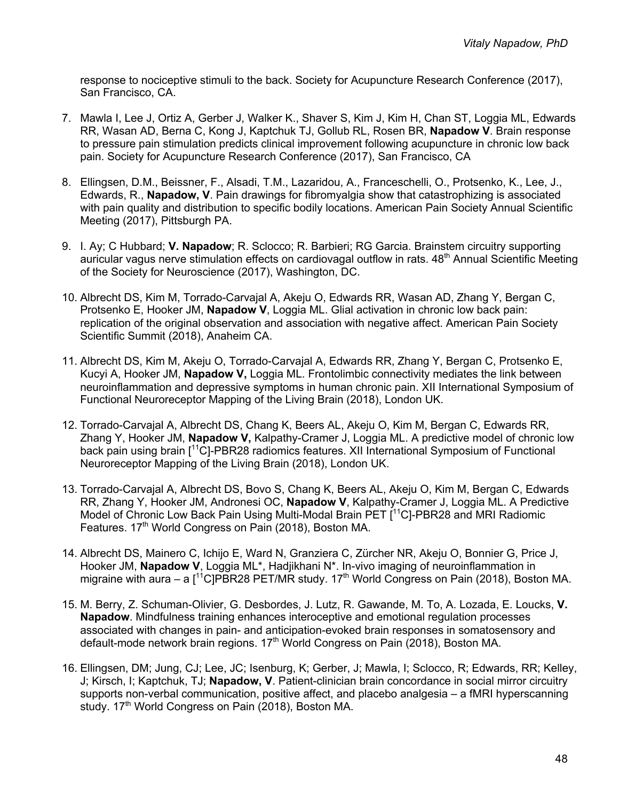response to nociceptive stimuli to the back. Society for Acupuncture Research Conference (2017), San Francisco, CA.

- 7. Mawla I, Lee J, Ortiz A, Gerber J, Walker K., Shaver S, Kim J, Kim H, Chan ST, Loggia ML, Edwards RR, Wasan AD, Berna C, Kong J, Kaptchuk TJ, Gollub RL, Rosen BR, **Napadow V**. Brain response to pressure pain stimulation predicts clinical improvement following acupuncture in chronic low back pain. Society for Acupuncture Research Conference (2017), San Francisco, CA
- 8. Ellingsen, D.M., Beissner, F., Alsadi, T.M., Lazaridou, A., Franceschelli, O., Protsenko, K., Lee, J., Edwards, R., **Napadow, V**. Pain drawings for fibromyalgia show that catastrophizing is associated with pain quality and distribution to specific bodily locations. American Pain Society Annual Scientific Meeting (2017), Pittsburgh PA.
- 9. I. Ay; C Hubbard; **V. Napadow**; R. Sclocco; R. Barbieri; RG Garcia. Brainstem circuitry supporting auricular vagus nerve stimulation effects on cardiovagal outflow in rats. 48<sup>th</sup> Annual Scientific Meeting of the Society for Neuroscience (2017), Washington, DC.
- 10. Albrecht DS, Kim M, Torrado-Carvajal A, Akeju O, Edwards RR, Wasan AD, Zhang Y, Bergan C, Protsenko E, Hooker JM, **Napadow V**, Loggia ML. Glial activation in chronic low back pain: replication of the original observation and association with negative affect. American Pain Society Scientific Summit (2018), Anaheim CA.
- 11. Albrecht DS, Kim M, Akeju O, Torrado-Carvajal A, Edwards RR, Zhang Y, Bergan C, Protsenko E, Kucyi A, Hooker JM, **Napadow V,** Loggia ML. Frontolimbic connectivity mediates the link between neuroinflammation and depressive symptoms in human chronic pain. XII International Symposium of Functional Neuroreceptor Mapping of the Living Brain (2018), London UK.
- 12. Torrado-Carvajal A, Albrecht DS, Chang K, Beers AL, Akeju O, Kim M, Bergan C, Edwards RR, Zhang Y, Hooker JM, **Napadow V,** Kalpathy-Cramer J, Loggia ML. A predictive model of chronic low back pain using brain [<sup>11</sup>C]-PBR28 radiomics features. XII International Symposium of Functional Neuroreceptor Mapping of the Living Brain (2018), London UK.
- 13. Torrado-Carvajal A, Albrecht DS, Bovo S, Chang K, Beers AL, Akeju O, Kim M, Bergan C, Edwards RR, Zhang Y, Hooker JM, Andronesi OC, **Napadow V**, Kalpathy-Cramer J, Loggia ML. A Predictive Model of Chronic Low Back Pain Using Multi-Modal Brain PET [<sup>11</sup>C]-PBR28 and MRI Radiomic Features. 17<sup>th</sup> World Congress on Pain (2018), Boston MA.
- 14. Albrecht DS, Mainero C, Ichijo E, Ward N, Granziera C, Zürcher NR, Akeju O, Bonnier G, Price J, Hooker JM, **Napadow V**, Loggia ML\*, Hadjikhani N\*. In-vivo imaging of neuroinflammation in migraine with aura – a  $[$ <sup>11</sup>C]PBR28 PET/MR study. 17<sup>th</sup> World Congress on Pain (2018), Boston MA.
- 15. M. Berry, Z. Schuman-Olivier, G. Desbordes, J. Lutz, R. Gawande, M. To, A. Lozada, E. Loucks, **V. Napadow**. Mindfulness training enhances interoceptive and emotional regulation processes associated with changes in pain- and anticipation-evoked brain responses in somatosensory and default-mode network brain regions. 17<sup>th</sup> World Congress on Pain (2018), Boston MA.
- 16. Ellingsen, DM; Jung, CJ; Lee, JC; Isenburg, K; Gerber, J; Mawla, I; Sclocco, R; Edwards, RR; Kelley, J; Kirsch, I; Kaptchuk, TJ; **Napadow, V**. Patient-clinician brain concordance in social mirror circuitry supports non-verbal communication, positive affect, and placebo analgesia – a fMRI hyperscanning study. 17<sup>th</sup> World Congress on Pain (2018), Boston MA.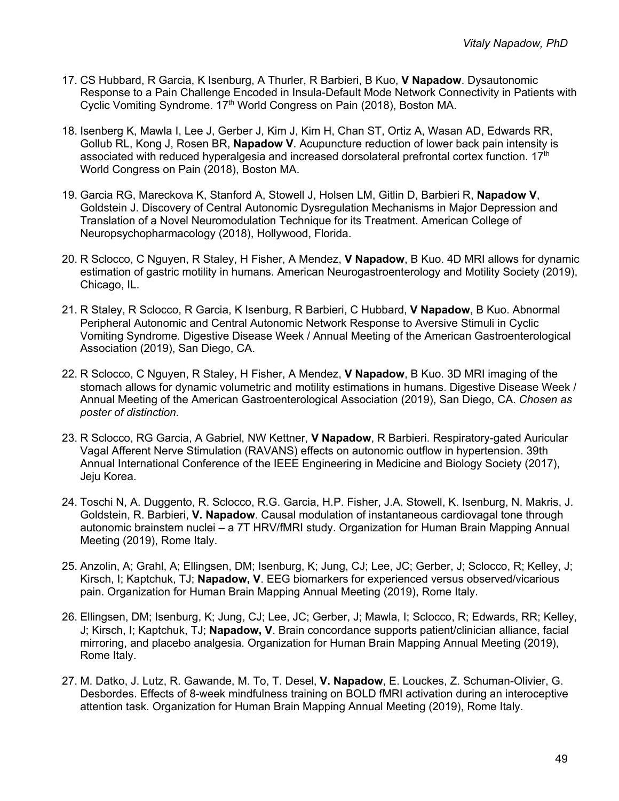- 17. CS Hubbard, R Garcia, K Isenburg, A Thurler, R Barbieri, B Kuo, **V Napadow**. Dysautonomic Response to a Pain Challenge Encoded in Insula-Default Mode Network Connectivity in Patients with Cyclic Vomiting Syndrome. 17<sup>th</sup> World Congress on Pain (2018), Boston MA.
- 18. Isenberg K, Mawla I, Lee J, Gerber J, Kim J, Kim H, Chan ST, Ortiz A, Wasan AD, Edwards RR, Gollub RL, Kong J, Rosen BR, **Napadow V**. Acupuncture reduction of lower back pain intensity is associated with reduced hyperalgesia and increased dorsolateral prefrontal cortex function. 17<sup>th</sup> World Congress on Pain (2018), Boston MA.
- 19. Garcia RG, Mareckova K, Stanford A, Stowell J, Holsen LM, Gitlin D, Barbieri R, **Napadow V**, Goldstein J. Discovery of Central Autonomic Dysregulation Mechanisms in Major Depression and Translation of a Novel Neuromodulation Technique for its Treatment. American College of Neuropsychopharmacology (2018), Hollywood, Florida.
- 20. R Sclocco, C Nguyen, R Staley, H Fisher, A Mendez, **V Napadow**, B Kuo. 4D MRI allows for dynamic estimation of gastric motility in humans. American Neurogastroenterology and Motility Society (2019), Chicago, IL.
- 21. R Staley, R Sclocco, R Garcia, K Isenburg, R Barbieri, C Hubbard, **V Napadow**, B Kuo. Abnormal Peripheral Autonomic and Central Autonomic Network Response to Aversive Stimuli in Cyclic Vomiting Syndrome. Digestive Disease Week / Annual Meeting of the American Gastroenterological Association (2019), San Diego, CA.
- 22. R Sclocco, C Nguyen, R Staley, H Fisher, A Mendez, **V Napadow**, B Kuo. 3D MRI imaging of the stomach allows for dynamic volumetric and motility estimations in humans. Digestive Disease Week / Annual Meeting of the American Gastroenterological Association (2019), San Diego, CA. *Chosen as poster of distinction.*
- 23. R Sclocco, RG Garcia, A Gabriel, NW Kettner, **V Napadow**, R Barbieri. Respiratory-gated Auricular Vagal Afferent Nerve Stimulation (RAVANS) effects on autonomic outflow in hypertension. 39th Annual International Conference of the IEEE Engineering in Medicine and Biology Society (2017), Jeju Korea.
- 24. Toschi N, A. Duggento, R. Sclocco, R.G. Garcia, H.P. Fisher, J.A. Stowell, K. Isenburg, N. Makris, J. Goldstein, R. Barbieri, **V. Napadow**. Causal modulation of instantaneous cardiovagal tone through autonomic brainstem nuclei – a 7T HRV/fMRI study. Organization for Human Brain Mapping Annual Meeting (2019), Rome Italy.
- 25. Anzolin, A; Grahl, A; Ellingsen, DM; Isenburg, K; Jung, CJ; Lee, JC; Gerber, J; Sclocco, R; Kelley, J; Kirsch, I; Kaptchuk, TJ; **Napadow, V**. EEG biomarkers for experienced versus observed/vicarious pain. Organization for Human Brain Mapping Annual Meeting (2019), Rome Italy.
- 26. Ellingsen, DM; Isenburg, K; Jung, CJ; Lee, JC; Gerber, J; Mawla, I; Sclocco, R; Edwards, RR; Kelley, J; Kirsch, I; Kaptchuk, TJ; **Napadow, V**. Brain concordance supports patient/clinician alliance, facial mirroring, and placebo analgesia. Organization for Human Brain Mapping Annual Meeting (2019), Rome Italy.
- 27. M. Datko, J. Lutz, R. Gawande, M. To, T. Desel, **V. Napadow**, E. Louckes, Z. Schuman-Olivier, G. Desbordes. Effects of 8-week mindfulness training on BOLD fMRI activation during an interoceptive attention task. Organization for Human Brain Mapping Annual Meeting (2019), Rome Italy.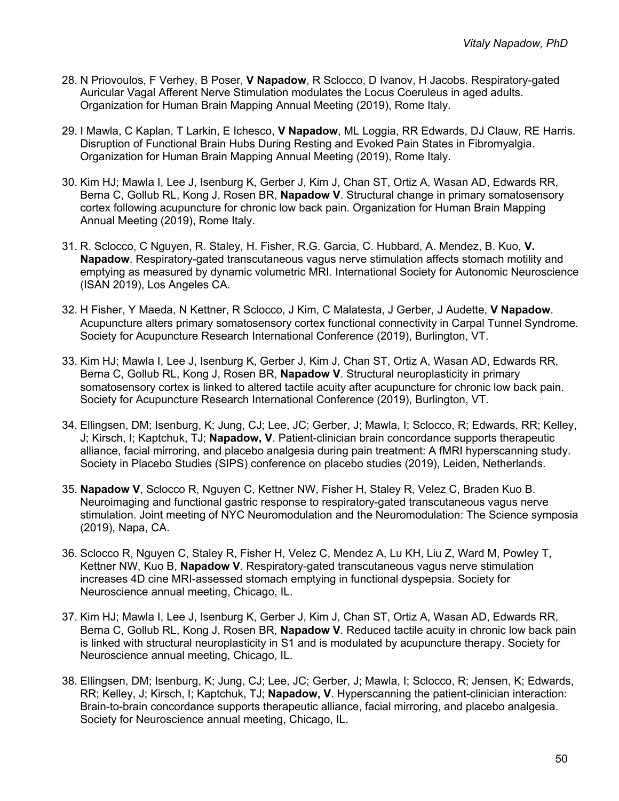- 28. N Priovoulos, F Verhey, B Poser, **V Napadow**, R Sclocco, D Ivanov, H Jacobs. Respiratory-gated Auricular Vagal Afferent Nerve Stimulation modulates the Locus Coeruleus in aged adults. Organization for Human Brain Mapping Annual Meeting (2019), Rome Italy.
- 29. I Mawla, C Kaplan, T Larkin, E Ichesco, **V Napadow**, ML Loggia, RR Edwards, DJ Clauw, RE Harris. Disruption of Functional Brain Hubs During Resting and Evoked Pain States in Fibromyalgia. Organization for Human Brain Mapping Annual Meeting (2019), Rome Italy.
- 30. Kim HJ; Mawla I, Lee J, Isenburg K, Gerber J, Kim J, Chan ST, Ortiz A, Wasan AD, Edwards RR, Berna C, Gollub RL, Kong J, Rosen BR, **Napadow V**. Structural change in primary somatosensory cortex following acupuncture for chronic low back pain. Organization for Human Brain Mapping Annual Meeting (2019), Rome Italy.
- 31. R. Sclocco, C Nguyen, R. Staley, H. Fisher, R.G. Garcia, C. Hubbard, A. Mendez, B. Kuo, **V. Napadow**. Respiratory-gated transcutaneous vagus nerve stimulation affects stomach motility and emptying as measured by dynamic volumetric MRI. International Society for Autonomic Neuroscience (ISAN 2019), Los Angeles CA.
- 32. H Fisher, Y Maeda, N Kettner, R Sclocco, J Kim, C Malatesta, J Gerber, J Audette, **V Napadow**. Acupuncture alters primary somatosensory cortex functional connectivity in Carpal Tunnel Syndrome. Society for Acupuncture Research International Conference (2019), Burlington, VT.
- 33. Kim HJ; Mawla I, Lee J, Isenburg K, Gerber J, Kim J, Chan ST, Ortiz A, Wasan AD, Edwards RR, Berna C, Gollub RL, Kong J, Rosen BR, **Napadow V**. Structural neuroplasticity in primary somatosensory cortex is linked to altered tactile acuity after acupuncture for chronic low back pain. Society for Acupuncture Research International Conference (2019), Burlington, VT.
- 34. Ellingsen, DM; Isenburg, K; Jung, CJ; Lee, JC; Gerber, J; Mawla, I; Sclocco, R; Edwards, RR; Kelley, J; Kirsch, I; Kaptchuk, TJ; **Napadow, V**. Patient-clinician brain concordance supports therapeutic alliance, facial mirroring, and placebo analgesia during pain treatment: A fMRI hyperscanning study. Society in Placebo Studies (SIPS) conference on placebo studies (2019), Leiden, Netherlands.
- 35. **Napadow V**, Sclocco R, Nguyen C, Kettner NW, Fisher H, Staley R, Velez C, Braden Kuo B. Neuroimaging and functional gastric response to respiratory-gated transcutaneous vagus nerve stimulation. Joint meeting of NYC Neuromodulation and the Neuromodulation: The Science symposia (2019), Napa, CA.
- 36. Sclocco R, Nguyen C, Staley R, Fisher H, Velez C, Mendez A, Lu KH, Liu Z, Ward M, Powley T, Kettner NW, Kuo B, **Napadow V**. Respiratory-gated transcutaneous vagus nerve stimulation increases 4D cine MRI-assessed stomach emptying in functional dyspepsia. Society for Neuroscience annual meeting, Chicago, IL.
- 37. Kim HJ; Mawla I, Lee J, Isenburg K, Gerber J, Kim J, Chan ST, Ortiz A, Wasan AD, Edwards RR, Berna C, Gollub RL, Kong J, Rosen BR, **Napadow V**. Reduced tactile acuity in chronic low back pain is linked with structural neuroplasticity in S1 and is modulated by acupuncture therapy. Society for Neuroscience annual meeting, Chicago, IL.
- 38. Ellingsen, DM; Isenburg, K; Jung, CJ; Lee, JC; Gerber, J; Mawla, I; Sclocco, R; Jensen, K; Edwards, RR; Kelley, J; Kirsch, I; Kaptchuk, TJ; **Napadow, V**. Hyperscanning the patient-clinician interaction: Brain-to-brain concordance supports therapeutic alliance, facial mirroring, and placebo analgesia. Society for Neuroscience annual meeting, Chicago, IL.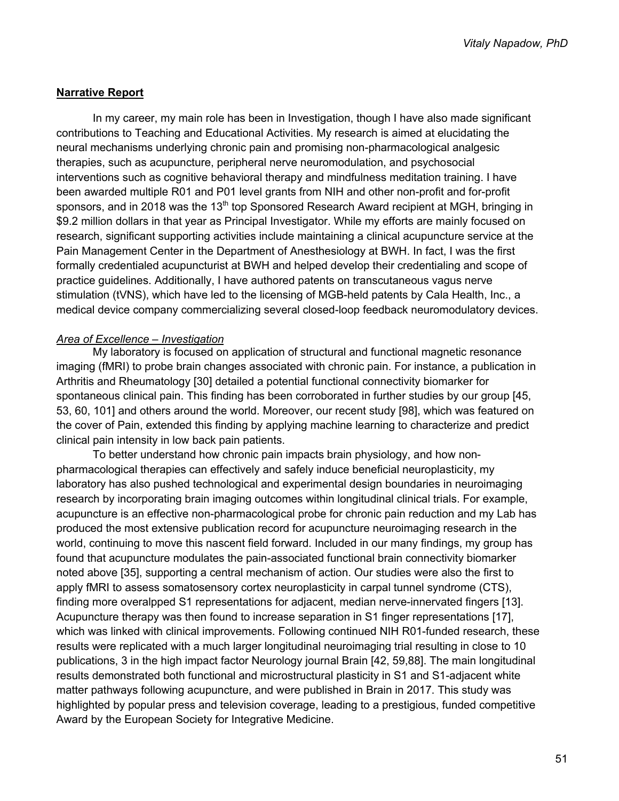#### **Narrative Report**

In my career, my main role has been in Investigation, though I have also made significant contributions to Teaching and Educational Activities. My research is aimed at elucidating the neural mechanisms underlying chronic pain and promising non-pharmacological analgesic therapies, such as acupuncture, peripheral nerve neuromodulation, and psychosocial interventions such as cognitive behavioral therapy and mindfulness meditation training. I have been awarded multiple R01 and P01 level grants from NIH and other non-profit and for-profit sponsors, and in 2018 was the 13<sup>th</sup> top Sponsored Research Award recipient at MGH, bringing in \$9.2 million dollars in that year as Principal Investigator. While my efforts are mainly focused on research, significant supporting activities include maintaining a clinical acupuncture service at the Pain Management Center in the Department of Anesthesiology at BWH. In fact, I was the first formally credentialed acupuncturist at BWH and helped develop their credentialing and scope of practice guidelines. Additionally, I have authored patents on transcutaneous vagus nerve stimulation (tVNS), which have led to the licensing of MGB-held patents by Cala Health, Inc., a medical device company commercializing several closed-loop feedback neuromodulatory devices.

#### *Area of Excellence – Investigation*

My laboratory is focused on application of structural and functional magnetic resonance imaging (fMRI) to probe brain changes associated with chronic pain. For instance, a publication in Arthritis and Rheumatology [30] detailed a potential functional connectivity biomarker for spontaneous clinical pain. This finding has been corroborated in further studies by our group [45, 53, 60, 101] and others around the world. Moreover, our recent study [98], which was featured on the cover of Pain, extended this finding by applying machine learning to characterize and predict clinical pain intensity in low back pain patients.

To better understand how chronic pain impacts brain physiology, and how nonpharmacological therapies can effectively and safely induce beneficial neuroplasticity, my laboratory has also pushed technological and experimental design boundaries in neuroimaging research by incorporating brain imaging outcomes within longitudinal clinical trials. For example, acupuncture is an effective non-pharmacological probe for chronic pain reduction and my Lab has produced the most extensive publication record for acupuncture neuroimaging research in the world, continuing to move this nascent field forward. Included in our many findings, my group has found that acupuncture modulates the pain-associated functional brain connectivity biomarker noted above [35], supporting a central mechanism of action. Our studies were also the first to apply fMRI to assess somatosensory cortex neuroplasticity in carpal tunnel syndrome (CTS), finding more overalpped S1 representations for adjacent, median nerve-innervated fingers [13]. Acupuncture therapy was then found to increase separation in S1 finger representations [17], which was linked with clinical improvements. Following continued NIH R01-funded research, these results were replicated with a much larger longitudinal neuroimaging trial resulting in close to 10 publications, 3 in the high impact factor Neurology journal Brain [42, 59,88]. The main longitudinal results demonstrated both functional and microstructural plasticity in S1 and S1-adjacent white matter pathways following acupuncture, and were published in Brain in 2017. This study was highlighted by popular press and television coverage, leading to a prestigious, funded competitive Award by the European Society for Integrative Medicine.